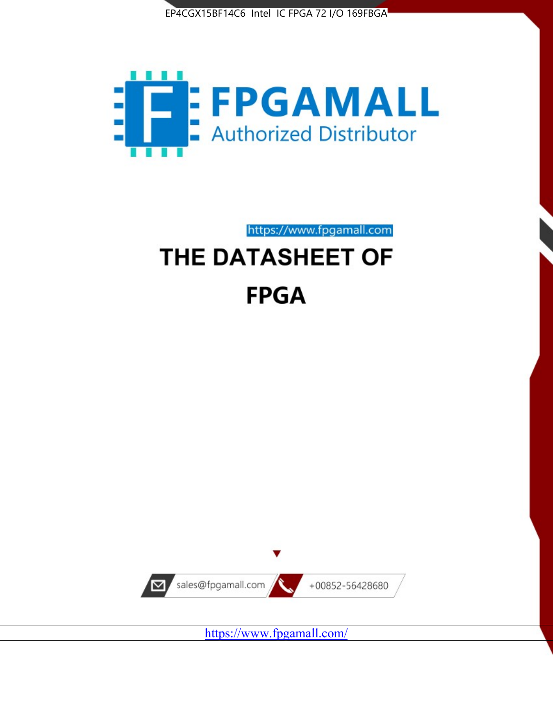



https://www.fpgamall.com

# THE DATASHEET OF **FPGA**



<https://www.fpgamall.com/>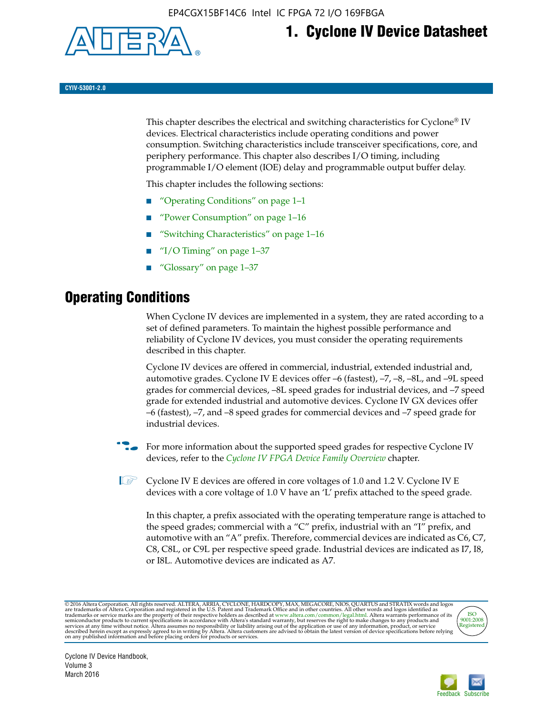

# **1. Cyclone IV Device Datasheet**

**CYIV-53001-2.0**

This chapter describes the electrical and switching characteristics for Cyclone<sup>®</sup> IV devices. Electrical characteristics include operating conditions and power consumption. Switching characteristics include transceiver specifications, core, and periphery performance. This chapter also describes I/O timing, including programmable I/O element (IOE) delay and programmable output buffer delay.

This chapter includes the following sections:

- "Operating Conditions" on page 1–1
- "Power Consumption" on page 1–16
- "Switching Characteristics" on page 1–16
- "I/O Timing" on page  $1-37$
- "Glossary" on page 1–37

# **Operating Conditions**

When Cyclone IV devices are implemented in a system, they are rated according to a set of defined parameters. To maintain the highest possible performance and reliability of Cyclone IV devices, you must consider the operating requirements described in this chapter.

Cyclone IV devices are offered in commercial, industrial, extended industrial and, automotive grades. Cyclone IV E devices offer –6 (fastest), –7, –8, –8L, and –9L speed grades for commercial devices, –8L speed grades for industrial devices, and –7 speed grade for extended industrial and automotive devices. Cyclone IV GX devices offer –6 (fastest), –7, and –8 speed grades for commercial devices and –7 speed grade for industrial devices.

**For more information about the supported speed grades for respective Cyclone IV** devices, refer to the *[Cyclone IV FPGA Device Family Overview](http://www.altera.com/literature/hb/cyclone-iv/cyiv-51001.pdf)* chapter.

 $\mathbb{I} \rightarrow \mathbb{C}$  Cyclone IV E devices are offered in core voltages of 1.0 and 1.2 V. Cyclone IV E devices with a core voltage of 1.0 V have an 'L' prefix attached to the speed grade.

In this chapter, a prefix associated with the operating temperature range is attached to the speed grades; commercial with a "C" prefix, industrial with an "I" prefix, and automotive with an "A" prefix. Therefore, commercial devices are indicated as C6, C7, C8, C8L, or C9L per respective speed grade. Industrial devices are indicated as I7, I8, or I8L. Automotive devices are indicated as A7.

@2016 Altera Corporation. All rights reserved. ALTERA, ARRIA, CYCLONE, HARDCOPY, MAX, MEGACORE, NIOS, QUARTUS and STRATIX words and logos are trademarks of Altera Corporation and registered in the U.S. Patent and Trademark



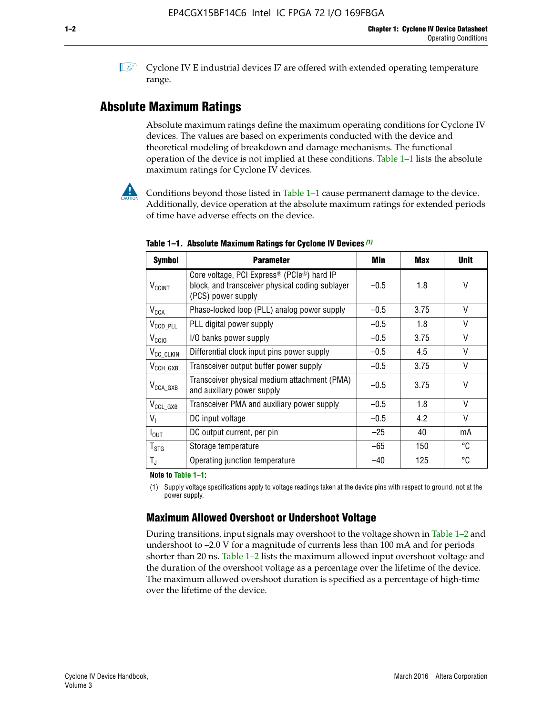**1 Cyclone IV E industrial devices I7 are offered with extended operating temperature** range.

# **Absolute Maximum Ratings**

Absolute maximum ratings define the maximum operating conditions for Cyclone IV devices. The values are based on experiments conducted with the device and theoretical modeling of breakdown and damage mechanisms. The functional operation of the device is not implied at these conditions. Table 1–1 lists the absolute maximum ratings for Cyclone IV devices.



Conditions beyond those listed in Table  $1-1$  cause permanent damage to the device. Additionally, device operation at the absolute maximum ratings for extended periods of time have adverse effects on the device.

| <b>Symbol</b>              | <b>Parameter</b>                                                                                                                             | Min    | <b>Max</b> | <b>Unit</b> |
|----------------------------|----------------------------------------------------------------------------------------------------------------------------------------------|--------|------------|-------------|
| <b>V<sub>CCINT</sub></b>   | Core voltage, PCI Express <sup>®</sup> (PCIe <sup>®</sup> ) hard IP<br>block, and transceiver physical coding sublayer<br>(PCS) power supply | $-0.5$ | 1.8        | V           |
| $V_{CCA}$                  | Phase-locked loop (PLL) analog power supply                                                                                                  | $-0.5$ | 3.75       | $\vee$      |
| $V_{\text{CCD\_PLL}}$      | PLL digital power supply                                                                                                                     | $-0.5$ | 1.8        | V           |
| V <sub>CCIO</sub>          | I/O banks power supply                                                                                                                       | $-0.5$ | 3.75       | V           |
| V <sub>CC_CLKIN</sub>      | Differential clock input pins power supply                                                                                                   | $-0.5$ | 4.5        | V           |
| $V_{\text{CCH_GXB}}$       | Transceiver output buffer power supply                                                                                                       | $-0.5$ | 3.75       | V           |
| $V_{\text{CCA\_GXB}}$      | Transceiver physical medium attachment (PMA)<br>and auxiliary power supply                                                                   | $-0.5$ | 3.75       | V           |
| $V_{CCL_GXB}$              | Transceiver PMA and auxiliary power supply                                                                                                   | $-0.5$ | 1.8        | $\vee$      |
| $V_{I}$                    | DC input voltage                                                                                                                             | $-0.5$ | 4.2        | V           |
| $I_{\text{OUT}}$           | DC output current, per pin                                                                                                                   | $-25$  | 40         | mA          |
| ${\mathsf T}_{\text{STG}}$ | Storage temperature                                                                                                                          | $-65$  | 150        | °C          |
| $T_{\rm J}$                | Operating junction temperature                                                                                                               | $-40$  | 125        | °C          |

**Table 1–1. Absolute Maximum Ratings for Cyclone IV Devices** *(1)*

**Note to Table 1–1:**

(1) Supply voltage specifications apply to voltage readings taken at the device pins with respect to ground, not at the power supply.

# **Maximum Allowed Overshoot or Undershoot Voltage**

During transitions, input signals may overshoot to the voltage shown in Table 1–2 and undershoot to –2.0 V for a magnitude of currents less than 100 mA and for periods shorter than 20 ns. Table 1–2 lists the maximum allowed input overshoot voltage and the duration of the overshoot voltage as a percentage over the lifetime of the device. The maximum allowed overshoot duration is specified as a percentage of high-time over the lifetime of the device.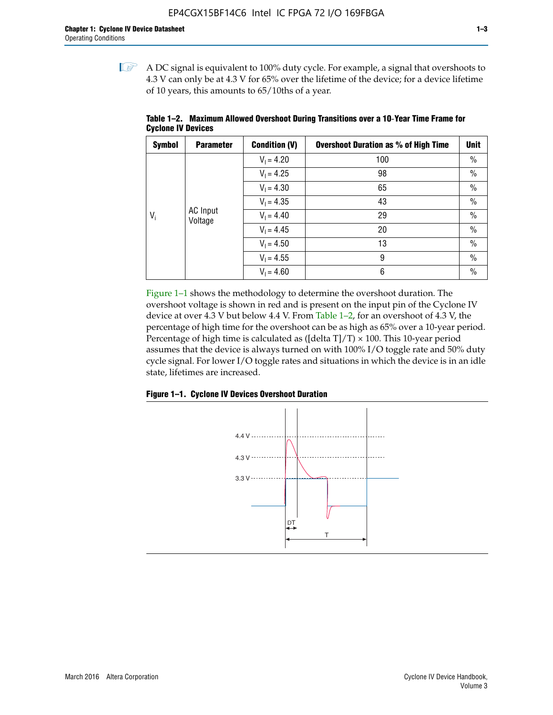$\mathbb{I}$  A DC signal is equivalent to 100% duty cycle. For example, a signal that overshoots to 4.3 V can only be at 4.3 V for 65% over the lifetime of the device; for a device lifetime of 10 years, this amounts to 65/10ths of a year.

| <b>Symbol</b> | <b>Parameter</b> | <b>Condition (V)</b> | <b>Overshoot Duration as % of High Time</b> | <b>Unit</b>   |               |
|---------------|------------------|----------------------|---------------------------------------------|---------------|---------------|
|               |                  | $V_1 = 4.20$         | 100                                         | $\%$          |               |
|               |                  | $V_1 = 4.25$         | 98                                          | $\%$          |               |
|               |                  | $V_1 = 4.30$         | 65                                          | $\%$          |               |
|               |                  | $V_1 = 4.35$         | 43                                          | $\frac{0}{0}$ |               |
| $V_i$         | <b>AC</b> Input  | Voltage              | $V_1 = 4.40$                                | 29            | $\frac{0}{0}$ |
|               |                  | $V_1 = 4.45$         | 20                                          | $\%$          |               |
|               |                  | $V_1 = 4.50$         | 13                                          | $\%$          |               |
|               |                  | $V_1 = 4.55$         | 9                                           | $\%$          |               |
|               |                  | $V_1 = 4.60$         | 6                                           | $\%$          |               |

**Table 1–2. Maximum Allowed Overshoot During Transitions over a 10**-**Year Time Frame for Cyclone IV Devices**

Figure 1–1 shows the methodology to determine the overshoot duration. The overshoot voltage is shown in red and is present on the input pin of the Cyclone IV device at over 4.3 V but below 4.4 V. From Table 1–2, for an overshoot of 4.3 V, the percentage of high time for the overshoot can be as high as 65% over a 10-year period. Percentage of high time is calculated as ([delta  $T$ ]/T)  $\times$  100. This 10-year period assumes that the device is always turned on with 100% I/O toggle rate and 50% duty cycle signal. For lower I/O toggle rates and situations in which the device is in an idle state, lifetimes are increased.



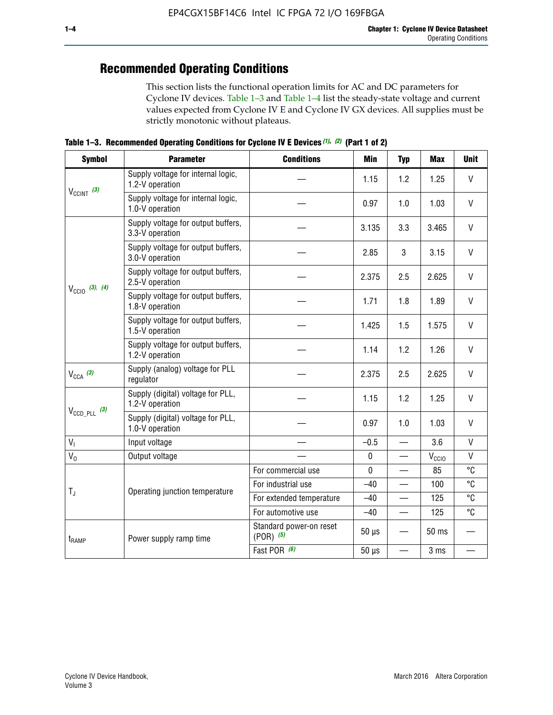# **Recommended Operating Conditions**

This section lists the functional operation limits for AC and DC parameters for Cyclone IV devices. Table 1–3 and Table 1–4 list the steady-state voltage and current values expected from Cyclone IV E and Cyclone IV GX devices. All supplies must be strictly monotonic without plateaus.

**Table 1–3. Recommended Operating Conditions for Cyclone IV E Devices** *(1)***,** *(2)* **(Part 1 of 2)**

| <b>Symbol</b>                                                                                                                                            | <b>Parameter</b>                                      | <b>Conditions</b>                        | Min                                                                                                                                                                                                                                                                   | <b>Typ</b> | <b>Max</b> | <b>Unit</b>  |
|----------------------------------------------------------------------------------------------------------------------------------------------------------|-------------------------------------------------------|------------------------------------------|-----------------------------------------------------------------------------------------------------------------------------------------------------------------------------------------------------------------------------------------------------------------------|------------|------------|--------------|
|                                                                                                                                                          | Supply voltage for internal logic,<br>1.2-V operation |                                          | 1.15                                                                                                                                                                                                                                                                  | 1.2        | 1.25       | $\mathsf{V}$ |
|                                                                                                                                                          | Supply voltage for internal logic,<br>1.0-V operation |                                          | 0.97                                                                                                                                                                                                                                                                  | 1.0        | 1.03       | $\mathsf{V}$ |
|                                                                                                                                                          | Supply voltage for output buffers,<br>3.3-V operation |                                          | 3.135                                                                                                                                                                                                                                                                 | 3.3        | 3.465      | $\vee$       |
| $V_{CClNT}$ (3)<br>$V_{\text{CC10}}$ (3), (4)<br>$V_{CCA}$ (3)<br>$V_{\text{CCD\_PLL}}$ (3)<br>V <sub>1</sub><br>$V_0$<br>$T_{\rm J}$<br>$t_{\rm{RAMP}}$ | Supply voltage for output buffers,<br>3.0-V operation |                                          | 2.85                                                                                                                                                                                                                                                                  | 3          | 3.15       | V            |
|                                                                                                                                                          | Supply voltage for output buffers,<br>2.5-V operation |                                          | 2.375                                                                                                                                                                                                                                                                 | 2.5        | 2.625      | $\vee$       |
|                                                                                                                                                          | Supply voltage for output buffers,<br>1.8-V operation |                                          | 1.71                                                                                                                                                                                                                                                                  | 1.8        | 1.89       | V            |
|                                                                                                                                                          | Supply voltage for output buffers,<br>1.5-V operation |                                          | 1.425                                                                                                                                                                                                                                                                 | 1.5        | 1.575      | $\vee$       |
|                                                                                                                                                          | Supply voltage for output buffers,<br>1.2-V operation |                                          | 1.14                                                                                                                                                                                                                                                                  | 1.2        | 1.26       | $\mathsf{V}$ |
|                                                                                                                                                          | Supply (analog) voltage for PLL<br>regulator          |                                          | 2.375                                                                                                                                                                                                                                                                 | 2.5        | 2.625      | $\vee$       |
|                                                                                                                                                          | Supply (digital) voltage for PLL,<br>1.2-V operation  |                                          | 1.15                                                                                                                                                                                                                                                                  | 1.2        | 1.25       | V            |
|                                                                                                                                                          | Supply (digital) voltage for PLL,<br>1.0-V operation  |                                          | 0.97<br>1.0<br>1.03<br>$-0.5$<br>3.6<br>$\overline{\phantom{0}}$<br>$\pmb{0}$<br>$V_{\rm CClO}$<br>—<br>$\mathbf 0$<br>85<br>$-40$<br>100<br>125<br>$-40$<br>$-40$<br>125<br>$\qquad \qquad$<br>$50 \mu s$<br>50 ms<br>$50 \mu s$<br>3 ms<br>$\overline{\phantom{0}}$ |            | $\vee$     |              |
|                                                                                                                                                          | Input voltage                                         |                                          |                                                                                                                                                                                                                                                                       |            |            | $\mathsf{V}$ |
|                                                                                                                                                          | Output voltage                                        |                                          |                                                                                                                                                                                                                                                                       |            |            | $\mathsf{V}$ |
|                                                                                                                                                          |                                                       | For commercial use                       |                                                                                                                                                                                                                                                                       |            |            | °C           |
|                                                                                                                                                          | Operating junction temperature                        | For industrial use                       |                                                                                                                                                                                                                                                                       |            |            | °C           |
|                                                                                                                                                          |                                                       | For extended temperature                 |                                                                                                                                                                                                                                                                       |            |            | °C           |
|                                                                                                                                                          |                                                       | For automotive use                       |                                                                                                                                                                                                                                                                       |            |            | °C           |
|                                                                                                                                                          | Power supply ramp time                                | Standard power-on reset<br>$(POR)$ $(5)$ |                                                                                                                                                                                                                                                                       |            |            |              |
|                                                                                                                                                          |                                                       | Fast POR (6)                             |                                                                                                                                                                                                                                                                       |            |            |              |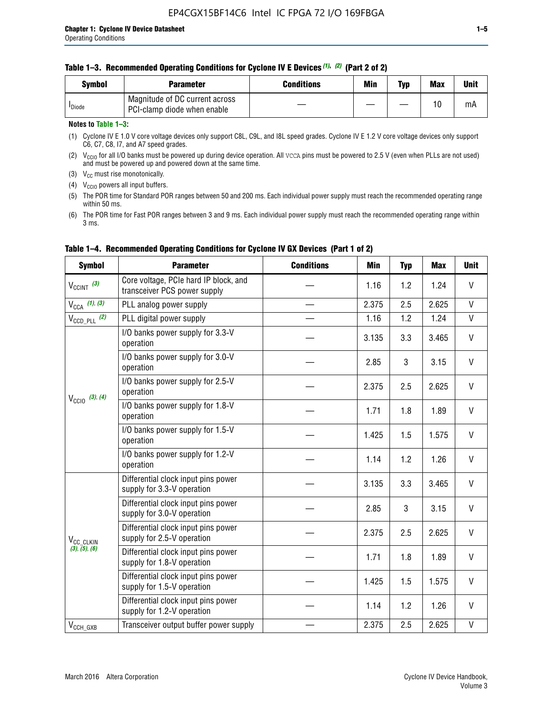| Svmbol             | <b>Parameter</b>                                              | <b>Conditions</b> | Min | Typ | <b>Max</b> | Unit |
|--------------------|---------------------------------------------------------------|-------------------|-----|-----|------------|------|
| <sup>I</sup> Diode | Magnitude of DC current across<br>PCI-clamp diode when enable |                   |     |     | 10         | mA   |

### **Notes to Table 1–3:**

(1) Cyclone IV E 1.0 V core voltage devices only support C8L, C9L, and I8L speed grades. Cyclone IV E 1.2 V core voltage devices only support C6, C7, C8, I7, and A7 speed grades.

(2)  $V_{CCIO}$  for all I/O banks must be powered up during device operation. All vcca pins must be powered to 2.5 V (even when PLLs are not used) and must be powered up and powered down at the same time.

(3)  $V_{CC}$  must rise monotonically.

(4)  $V_{\text{CCIO}}$  powers all input buffers.

(5) The POR time for Standard POR ranges between 50 and 200 ms. Each individual power supply must reach the recommended operating range within 50 ms.

(6) The POR time for Fast POR ranges between 3 and 9 ms. Each individual power supply must reach the recommended operating range within 3 ms.

| <b>Symbol</b>                                                        | <b>Parameter</b>                                                      | <b>Conditions</b> | Min   | <b>Typ</b> | <b>Max</b> | <b>Unit</b>  |
|----------------------------------------------------------------------|-----------------------------------------------------------------------|-------------------|-------|------------|------------|--------------|
| $V_{\text{CCINT}}$ (3)                                               | Core voltage, PCIe hard IP block, and<br>transceiver PCS power supply |                   | 1.16  | 1.2        | 1.24       | V            |
| $V_{CCA}$ (1), (3)                                                   | PLL analog power supply                                               |                   | 2.375 | 2.5        | 2.625      | V            |
| $V_{\text{CCD PLL}}$ (2)                                             | PLL digital power supply                                              |                   | 1.16  | 1.2        | 1.24       | $\mathsf{V}$ |
|                                                                      | I/O banks power supply for 3.3-V<br>operation                         |                   | 3.135 | 3.3        | 3.465      | V            |
| $V_{\text{CC10}}$ (3), (4)<br>V <sub>CC</sub> CLKIN<br>(3), (5), (6) | I/O banks power supply for 3.0-V<br>operation                         |                   | 2.85  | 3          | 3.15       | V            |
|                                                                      | I/O banks power supply for 2.5-V<br>operation                         |                   | 2.375 | 2.5        | 2.625      | V            |
|                                                                      | I/O banks power supply for 1.8-V<br>operation                         |                   | 1.71  | 1.8        | 1.89       | V            |
|                                                                      | I/O banks power supply for 1.5-V<br>operation                         |                   | 1.425 | 1.5        | 1.575      | V            |
|                                                                      | I/O banks power supply for 1.2-V<br>operation                         |                   | 1.14  | 1.2        | 1.26       | $\vee$       |
| $V_{CCH_GXB}$                                                        | Differential clock input pins power<br>supply for 3.3-V operation     |                   | 3.135 | 3.3        | 3.465      | V            |
|                                                                      | Differential clock input pins power<br>supply for 3.0-V operation     |                   | 2.85  | 3          | 3.15       | $\mathsf{V}$ |
|                                                                      | Differential clock input pins power<br>supply for 2.5-V operation     |                   | 2.375 | 2.5        | 2.625      | V            |
|                                                                      | Differential clock input pins power<br>supply for 1.8-V operation     |                   | 1.71  | 1.8        | 1.89       | V            |
|                                                                      | Differential clock input pins power<br>supply for 1.5-V operation     |                   | 1.425 | 1.5        | 1.575      | V            |
|                                                                      | Differential clock input pins power<br>supply for 1.2-V operation     |                   | 1.14  | 1.2        | 1.26       | V            |
|                                                                      | Transceiver output buffer power supply                                |                   | 2.375 | 2.5        | 2.625      | V            |

# **Table 1–4. Recommended Operating Conditions for Cyclone IV GX Devices (Part 1 of 2)**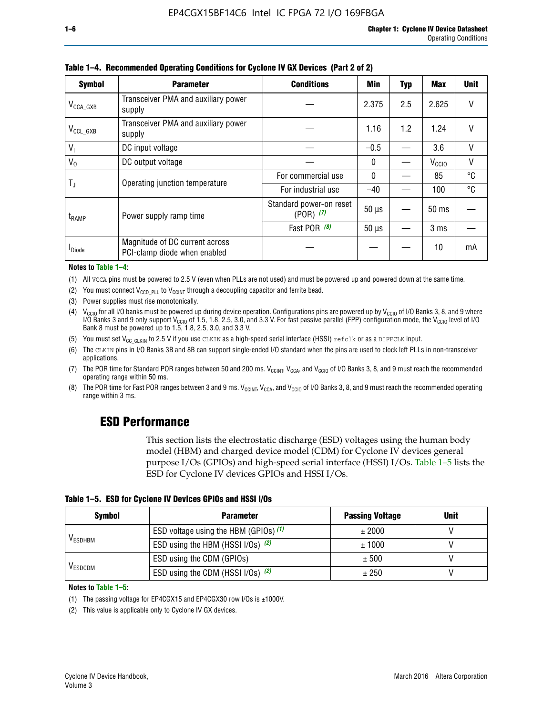| <b>Symbol</b>         | <b>Parameter</b>                                               | <b>Conditions</b>                        | Min          | Typ | Max               | <b>Unit</b> |
|-----------------------|----------------------------------------------------------------|------------------------------------------|--------------|-----|-------------------|-------------|
| $V_{\text{CCA\_GXB}}$ | Transceiver PMA and auxiliary power<br>supply                  |                                          | 2.375        | 2.5 | 2.625             | V           |
| $V_{CCL_GXB}$         | Transceiver PMA and auxiliary power<br>supply                  |                                          | 1.16         | 1.2 | 1.24              | V           |
| $V_{1}$               | DC input voltage                                               |                                          | $-0.5$       |     | 3.6               | V           |
| $V_0$                 | DC output voltage                                              |                                          | $\mathbf{0}$ |     | V <sub>CCIO</sub> | ٧           |
|                       | Operating junction temperature                                 | For commercial use                       | $\mathbf{0}$ |     | 85                | °C          |
| T,                    |                                                                | For industrial use                       | $-40$        |     | 100               | °C          |
| $t_{\rm{RAMP}}$       | Power supply ramp time                                         | Standard power-on reset<br>$(POR)$ $(7)$ | $50 \mu s$   |     | $50$ ms           |             |
|                       |                                                                | Fast POR (8)                             | $50 \mu s$   |     | 3 <sub>ms</sub>   |             |
| <b>I</b> Diode        | Magnitude of DC current across<br>PCI-clamp diode when enabled |                                          |              |     | 10                | mA          |

#### **Table 1–4. Recommended Operating Conditions for Cyclone IV GX Devices (Part 2 of 2)**

#### **Notes to Table 1–4:**

- (1) All VCCA pins must be powered to 2.5 V (even when PLLs are not used) and must be powered up and powered down at the same time.
- (2) You must connect  $V_{CCD-PLL}$  to  $V_{CCINT}$  through a decoupling capacitor and ferrite bead.
- (3) Power supplies must rise monotonically.
- (4)  $V_{\text{CCIO}}$  for all I/O banks must be powered up during device operation. Configurations pins are powered up by V<sub>CCIO</sub> of I/O Banks 3, 8, and 9 where I/O Banks 3 and 9 only support V<sub>CCIO</sub> of 1.5, 1.8, 2.5, 3.0, and 3.3 V. For fast passive parallel (FPP) configuration mode, the V<sub>CCIO</sub> level of I/O<br>Bank 8 must be powered up to 1.5, 1.8, 2.5, 3.0, and 3.3 V.
- (5) You must set  $V_{CC_CCLKIN}$  to 2.5 V if you use CLKIN as a high-speed serial interface (HSSI) refclk or as a DIFFCLK input.
- (6) The CLKIN pins in I/O Banks 3B and 8B can support single-ended I/O standard when the pins are used to clock left PLLs in non-transceiver applications.
- (7) The POR time for Standard POR ranges between 50 and 200 ms.  $V_{\text{CCIA}}$ ,  $V_{\text{CCIA}}$ , and  $V_{\text{CCIO}}$  of I/O Banks 3, 8, and 9 must reach the recommended operating range within 50 ms.
- (8) The POR time for Fast POR ranges between 3 and 9 ms.  $V_{\text{CCH},T}$ ,  $V_{\text{CCA}}$ , and  $V_{\text{CCI}}$  of I/O Banks 3, 8, and 9 must reach the recommended operating range within 3 ms.

# **ESD Performance**

This section lists the electrostatic discharge (ESD) voltages using the human body model (HBM) and charged device model (CDM) for Cyclone IV devices general purpose I/Os (GPIOs) and high-speed serial interface (HSSI) I/Os. Table 1–5 lists the ESD for Cyclone IV devices GPIOs and HSSI I/Os.

|  |  |  | Table 1–5. ESD for Cyclone IV Devices GPIOs and HSSI I/Os |  |  |
|--|--|--|-----------------------------------------------------------|--|--|
|  |  |  |                                                           |  |  |

| <b>Symbol</b>  | <b>Parameter</b>                      | <b>Passing Voltage</b> | <b>Unit</b> |
|----------------|---------------------------------------|------------------------|-------------|
|                | ESD voltage using the HBM (GPIOs) (1) | ± 2000                 |             |
| <b>VESDHBM</b> | ESD using the HBM (HSSI I/Os) (2)     | ± 1000                 |             |
|                | ESD using the CDM (GPIOs)             | ± 500                  |             |
| <b>VESDCDM</b> | ESD using the CDM (HSSI I/Os) (2)     | ± 250                  |             |

#### **Notes to Table 1–5:**

(1) The passing voltage for EP4CGX15 and EP4CGX30 row I/Os is ±1000V.

(2) This value is applicable only to Cyclone IV GX devices.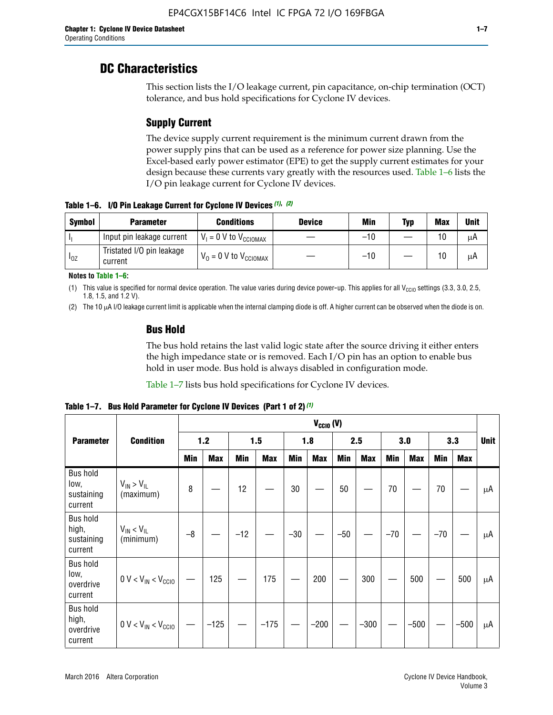# **DC Characteristics**

This section lists the I/O leakage current, pin capacitance, on-chip termination (OCT) tolerance, and bus hold specifications for Cyclone IV devices.

# **Supply Current**

The device supply current requirement is the minimum current drawn from the power supply pins that can be used as a reference for power size planning. Use the Excel-based early power estimator (EPE) to get the supply current estimates for your design because these currents vary greatly with the resources used. Table 1–6 lists the I/O pin leakage current for Cyclone IV devices.

**Table 1–6. I/O Pin Leakage Current for Cyclone IV Devices** *(1)***,** *(2)*

| <b>Symbol</b> | <b>Parameter</b>                     | <b>Conditions</b>                     | <b>Device</b> | Min   | Typ | <b>Max</b> | <b>Unit</b> |
|---------------|--------------------------------------|---------------------------------------|---------------|-------|-----|------------|-------------|
| -lı           | Input pin leakage current            | $V_1 = 0$ V to $V_{\text{CCIOMAX}}$   |               | $-10$ |     | 10         | μA          |
| $I_{0Z}$      | Tristated I/O pin leakage<br>current | $V_0 = 0 V$ to $V_{\text{CCIOMAX}}$ I |               | $-10$ |     | 10         | μA          |

**Notes to Table 1–6:**

(1) This value is specified for normal device operation. The value varies during device power-up. This applies for all V<sub>CCIO</sub> settings (3.3, 3.0, 2.5, 1.8, 1.5, and 1.2 V).

(2) The 10 µA I/O leakage current limit is applicable when the internal clamping diode is off. A higher current can be observed when the diode is on.

# **Bus Hold**

The bus hold retains the last valid logic state after the source driving it either enters the high impedance state or is removed. Each I/O pin has an option to enable bus hold in user mode. Bus hold is always disabled in configuration mode.

Table 1–7 lists bus hold specifications for Cyclone IV devices.

|                                                   |                                  | $V_{CCIO} (V)$ |            |       |            |            |            |            |            |       |            |       |            |    |
|---------------------------------------------------|----------------------------------|----------------|------------|-------|------------|------------|------------|------------|------------|-------|------------|-------|------------|----|
| <b>Parameter</b>                                  | <b>Condition</b>                 | 1.2            |            |       | 1.5        |            | 1.8        |            | 2.5        |       | 3.0        |       | 3.3        |    |
|                                                   |                                  | <b>Min</b>     | <b>Max</b> | Min   | <b>Max</b> | <b>Min</b> | <b>Max</b> | <b>Min</b> | <b>Max</b> | Min   | <b>Max</b> | Min   | <b>Max</b> |    |
| <b>Bus hold</b><br>low,<br>sustaining<br>current  | $V_{IN}$ > $V_{IL}$<br>(maximum) | 8              |            | 12    |            | 30         |            | 50         |            | 70    |            | 70    |            | μA |
| <b>Bus hold</b><br>high,<br>sustaining<br>current | $V_{IN}$ < $V_{IL}$<br>(minimum) | $-8$           |            | $-12$ |            | $-30$      |            | $-50$      |            | $-70$ |            | $-70$ |            | μA |
| <b>Bus hold</b><br>low,<br>overdrive<br>current   | $0 V < V_{IN} < V_{CG10}$        |                | 125        |       | 175        |            | 200        |            | 300        |       | 500        |       | 500        | μA |
| <b>Bus hold</b><br>high,<br>overdrive<br>current  | $0 V < V_{IN} < V_{CG10}$        |                | $-125$     |       | $-175$     |            | $-200$     |            | $-300$     |       | $-500$     |       | $-500$     | μA |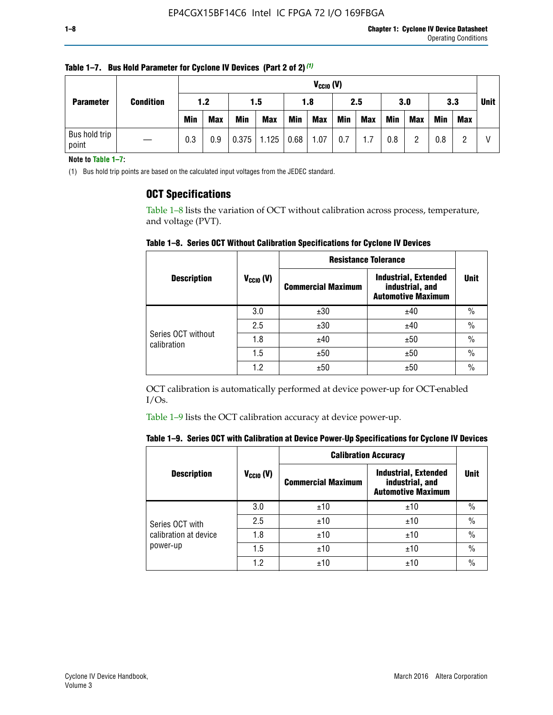| <b>Parameter</b>       | <b>Condition</b> |            | $V_{CClO}$ (V) |            |            |      |            |            |     |     |            |            |     |             |
|------------------------|------------------|------------|----------------|------------|------------|------|------------|------------|-----|-----|------------|------------|-----|-------------|
|                        |                  | 1.2        |                | 1.5        |            | 1.8  |            | 2.5        |     | 3.0 |            | 3.3        |     | <b>Unit</b> |
|                        |                  | <b>Min</b> | <b>Max</b>     | <b>Min</b> | <b>Max</b> | Min  | <b>Max</b> | <b>Min</b> | Max | Min | <b>Max</b> | <b>Min</b> | Max |             |
| Bus hold trip<br>point |                  | 0.3        | 0.9            | 0.375      | 1.125      | 0.68 | 1.07       | 0.7        | 1.7 | 0.8 | ŋ          | 0.8        |     |             |

**Table 1–7. Bus Hold Parameter for Cyclone IV Devices (Part 2 of 2)** *(1)*

**Note to Table 1–7:**

(1) Bus hold trip points are based on the calculated input voltages from the JEDEC standard.

# **OCT Specifications**

Table 1–8 lists the variation of OCT without calibration across process, temperature, and voltage (PVT).

**Table 1–8. Series OCT Without Calibration Specifications for Cyclone IV Devices**

|                                   |                      | <b>Resistance Tolerance</b> |                                                                             |               |
|-----------------------------------|----------------------|-----------------------------|-----------------------------------------------------------------------------|---------------|
| <b>Description</b>                | $V_{\text{CCIO}}(V)$ | <b>Commercial Maximum</b>   | <b>Industrial, Extended</b><br>industrial, and<br><b>Automotive Maximum</b> | <b>Unit</b>   |
|                                   | 3.0                  | ±30                         | ±40                                                                         | $\frac{0}{0}$ |
|                                   | 2.5                  | ±30                         | ±40                                                                         | $\frac{0}{0}$ |
| Series OCT without<br>calibration | 1.8                  | ±40                         | ±50                                                                         | $\frac{0}{0}$ |
|                                   | 1.5                  | ±50                         | ±50                                                                         | $\frac{0}{0}$ |
|                                   | 1.2                  | ±50                         | ±50                                                                         | $\frac{0}{0}$ |

OCT calibration is automatically performed at device power-up for OCT-enabled I/Os.

Table 1–9 lists the OCT calibration accuracy at device power-up.

|  | Table 1–9.  Series OCT with Calibration at Device Power-Up Specifications for Cyclone IV Devices |  |  |  |
|--|--------------------------------------------------------------------------------------------------|--|--|--|
|--|--------------------------------------------------------------------------------------------------|--|--|--|

|                       |                | <b>Calibration Accuracy</b> |                                                                             |               |
|-----------------------|----------------|-----------------------------|-----------------------------------------------------------------------------|---------------|
| <b>Description</b>    | $V_{CGI0} (V)$ | <b>Commercial Maximum</b>   | <b>Industrial, Extended</b><br>industrial, and<br><b>Automotive Maximum</b> | Unit          |
|                       | 3.0            | ±10                         | ±10                                                                         | $\%$          |
| Series OCT with       | 2.5            | ±10                         | ±10                                                                         | $\%$          |
| calibration at device | 1.8            | ±10                         | ±10                                                                         | $\frac{0}{0}$ |
| power-up              | 1.5            | ±10                         | ±10                                                                         | $\frac{0}{0}$ |
|                       | 1.2            | ±10                         | ±10                                                                         | $\frac{0}{0}$ |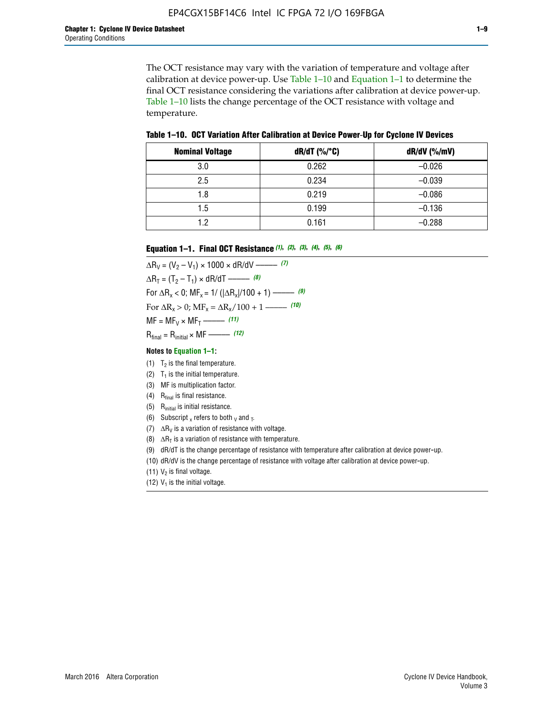The OCT resistance may vary with the variation of temperature and voltage after calibration at device power-up. Use Table 1–10 and Equation 1–1 to determine the final OCT resistance considering the variations after calibration at device power-up. Table 1–10 lists the change percentage of the OCT resistance with voltage and temperature.

**Table 1–10. OCT Variation After Calibration at Device Power**-**Up for Cyclone IV Devices**

| <b>Nominal Voltage</b> | dR/dT (%/°C) | $dR/dV$ (%/mV) |
|------------------------|--------------|----------------|
| 3.0                    | 0.262        | $-0.026$       |
| 2.5                    | 0.234        | $-0.039$       |
| 1.8                    | 0.219        | $-0.086$       |
| 1.5                    | 0.199        | $-0.136$       |
| 1.2                    | 0.161        | $-0.288$       |

#### **Equation 1–1. Final OCT Resistance** *(1)***,** *(2)***,** *(3)***,** *(4)***,** *(5)***,** *(6)*

 $\Delta R_V = (V_2 - V_1) \times 1000 \times dR/dV$  ––––––––––––(7)  $\Delta R_T = (T_2 - T_1) \times dR/dT$  ––––––– (8) For  $\Delta R_x < 0$ ; MF<sub>x</sub> = 1/ ( $|\Delta R_x|/100 + 1$ ) –––––– (9) For  $\Delta R_x > 0$ ;  $\text{MF}_x = \Delta R_x / 100 + 1$  ——– (10)  $MF = MF_V \times MF_T$  –––––––––––(11) Rfinal = Rinitial × MF ––––– *(12)*

#### **Notes to Equation 1–1:**

- (1)  $T_2$  is the final temperature.
- (2)  $T_1$  is the initial temperature.
- (3) MF is multiplication factor.
- (4)  $R<sub>final</sub>$  is final resistance.
- (5) Rinitial is initial resistance.
- (6) Subscript x refers to both  $\sqrt{v}$  and  $\sqrt{v}$ .
- (7)  $\Delta R_V$  is a variation of resistance with voltage.
- (8)  $\Delta R_T$  is a variation of resistance with temperature.
- (9) dR/dT is the change percentage of resistance with temperature after calibration at device power-up.
- (10) dR/dV is the change percentage of resistance with voltage after calibration at device power-up.
- (11)  $V_2$  is final voltage.
- (12)  $V_1$  is the initial voltage.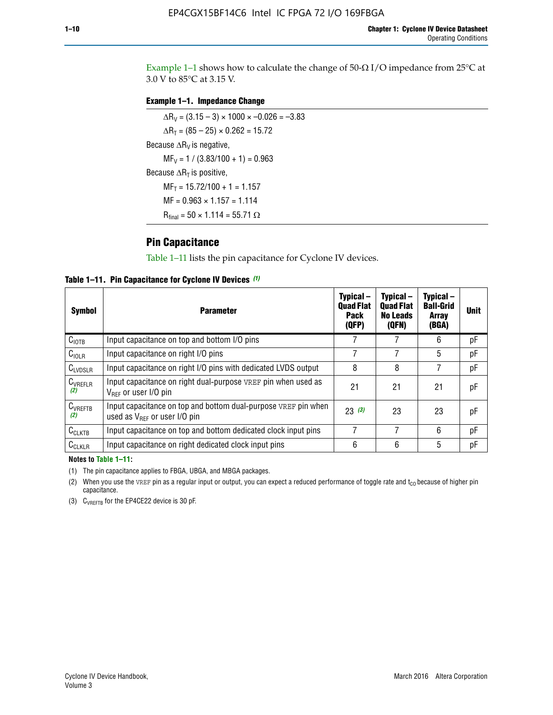Example 1-1 shows how to calculate the change of  $50$ - $\Omega$  I/O impedance from 25°C at 3.0 V to 85°C at 3.15 V.

### **Example 1–1. Impedance Change**

 $\Delta R_V = (3.15 - 3) \times 1000 \times -0.026 = -3.83$  $\Delta R_T = (85 - 25) \times 0.262 = 15.72$ Because  $\Delta R_V$  is negative,  $MF_V = 1 / (3.83/100 + 1) = 0.963$ Because  $\Delta R_T$  is positive,  $MF_T = 15.72/100 + 1 = 1.157$  $MF = 0.963 \times 1.157 = 1.114$  $R_{final} = 50 \times 1.114 = 55.71 \Omega$ 

# **Pin Capacitance**

Table 1–11 lists the pin capacitance for Cyclone IV devices.

**Table 1–11. Pin Capacitance for Cyclone IV Devices** *(1)*

| <b>Symbol</b>       | <b>Parameter</b>                                                                                    | Typical-<br><b>Quad Flat</b><br><b>Pack</b><br>(QFP) | Typical-<br><b>Quad Flat</b><br><b>No Leads</b><br>(QFN) | Typical-<br><b>Ball-Grid</b><br><b>Array</b><br>(BGA) | <b>Unit</b> |
|---------------------|-----------------------------------------------------------------------------------------------------|------------------------------------------------------|----------------------------------------------------------|-------------------------------------------------------|-------------|
| C <sub>IOTB</sub>   | Input capacitance on top and bottom I/O pins                                                        |                                                      |                                                          | 6                                                     | рF          |
| C <sub>IOLR</sub>   | Input capacitance on right I/O pins                                                                 |                                                      |                                                          | 5                                                     | pF          |
| $C_{LVDSLR}$        | Input capacitance on right I/O pins with dedicated LVDS output                                      | 8                                                    | 8                                                        | 7                                                     | рF          |
| $C_{VREFLR}$<br>(2) | Input capacitance on right dual-purpose VREF pin when used as<br>$V_{BFF}$ or user I/O pin          | 21                                                   | 21                                                       | 21                                                    | pF          |
| $C_{VREFTB}$<br>(2) | Input capacitance on top and bottom dual-purpose VREF pin when<br>used as $V_{BFF}$ or user I/O pin | 23(3)                                                | 23                                                       | 23                                                    | рF          |
| $C_{CLKTB}$         | Input capacitance on top and bottom dedicated clock input pins                                      |                                                      | 7                                                        | 6                                                     | рF          |
| $C_{CLKLR}$         | Input capacitance on right dedicated clock input pins                                               | 6                                                    | 6                                                        | 5                                                     | рF          |

#### **Notes to Table 1–11:**

(1) The pin capacitance applies to FBGA, UBGA, and MBGA packages.

(2) When you use the VREF pin as a regular input or output, you can expect a reduced performance of toggle rate and  $t_{\rm CO}$  because of higher pin capacitance.

(3) CVREFTB for the EP4CE22 device is 30 pF.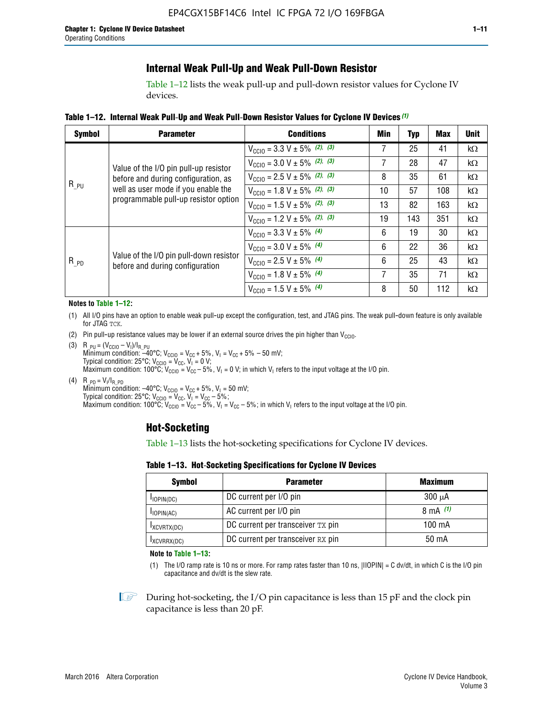# **Internal Weak Pull-Up and Weak Pull-Down Resistor**

Table 1–12 lists the weak pull-up and pull-down resistor values for Cyclone IV devices.

**Table 1–12. Internal Weak Pull**-**Up and Weak Pull**-**Down Resistor Values for Cyclone IV Devices** *(1)*

| <b>Symbol</b> | <b>Parameter</b>                                                                                                   | <b>Conditions</b>                                  | Min | <b>Typ</b> | <b>Max</b> | <b>Unit</b> |
|---------------|--------------------------------------------------------------------------------------------------------------------|----------------------------------------------------|-----|------------|------------|-------------|
|               |                                                                                                                    | $V_{\text{CC10}} = 3.3 \text{ V} \pm 5\%$ (2), (3) | 7   | 25         | 41         | $k\Omega$   |
|               | Value of the I/O pin pull-up resistor                                                                              | $V_{\text{CC10}} = 3.0 \text{ V} \pm 5\%$ (2), (3) | 7   | 28         | 47         | kΩ          |
|               | before and during configuration, as<br>well as user mode if you enable the<br>programmable pull-up resistor option | $V_{\text{CC10}} = 2.5 V \pm 5\%$ (2), (3)         | 8   | 35         | 61         | kΩ          |
| $R_{PU}$      |                                                                                                                    | $V_{\text{CGI0}} = 1.8 V \pm 5\%$ (2), (3)         | 10  | 57         | 108        | $k\Omega$   |
|               |                                                                                                                    | $V_{\text{CC10}} = 1.5 V \pm 5\%$ (2), (3)         | 13  | 82         | 163        | $k\Omega$   |
|               |                                                                                                                    | $V_{\text{CC10}} = 1.2 V \pm 5\%$ (2), (3)         | 19  | 143        | 351        | kΩ          |
|               |                                                                                                                    | $V_{\text{CC10}} = 3.3 V \pm 5\%$ (4)              | 6   | 19         | 30         | kΩ          |
|               |                                                                                                                    | $V_{\text{CC10}} = 3.0 V \pm 5\%$ (4)              | 6   | 22         | 36         | $k\Omega$   |
| $R_{PD}$      | Value of the I/O pin pull-down resistor<br>before and during configuration                                         | $V_{\text{CC10}} = 2.5 V \pm 5\%$ (4)              | 6   | 25         | 43         | kΩ          |
|               |                                                                                                                    | $V_{\text{CC10}} = 1.8 V \pm 5\%$ (4)              | 7   | 35         | 71         | $k\Omega$   |
|               |                                                                                                                    | $V_{\text{CC10}} = 1.5 V \pm 5\%$ (4)              | 8   | 50         | 112        | kΩ          |

#### **Notes to Table 1–12:**

- (1) All I/O pins have an option to enable weak pull-up except the configuration, test, and JTAG pins. The weak pull-down feature is only available for JTAG TCK.
- (2) Pin pull-up resistance values may be lower if an external source drives the pin higher than  $V_{\text{CCIO}}$ .
- (3)  $R_{PU} = (V_{CC10} V_1)/I_{R_PU}$ Minimum condition: –40°C; V<sub>CCIO</sub> = V<sub>CC</sub> + 5%, V<sub>I</sub> = V<sub>CC</sub> + 5% – 50 mV; Typical condition: 25°C; V<sub>CCIO</sub> = V<sub>CC</sub>, V<sub>I</sub> = 0 V; Maximum condition: 100°C;  $V_{\text{CCIO}} = V_{\text{CC}} - 5\%$ ,  $V_1 = 0$  V; in which V<sub>I</sub> refers to the input voltage at the I/O pin.
- (4)  $R_{PD} = V_I/I_{R_PD}$ Minimum condition:  $-40^{\circ}$ C; V<sub>CCIO</sub> = V<sub>CC</sub> + 5%, V<sub>I</sub> = 50 mV; Typical condition: 25°C;  $V_{\text{CCIO}} = V_{\text{CC}}$ ,  $V_{\text{I}} = V_{\text{CC}} - 5\%$ ; Maximum condition: 100°C; V<sub>CClO</sub> = V<sub>CC</sub> – 5%, V<sub>I</sub> = V<sub>CC</sub> – 5%; in which V<sub>I</sub> refers to the input voltage at the I/O pin.

# **Hot-Socketing**

Table 1–13 lists the hot-socketing specifications for Cyclone IV devices.

**Table 1–13. Hot**-**Socketing Specifications for Cyclone IV Devices**

| <b>Symbol</b> | <b>Parameter</b>                  | <b>Maximum</b> |
|---------------|-----------------------------------|----------------|
| $I$ IOPIN(DC) | DC current per I/O pin            | $300 \mu A$    |
| $I$ IOPIN(AC) | AC current per I/O pin            | 8 mA $(1)$     |
| IXCVRTX(DC)   | DC current per transceiver TX pin | 100 mA         |
| IXCVRRX(DC)   | DC current per transceiver RX pin | 50 mA          |

**Note to Table 1–13:**

(1) The I/O ramp rate is 10 ns or more. For ramp rates faster than 10 ns, |IIOPIN| = C dv/dt, in which C is the I/O pin capacitance and dv/dt is the slew rate.

 $\mathbb{I} \rightarrow \mathbb{I}$  During hot-socketing, the I/O pin capacitance is less than 15 pF and the clock pin capacitance is less than 20 pF.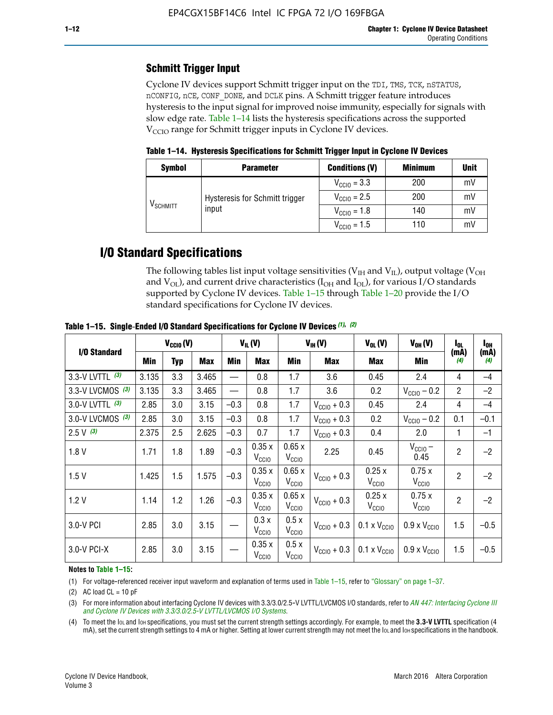# **Schmitt Trigger Input**

Cyclone IV devices support Schmitt trigger input on the TDI, TMS, TCK, nSTATUS, nCONFIG, nCE, CONF\_DONE, and DCLK pins. A Schmitt trigger feature introduces hysteresis to the input signal for improved noise immunity, especially for signals with slow edge rate. Table 1–14 lists the hysteresis specifications across the supported  $V<sub>CCIO</sub>$  range for Schmitt trigger inputs in Cyclone IV devices.

**Table 1–14. Hysteresis Specifications for Schmitt Trigger Input in Cyclone IV Devices**

| <b>Symbol</b>                  | <b>Parameter</b>               | <b>Conditions (V)</b>   | <b>Minimum</b> | <b>Unit</b> |
|--------------------------------|--------------------------------|-------------------------|----------------|-------------|
| $\mathsf{V}_{\mathsf{SCHMIT}}$ |                                | $V_{\text{CCIO}} = 3.3$ | 200            | mV          |
|                                | Hysteresis for Schmitt trigger | $V_{\text{CCIO}} = 2.5$ | 200            | mV          |
|                                | input                          | $V_{\text{CCIO}} = 1.8$ | 140            | mV          |
|                                |                                | $V_{\text{CCIO}} = 1.5$ | 110            | mV          |

# **I/O Standard Specifications**

The following tables list input voltage sensitivities ( $V<sub>IH</sub>$  and  $V<sub>II</sub>$ ), output voltage ( $V<sub>OH</sub>$ and  $V_{OL}$ ), and current drive characteristics ( $I_{OH}$  and  $I_{OL}$ ), for various I/O standards supported by Cyclone IV devices. Table 1–15 through Table 1–20 provide the I/O standard specifications for Cyclone IV devices.

|                    | $V_{CClO}(V)$ |     | $V_{IL}(V)$ |        | $V_{IH} (V)$               |                            | $V_{OL}(V)$             | $V_{OH} (V)$                                    | l <sub>ol</sub>              | $I_{0H}$       |                          |
|--------------------|---------------|-----|-------------|--------|----------------------------|----------------------------|-------------------------|-------------------------------------------------|------------------------------|----------------|--------------------------|
| I/O Standard       | <b>Min</b>    | Typ | Max         | Min    | Max                        | Min                        | <b>Max</b>              | Max                                             | Min                          | (mA)<br>(4)    | (mA)<br>$\left(4\right)$ |
| 3.3-V LVTTL (3)    | 3.135         | 3.3 | 3.465       |        | 0.8                        | 1.7                        | 3.6                     | 0.45                                            | 2.4                          | 4              | $-4$                     |
| 3.3-V LVCMOS $(3)$ | 3.135         | 3.3 | 3.465       |        | 0.8                        | 1.7                        | 3.6                     | 0.2                                             | $V_{\text{CC10}} - 0.2$      | $\overline{2}$ | $-2$                     |
| 3.0-V LVTTL (3)    | 2.85          | 3.0 | 3.15        | $-0.3$ | 0.8                        | 1.7                        | $V_{\text{CC10}} + 0.3$ | 0.45                                            | 2.4                          | 4              | $-4$                     |
| 3.0-V LVCMOS (3)   | 2.85          | 3.0 | 3.15        | $-0.3$ | 0.8                        | 1.7                        | $V_{\text{CC10}} + 0.3$ | 0.2                                             | $V_{\text{CC10}} - 0.2$      | 0.1            | $-0.1$                   |
| $2.5 V$ (3)        | 2.375         | 2.5 | 2.625       | $-0.3$ | 0.7                        | 1.7                        | $V_{\text{CGI0}} + 0.3$ | 0.4                                             | 2.0                          | 1              | $-1$                     |
| 1.8V               | 1.71          | 1.8 | 1.89        | $-0.3$ | 0.35x<br>V <sub>CCIO</sub> | 0.65x<br>V <sub>CCIO</sub> | 2.25                    | 0.45                                            | $V_{CGIO}$ –<br>0.45         | $\overline{2}$ | $-2$                     |
| 1.5V               | 1.425         | 1.5 | 1.575       | $-0.3$ | 0.35x<br>V <sub>CCIO</sub> | 0.65x<br>V <sub>CCIO</sub> | $V_{\text{CC10}} + 0.3$ | 0.25x<br>V <sub>CCIO</sub>                      | 0.75x<br>V <sub>CCIO</sub>   | $\overline{2}$ | $-2$                     |
| 1.2V               | 1.14          | 1.2 | 1.26        | $-0.3$ | 0.35x<br>V <sub>CCIO</sub> | 0.65x<br>V <sub>CCIO</sub> | $V_{\text{CC10}} + 0.3$ | 0.25x<br>V <sub>CClO</sub>                      | 0.75x<br>V <sub>CCIO</sub>   | $\overline{2}$ | $-2$                     |
| 3.0-V PCI          | 2.85          | 3.0 | 3.15        |        | 0.3x<br>V <sub>CCIO</sub>  | 0.5x<br>V <sub>CCIO</sub>  | $V_{\text{CCI0}} + 0.3$ | $0.1 \times V_{\text{CC10}}$                    | $0.9 \times V_{\text{CC10}}$ | 1.5            | $-0.5$                   |
| $3.0 - V$ PCI-X    | 2.85          | 3.0 | 3.15        |        | 0.35x<br>V <sub>CCIO</sub> | 0.5x<br>V <sub>CCIO</sub>  |                         | $V_{\text{CC10}} + 0.3$ 0.1 x $V_{\text{CC10}}$ | $0.9 \times V_{\text{CC10}}$ | 1.5            | $-0.5$                   |

**Table 1–15. Single**-**Ended I/O Standard Specifications for Cyclone IV Devices** *(1)***,** *(2)*

#### **Notes to Table 1–15:**

(1) For voltage-referenced receiver input waveform and explanation of terms used in Table 1–15, refer to "Glossary" on page 1–37.

(2) AC load  $CL = 10$  pF

(3) For more information about interfacing Cyclone IV devices with 3.3/3.0/2.5-V LVTTL/LVCMOS I/O standards, refer to *[AN 447: Interfacing Cyclone III](http://www.altera.com/literature/an/an447.pdf)  [and Cyclone IV Devices with 3.3/3.0/2.5-V LVTTL/LVCMOS I/O Systems](http://www.altera.com/literature/an/an447.pdf)*.

(4) To meet the IOL and IOH specifications, you must set the current strength settings accordingly. For example, to meet the **3.3-V LVTTL** specification (4 mA), set the current strength settings to 4 mA or higher. Setting at lower current strength may not meet the lou and lon specifications in the handbook.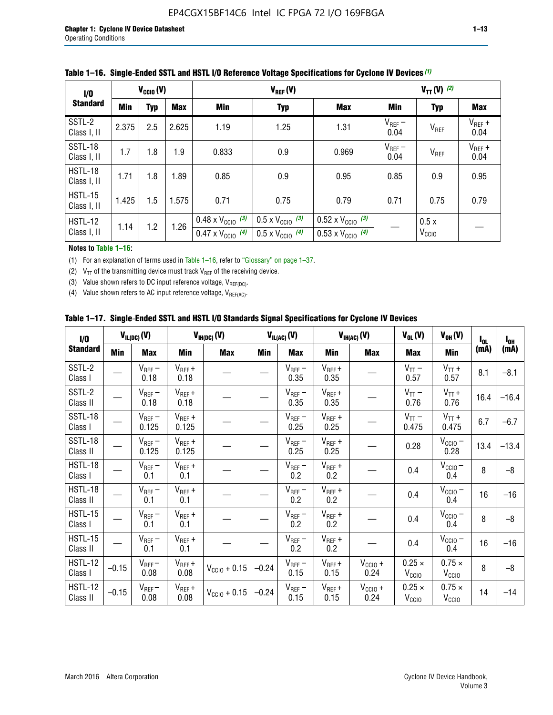| 1/0                    |            | $V_{\text{CC10}}(V)$ |       |                                                                        | $V_{REF}(V)$                                                         | $V_{TT} (V)$ (2)                                                       |                     |                           |                     |
|------------------------|------------|----------------------|-------|------------------------------------------------------------------------|----------------------------------------------------------------------|------------------------------------------------------------------------|---------------------|---------------------------|---------------------|
| <b>Standard</b>        | <b>Min</b> | <b>Typ</b>           | Max   | <b>Min</b>                                                             | <b>Typ</b>                                                           | <b>Max</b>                                                             | Min                 | <b>Typ</b>                | Max                 |
| SSTL-2<br>Class I, II  | 2.375      | 2.5                  | 2.625 | 1.19                                                                   | 1.25                                                                 | 1.31                                                                   | $V_{REF}$ –<br>0.04 | V <sub>REF</sub>          | $V_{REF}$ +<br>0.04 |
| SSTL-18<br>Class I, II | 1.7        | 1.8                  | 1.9   | 0.833                                                                  | 0.9                                                                  | 0.969                                                                  | $V_{REF}$ –<br>0.04 | V <sub>REF</sub>          | $V_{REF}$ +<br>0.04 |
| HSTL-18<br>Class I, II | 1.71       | 1.8                  | 1.89  | 0.85                                                                   | 0.9                                                                  | 0.95                                                                   | 0.85                | 0.9                       | 0.95                |
| HSTL-15<br>Class I, II | 1.425      | 1.5                  | 1.575 | 0.71                                                                   | 0.75<br>0.79                                                         |                                                                        | 0.71                | 0.75                      | 0.79                |
| HSTL-12<br>Class I, II | 1.14       | 1.2                  | 1.26  | $0.48 \times V_{\text{CC10}}$ (3)<br>$0.47 \times V_{\text{CC10}}$ (4) | $0.5 \times V_{\text{CC10}}$ (3)<br>$0.5 \times V_{\text{CC10}}$ (4) | $0.52 \times V_{\text{CC10}}$ (3)<br>$0.53 \times V_{\text{CC10}}$ (4) |                     | 0.5x<br>V <sub>CCIO</sub> |                     |

#### **Table 1–16. Single**-**Ended SSTL and HSTL I/O Reference Voltage Specifications for Cyclone IV Devices** *(1)*

#### **Notes to Table 1–16:**

(1) For an explanation of terms used in Table 1–16, refer to "Glossary" on page 1–37.

(2)  $V_{TT}$  of the transmitting device must track  $V_{REF}$  of the receiving device.

(3) Value shown refers to DC input reference voltage,  $V_{REF(DC)}$ .

(4) Value shown refers to AC input reference voltage,  $V_{REF(AC)}$ .

|  |  |  |  |  | Table 1–17.  Single-Ended SSTL and HSTL I/O Standards Signal Specifications for Cyclone IV Devices |
|--|--|--|--|--|----------------------------------------------------------------------------------------------------|
|--|--|--|--|--|----------------------------------------------------------------------------------------------------|

| I/O                        |            | $V_{IL(DC)}(V)$      |                                      | $V_{IH(DC)}(V)$   |         | $V_{IL(AC)}(V)$     |                     | $V_{IH(AC)}(V)$      | $V_{OL}(V)$                        | $V_{OH} (V)$                       | $I_{0L}$ | $I_{0H}$ |
|----------------------------|------------|----------------------|--------------------------------------|-------------------|---------|---------------------|---------------------|----------------------|------------------------------------|------------------------------------|----------|----------|
| <b>Standard</b>            | <b>Min</b> | Max                  | <b>Min</b>                           | <b>Max</b>        | Min     | Max                 | Min                 | <b>Max</b>           | Max                                | Min                                | (mA)     | (mA)     |
| SSTL-2<br>Class I          |            | $V_{REF}$ –<br>0.18  | $V_{REF} +$<br>0.18                  |                   |         | $V_{REF}$ –<br>0.35 | $V_{REF} +$<br>0.35 |                      | $V_{TT}$ –<br>0.57                 | $V_{TT}$ +<br>0.57                 | 8.1      | $-8.1$   |
| SSTL-2<br>Class II         |            | $V_{REF}$ –<br>0.18  | $V_{REF} +$<br>0.18                  |                   |         | $V_{REF}$ –<br>0.35 | $V_{REF} +$<br>0.35 |                      | $V_{TT}$ –<br>0.76                 | $V_{TT}$ +<br>0.76                 | 16.4     | $-16.4$  |
| <b>SSTL-18</b><br>Class I  |            | $V_{REF}$ –<br>0.125 | $V_{REF}$ +<br>0.125                 |                   |         | $V_{REF}$ –<br>0.25 | $V_{REF} +$<br>0.25 |                      | $V_{TT}$ –<br>0.475                | $V_{TT}$ +<br>0.475                | 6.7      | $-6.7$   |
| SSTL-18<br>Class II        |            | $V_{REF}$ –<br>0.125 | $V_{REF}$ +<br>0.125                 |                   |         | $V_{REF}$ –<br>0.25 | $V_{REF}$ +<br>0.25 |                      | 0.28                               | $V_{CC10} -$<br>0.28               | 13.4     | $-13.4$  |
| HSTL-18<br>Class I         |            | $V_{REF}$ –<br>0.1   | $\mathsf{V}_{\mathsf{REF}}$ +<br>0.1 |                   |         | $V_{REF}$ –<br>0.2  | $V_{REF}$ +<br>0.2  |                      | 0.4                                | $V_{\text{CCIO}}-$<br>0.4          | 8        | $-8$     |
| HSTL-18<br>Class II        |            | $V_{REF}$ –<br>0.1   | $V_{REF}$ +<br>0.1                   |                   |         | $V_{REF}$ –<br>0.2  | $V_{REF} +$<br>0.2  |                      | 0.4                                | $V_{CC10}$ –<br>0.4                | 16       | $-16$    |
| HSTL-15<br>Class I         |            | $V_{REF}$ –<br>0.1   | $V_{REF}$ +<br>0.1                   |                   |         | $V_{REF}$ –<br>0.2  | $V_{REF}$ +<br>0.2  |                      | 0.4                                | $V_{CC10}$ –<br>0.4                | 8        | $-8$     |
| HSTL-15<br>Class II        |            | $V_{REF}$ –<br>0.1   | $V_{REF} +$<br>0.1                   |                   |         | $V_{REF}$ –<br>0.2  | $V_{REF} +$<br>0.2  |                      | 0.4                                | $V_{CC10}$ –<br>0.4                | 16       | $-16$    |
| <b>HSTL-12</b><br>Class I  | $-0.15$    | $V_{REF}-$<br>0.08   | $V_{REF} +$<br>0.08                  | $V_{CGI0} + 0.15$ | $-0.24$ | $V_{REF}$ –<br>0.15 | $V_{REF} +$<br>0.15 | $V_{CClO}$ +<br>0.24 | $0.25 \times$<br>$V_{\rm CClO}$    | $0.75 \times$<br>V <sub>CCIO</sub> | 8        | $-8$     |
| <b>HSTL-12</b><br>Class II | $-0.15$    | $V_{REF}-$<br>0.08   | $V_{REF} +$<br>0.08                  | $V_{CGI0} + 0.15$ | $-0.24$ | $V_{REF}$ –<br>0.15 | $V_{REF} +$<br>0.15 | $V_{CCIO}$ +<br>0.24 | $0.25 \times$<br>V <sub>CCIO</sub> | $0.75 \times$<br>V <sub>CCIO</sub> | 14       | $-14$    |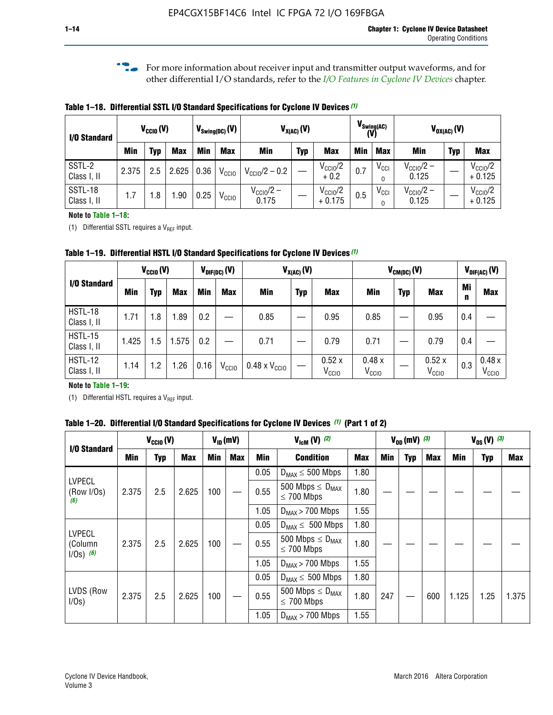**f For more information about receiver input and transmitter output waveforms, and for** other differential I/O standards, refer to the *[I/O Features in Cyclone IV Devices](http://www.altera.com/literature/hb/cyclone-iv/cyiv-51006.pdf)* chapter*.*

**Table 1–18. Differential SSTL I/O Standard Specifications for Cyclone IV Devices** *(1)*

| I/O Standard           |       | $V_{\text{CCIO}}(V)$ |            |      | $V_{\text{Swing(DC)}}(V)$ |                           | $V_{X(AC)}(V)$ |                                 |     | $V_{\text{Swing}(AC)}$<br>(V) |                                | $V_{OX(AC)}(V)$ |                                 |
|------------------------|-------|----------------------|------------|------|---------------------------|---------------------------|----------------|---------------------------------|-----|-------------------------------|--------------------------------|-----------------|---------------------------------|
|                        | Min   | Typ                  | <b>Max</b> | Min  | <b>Max</b>                | <b>Min</b>                | <b>Typ</b>     | <b>Max</b>                      | Min | <b>Max</b>                    | Min                            | <b>Typ</b>      | <b>Max</b>                      |
| SSTL-2<br>Class I, II  | 2.375 | 2.5                  | 2.625      | 0.36 | V <sub>CCIO</sub>         | $V_{\text{CC10}}/2 - 0.2$ |                | $V_{\text{CC10}}/2$<br>$+0.2$   | 0.7 | $V_{\text{CCI}}$<br>$\Omega$  | $V_{\text{CC10}}/2 -$<br>0.125 |                 | $V_{\text{CC10}}/2$<br>$+0.125$ |
| SSTL-18<br>Class I, II | 1.7   | .8                   | .90        | 0.25 | V <sub>CCIO</sub>         | $V_{CC10}/2 -$<br>0.175   |                | $V_{\text{CC10}}/2$<br>$+0.175$ | 0.5 | $V_{\text{CCI}}$<br>0         | $V_{\text{CC10}}/2 -$<br>0.125 |                 | $V_{\text{CC10}}/2$<br>$+0.125$ |

#### **Note to Table 1–18:**

(1) Differential SSTL requires a  $V_{REF}$  input.

**Table 1–19. Differential HSTL I/O Standard Specifications for Cyclone IV Devices** *(1)*

|                               | $V_{CClO}(V)$ |     |            |         | $V_{\text{DIF(DC)}}(V)$ | $V_{X(AC)}(V)$                |            |                            |                            | $V_{CM(DC)}(V)$ |                            |         | $V_{\text{DIF(AC)}}(V)$    |
|-------------------------------|---------------|-----|------------|---------|-------------------------|-------------------------------|------------|----------------------------|----------------------------|-----------------|----------------------------|---------|----------------------------|
| I/O Standard                  | Min           | Typ | <b>Max</b> | Min     | <b>Max</b>              | Min                           | <b>Typ</b> | <b>Max</b>                 | Min                        | <b>Typ</b>      | <b>Max</b>                 | Mi<br>n | <b>Max</b>                 |
| HSTL-18<br>Class I, II        | 1.71          | 1.8 | .89        | 0.2     |                         | 0.85                          |            | 0.95                       | 0.85                       |                 | 0.95                       | 0.4     |                            |
| <b>HSTL-15</b><br>Class I, II | 1.425         | 1.5 | .575       | $0.2\,$ |                         | 0.71                          |            | 0.79                       | 0.71                       |                 | 0.79                       | 0.4     |                            |
| <b>HSTL-12</b><br>Class I, II | 1.14          | 1.2 | 1.26       | 0.16    | V <sub>CCIO</sub>       | $0.48 \times V_{\text{CC10}}$ |            | 0.52x<br>V <sub>CCIO</sub> | 0.48x<br>V <sub>CCIO</sub> |                 | 0.52x<br>V <sub>CCIO</sub> | 0.3     | 0.48x<br>V <sub>CCIO</sub> |

### **Note to Table 1–19:**

(1) Differential HSTL requires a  $V_{REF}$  input.

**Table 1–20. Differential I/O Standard Specifications for Cyclone IV Devices** *(1)* **(Part 1 of 2)**

| I/O Standard                            |       | $V_{CCl0} (V)$       |            |            | $V_{ID}$ (mV) |                      | $V_{\text{lcm}}(V)^{(2)}$                           |            | $V_{0D}$ (mV) $(3)$ |     |     |       | $V_{0S} (V)^{(3)}$ |       |
|-----------------------------------------|-------|----------------------|------------|------------|---------------|----------------------|-----------------------------------------------------|------------|---------------------|-----|-----|-------|--------------------|-------|
|                                         | Min   | Typ                  | <b>Max</b> | <b>Min</b> | <b>Max</b>    | Min                  | <b>Condition</b>                                    | <b>Max</b> | Min                 | Typ | Max | Min   | <b>Typ</b>         | Max   |
|                                         |       |                      |            |            |               | 0.05                 | $D_{MAX} \leq 500$ Mbps                             | 1.80       |                     |     |     |       |                    |       |
| <b>LVPECL</b><br>(Row I/Os)<br>(6)      | 2.375 | 2.5                  | 2.625      | 100        |               | 0.55                 | 500 Mbps $\leq$ D <sub>MAX</sub><br>$\leq$ 700 Mbps | 1.80       |                     |     |     |       |                    |       |
|                                         |       |                      |            | 1.05       |               | $D_{MAX}$ > 700 Mbps | 1.55                                                |            |                     |     |     |       |                    |       |
|                                         |       |                      |            |            |               | 0.05                 | $D_{MAX} \leq 500$ Mbps                             | 1.80       |                     |     |     |       |                    |       |
| <b>LVPECL</b><br>(Column<br>$1/Os)$ (6) | 2.375 | 2.5                  | 2.625      | 100        |               | 0.55                 | 500 Mbps $\leq D_{MAX}$<br>$\leq$ 700 Mbps          | 1.80       |                     |     |     |       |                    |       |
|                                         |       |                      |            |            |               | 1.05                 | $D_{MAX}$ > 700 Mbps                                | 1.55       |                     |     |     |       |                    |       |
|                                         |       |                      |            |            |               | 0.05                 | $D_{MAX} \leq 500$ Mbps                             | 1.80       |                     |     |     |       |                    |       |
| LVDS (Row<br>I/Os)                      | 2.375 | 2.5                  | 2.625      | 100        |               | 0.55                 | 500 Mbps $\leq D_{MAX}$<br>$\leq 700$ Mbps          | 1.80       | 247                 |     | 600 | 1.125 | 1.25               | 1.375 |
|                                         | 1.05  | $D_{MAX}$ > 700 Mbps | 1.55       |            |               |                      |                                                     |            |                     |     |     |       |                    |       |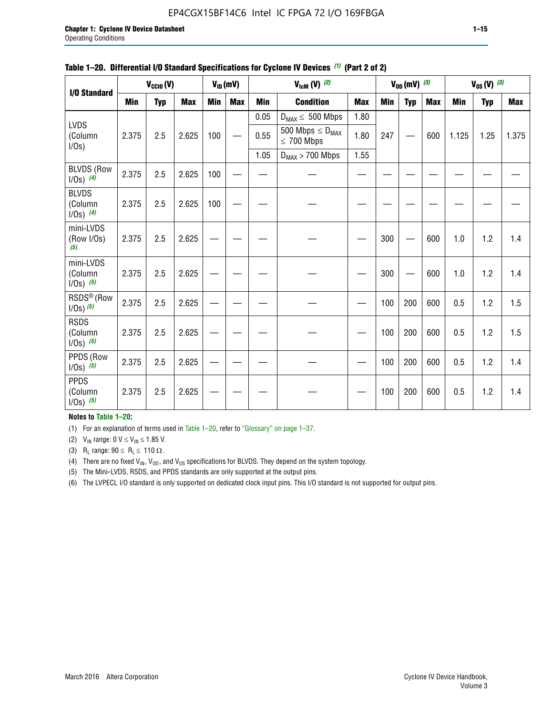# EP4CGX15BF14C6 Intel IC FPGA 72 I/O 169FBGA

| I/O Standard                             |            | $V_{\text{CCIO}}(V)$ |            |     | $V_{ID}(mV)$ |            | $V_{\text{ICM}}(V)$ (2)                    |            |     | $V_{OD}$ (mV) $(3)$ |            |            | $V_{0S} (V)$ (3) |            |
|------------------------------------------|------------|----------------------|------------|-----|--------------|------------|--------------------------------------------|------------|-----|---------------------|------------|------------|------------------|------------|
| <b>LVDS</b>                              |            |                      |            |     |              |            |                                            |            |     |                     |            |            |                  |            |
|                                          | <b>Min</b> | <b>Typ</b>           | <b>Max</b> | Min | <b>Max</b>   | <b>Min</b> | <b>Condition</b>                           | <b>Max</b> | Min | <b>Typ</b>          | <b>Max</b> | <b>Min</b> | <b>Typ</b>       | <b>Max</b> |
|                                          |            |                      |            |     |              | 0.05       | $D_{MAX} \leq 500$ Mbps                    | 1.80       |     |                     |            |            |                  |            |
| (Column<br>I/Os)                         | 2.375      | 2.5                  | 2.625      | 100 |              | 0.55       | 500 Mbps $\leq D_{MAX}$<br>$\leq 700$ Mbps | 1.80       | 247 |                     | 600        | 1.125      | 1.25             | 1.375      |
|                                          |            |                      |            |     |              | 1.05       | $D_{MAX}$ > 700 Mbps                       | 1.55       |     |                     |            |            |                  |            |
| <b>BLVDS (Row</b><br>$1/0s)$ (4)         | 2.375      | 2.5                  | 2.625      | 100 |              |            |                                            |            |     |                     |            |            |                  |            |
| <b>BLVDS</b><br>(Column<br>$1/0s)$ (4)   | 2.375      | 2.5                  | 2.625      | 100 |              |            |                                            |            |     |                     |            |            |                  |            |
| mini-LVDS<br>(Row I/Os)<br>(5)           | 2.375      | 2.5                  | 2.625      |     |              |            |                                            |            | 300 |                     | 600        | 1.0        | 1.2              | 1.4        |
| mini-LVDS<br>(Column<br>$1/0s)$ (5)      | 2.375      | 2.5                  | 2.625      |     |              |            |                                            |            | 300 |                     | 600        | 1.0        | 1.2              | 1.4        |
| RSDS <sup>®</sup> (Row<br>$1/0s$ ) $(5)$ | 2.375      | 2.5                  | 2.625      |     |              |            |                                            |            | 100 | 200                 | 600        | 0.5        | 1.2              | 1.5        |
| <b>RSDS</b><br>(Column<br>$1/Os)$ (5)    | 2.375      | 2.5                  | 2.625      |     |              |            |                                            |            | 100 | 200                 | 600        | 0.5        | 1.2              | 1.5        |
| PPDS (Row<br>$1/Os)$ (5)                 | 2.375      | 2.5                  | 2.625      |     |              |            |                                            |            | 100 | 200                 | 600        | 0.5        | 1.2              | 1.4        |
| <b>PPDS</b><br>(Column<br>$1/0s)$ (5)    | 2.375      | 2.5                  | 2.625      |     |              |            |                                            |            | 100 | 200                 | 600        | 0.5        | 1.2              | 1.4        |

#### **Table 1–20. Differential I/O Standard Specifications for Cyclone IV Devices** *(1)* **(Part 2 of 2)**

### **Notes to Table 1–20:**

(1) For an explanation of terms used in Table 1–20, refer to "Glossary" on page 1–37.

(2)  $V_{IN}$  range: 0  $V \le V_{IN} \le 1.85$  V.

(3) R<sub>L</sub> range:  $90 \le R_L \le 110 \Omega$ .

(4) There are no fixed  $V_{IN}$ ,  $V_{OD}$ , and  $V_{OS}$  specifications for BLVDS. They depend on the system topology.

(5) The Mini-LVDS, RSDS, and PPDS standards are only supported at the output pins.

(6) The LVPECL I/O standard is only supported on dedicated clock input pins. This I/O standard is not supported for output pins.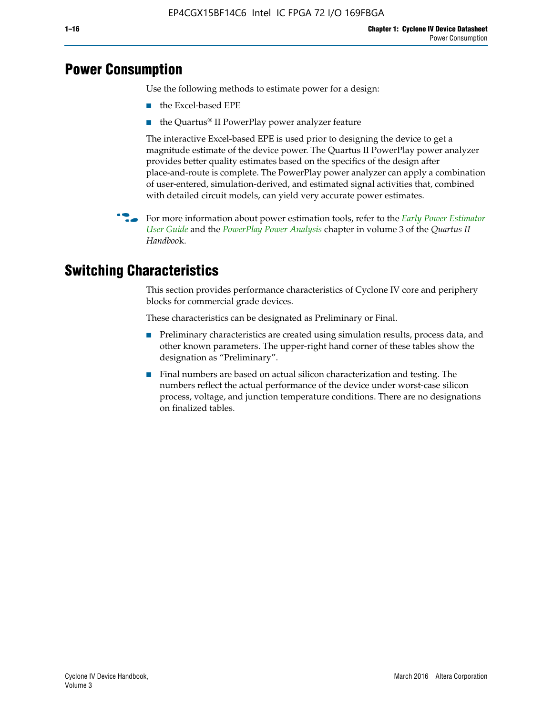# **Power Consumption**

Use the following methods to estimate power for a design:

- the Excel-based EPE
- the Quartus® II PowerPlay power analyzer feature

The interactive Excel-based EPE is used prior to designing the device to get a magnitude estimate of the device power. The Quartus II PowerPlay power analyzer provides better quality estimates based on the specifics of the design after place-and-route is complete. The PowerPlay power analyzer can apply a combination of user-entered, simulation-derived, and estimated signal activities that, combined with detailed circuit models, can yield very accurate power estimates.

**For more information about power estimation tools, refer to the** *Early Power Estimator* **<b>For a** *[User Guide](http://www.altera.com/literature/ug/ug_epe.pdf
)* and the *[PowerPlay Power Analysis](http://www.altera.com/literature/hb/qts/qts_qii53013.pdf)* chapter in volume 3 of the *Quartus II Handboo*k.

# **Switching Characteristics**

This section provides performance characteristics of Cyclone IV core and periphery blocks for commercial grade devices.

These characteristics can be designated as Preliminary or Final.

- Preliminary characteristics are created using simulation results, process data, and other known parameters. The upper-right hand corner of these tables show the designation as "Preliminary".
- Final numbers are based on actual silicon characterization and testing. The numbers reflect the actual performance of the device under worst-case silicon process, voltage, and junction temperature conditions. There are no designations on finalized tables.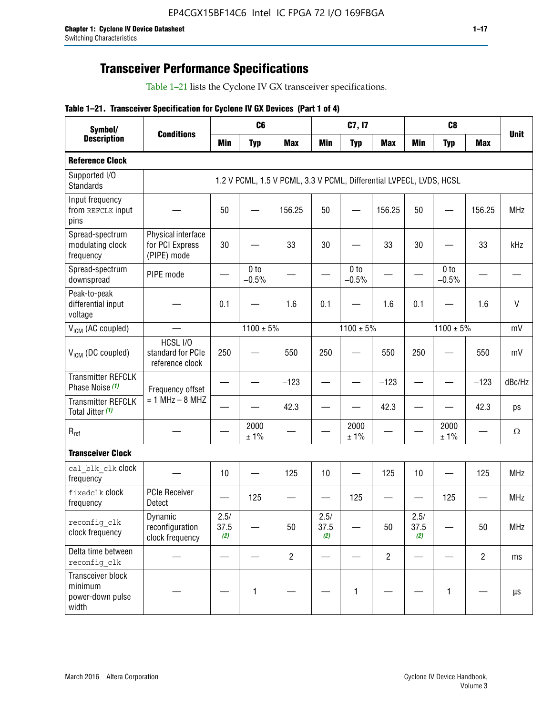# **Transceiver Performance Specifications**

Table 1–21 lists the Cyclone IV GX transceiver specifications.

### **Table 1–21. Transceiver Specification for Cyclone IV GX Devices (Part 1 of 4)**

| Symbol/                                                   |                                                      |                     | C <sub>6</sub>             |                                                                     |                     | C7, I7                     |                               |                     | C <sub>8</sub>             |                |              |
|-----------------------------------------------------------|------------------------------------------------------|---------------------|----------------------------|---------------------------------------------------------------------|---------------------|----------------------------|-------------------------------|---------------------|----------------------------|----------------|--------------|
| <b>Description</b>                                        | <b>Conditions</b>                                    | <b>Min</b>          | <b>Typ</b>                 | <b>Max</b>                                                          | <b>Min</b>          | <b>Typ</b>                 | <b>Max</b>                    | <b>Min</b>          | <b>Typ</b>                 | <b>Max</b>     | <b>Unit</b>  |
| <b>Reference Clock</b>                                    |                                                      |                     |                            |                                                                     |                     |                            |                               |                     |                            |                |              |
| Supported I/O<br><b>Standards</b>                         |                                                      |                     |                            | 1.2 V PCML, 1.5 V PCML, 3.3 V PCML, Differential LVPECL, LVDS, HCSL |                     |                            |                               |                     |                            |                |              |
| Input frequency<br>from REFCLK input<br>pins              |                                                      | 50                  |                            | 156.25                                                              | 50                  |                            | 156.25                        | 50                  | —                          | 156.25         | <b>MHz</b>   |
| Spread-spectrum<br>modulating clock<br>frequency          | Physical interface<br>for PCI Express<br>(PIPE) mode | 30                  |                            | 33                                                                  | 30                  |                            | 33                            | 30                  |                            | 33             | kHz          |
| Spread-spectrum<br>downspread                             | PIPE mode                                            |                     | 0 <sub>to</sub><br>$-0.5%$ |                                                                     |                     | 0 <sub>to</sub><br>$-0.5%$ |                               |                     | 0 <sub>to</sub><br>$-0.5%$ |                |              |
| Peak-to-peak<br>differential input<br>voltage             |                                                      | 0.1                 |                            | 1.6                                                                 | 0.1                 |                            | 1.6                           | 0.1                 |                            | 1.6            | $\mathsf{V}$ |
| V <sub>ICM</sub> (AC coupled)                             |                                                      |                     | $1100 \pm 5\%$             |                                                                     |                     | $1100 \pm 5\%$             |                               |                     | $1100 \pm 5\%$             |                | mV           |
| V <sub>ICM</sub> (DC coupled)                             | HCSL I/O<br>standard for PCIe<br>reference clock     | 250                 |                            | 550                                                                 | 250                 |                            | 550                           | 250                 |                            | 550            | mV           |
| <b>Transmitter REFCLK</b><br>Phase Noise (1)              | Frequency offset                                     |                     |                            | $-123$                                                              |                     |                            | $-123$                        |                     |                            | $-123$         | dBc/Hz       |
| <b>Transmitter REFCLK</b><br>Total Jitter (1)             | $= 1$ MHz $- 8$ MHZ                                  |                     |                            | 42.3                                                                |                     |                            | 42.3                          |                     |                            | 42.3           | ps           |
| $R_{ref}$                                                 |                                                      |                     | 2000<br>± 1%               |                                                                     |                     | 2000<br>± 1%               |                               |                     | 2000<br>± 1%               |                | $\Omega$     |
| <b>Transceiver Clock</b>                                  |                                                      |                     |                            |                                                                     |                     |                            |                               |                     |                            |                |              |
| cal blk clk clock<br>frequency                            |                                                      | 10                  |                            | 125                                                                 | 10                  |                            | 125                           | 10                  |                            | 125            | <b>MHz</b>   |
| fixedclk Clock<br>frequency                               | <b>PCIe Receiver</b><br>Detect                       |                     | 125                        |                                                                     |                     | 125                        | $\overbrace{\phantom{aaaaa}}$ |                     | 125                        |                | <b>MHz</b>   |
| reconfig clk<br>clock frequency                           | Dynamic<br>reconfiguration<br>clock frequency        | 2.5/<br>37.5<br>(2) |                            | 50                                                                  | 2.5/<br>37.5<br>(2) |                            | 50                            | 2.5/<br>37.5<br>(2) |                            | 50             | <b>MHz</b>   |
| Delta time between<br>reconfig clk                        |                                                      |                     |                            | $\overline{c}$                                                      |                     |                            | $\overline{c}$                |                     |                            | $\overline{2}$ | ms           |
| Transceiver block<br>minimum<br>power-down pulse<br>width |                                                      |                     | 1                          |                                                                     |                     | 1                          |                               |                     | $\mathbf{1}$               |                | $\mu s$      |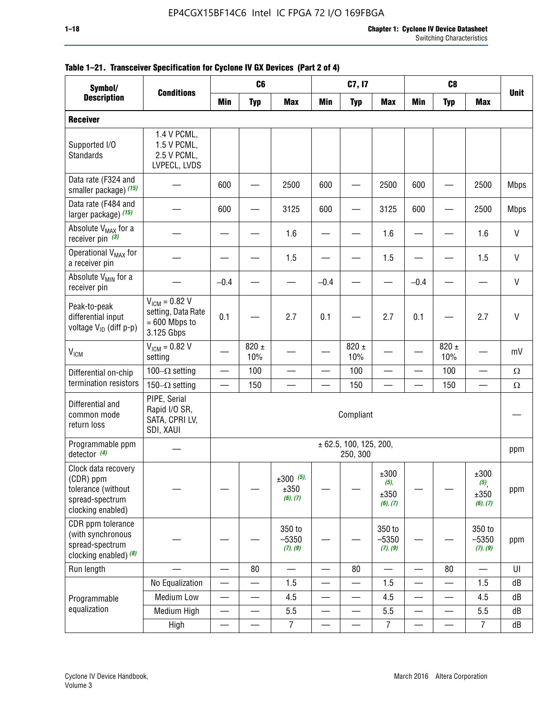| Symbol/                                                                                        |                                                                           |                          | C <sub>6</sub>           |                                    |                          | C7, I7                             |                                  |                          | C <sub>8</sub>   |                                                     |              |
|------------------------------------------------------------------------------------------------|---------------------------------------------------------------------------|--------------------------|--------------------------|------------------------------------|--------------------------|------------------------------------|----------------------------------|--------------------------|------------------|-----------------------------------------------------|--------------|
| <b>Description</b>                                                                             | <b>Conditions</b>                                                         | Min                      | <b>Typ</b>               | <b>Max</b>                         | <b>Min</b>               | <b>Typ</b>                         | <b>Max</b>                       | <b>Min</b>               | <b>Typ</b>       | <b>Max</b>                                          | <b>Unit</b>  |
| <b>Receiver</b>                                                                                |                                                                           |                          |                          |                                    |                          |                                    |                                  |                          |                  |                                                     |              |
| Supported I/O<br><b>Standards</b>                                                              | 1.4 V PCML,<br>1.5 V PCML,<br>2.5 V PCML,<br>LVPECL, LVDS                 |                          |                          |                                    |                          |                                    |                                  |                          |                  |                                                     |              |
| Data rate (F324 and<br>smaller package) (15)                                                   |                                                                           | 600                      |                          | 2500                               | 600                      |                                    | 2500                             | 600                      |                  | 2500                                                | <b>Mbps</b>  |
| Data rate (F484 and<br>larger package) (15)                                                    |                                                                           | 600                      |                          | 3125                               | 600                      |                                    | 3125                             | 600                      |                  | 2500                                                | <b>Mbps</b>  |
| Absolute V <sub>MAX</sub> for a<br>receiver pin $(3)$                                          |                                                                           |                          |                          | 1.6                                |                          |                                    | 1.6                              |                          |                  | 1.6                                                 | $\mathsf{V}$ |
| Operational V <sub>MAX</sub> for<br>a receiver pin                                             |                                                                           |                          |                          | 1.5                                |                          |                                    | 1.5                              |                          |                  | 1.5                                                 | $\mathsf{V}$ |
| Absolute V <sub>MIN</sub> for a<br>receiver pin                                                |                                                                           | $-0.4$                   |                          |                                    | $-0.4$                   |                                    |                                  | $-0.4$                   |                  |                                                     | $\mathsf{V}$ |
| Peak-to-peak<br>differential input<br>voltage V <sub>ID</sub> (diff p-p)                       | $V_{ICM} = 0.82 V$<br>setting, Data Rate<br>$= 600$ Mbps to<br>3.125 Gbps | 0.1                      |                          | 2.7                                | 0.1                      |                                    | 2.7                              | 0.1                      |                  | 2.7                                                 | $\mathsf{V}$ |
| <b>V<sub>ICM</sub></b>                                                                         | $V_{ICM} = 0.82 V$<br>setting                                             |                          | $820 \pm$<br>10%         |                                    |                          | 820 $\pm$<br>10%                   |                                  |                          | $820 \pm$<br>10% |                                                     | mV           |
| Differential on-chip                                                                           | 100 $-\Omega$ setting                                                     | $\qquad \qquad$          | 100                      | —                                  |                          | 100                                | —                                | —                        | 100              | $\overline{\phantom{0}}$                            | $\Omega$     |
| termination resistors                                                                          | 150 $-\Omega$ setting                                                     |                          | 150                      |                                    |                          | 150                                |                                  |                          | 150              |                                                     | $\Omega$     |
| Differential and<br>common mode<br>return loss                                                 | PIPE, Serial<br>Rapid I/O SR,<br>SATA, CPRI LV,<br>SDI, XAUI              |                          |                          |                                    |                          | Compliant                          |                                  |                          |                  |                                                     |              |
| Programmable ppm<br>detector $(4)$                                                             |                                                                           |                          |                          |                                    |                          | ± 62.5, 100, 125, 200,<br>250, 300 |                                  |                          |                  |                                                     | ppm          |
| Clock data recovery<br>(CDR) ppm<br>tolerance (without<br>spread-spectrum<br>clocking enabled) |                                                                           |                          |                          | $\pm 300$ (5),<br>±350<br>(6), (7) |                          |                                    | ±300<br>(5),<br>±350<br>(6), (7) |                          |                  | $\pm 300$<br>$(5)$ <sub>,</sub><br>±350<br>(6), (7) | ppm          |
| CDR ppm tolerance<br>(with synchronous<br>spread-spectrum<br>clocking enabled) $(8)$           |                                                                           |                          |                          | 350 to<br>$-5350$<br>(7), (9)      |                          |                                    | 350 to<br>$-5350$<br>(7), (9)    |                          |                  | 350 to<br>$-5350$<br>(7), (9)                       | ppm          |
| Run length                                                                                     |                                                                           |                          | 80                       |                                    | $\overline{\phantom{0}}$ | 80                                 | $\overline{\phantom{0}}$         |                          | 80               |                                                     | U            |
|                                                                                                | No Equalization                                                           | $\overline{\phantom{0}}$ |                          | 1.5                                | $\overline{\phantom{0}}$ |                                    | 1.5                              | —                        |                  | 1.5                                                 | dB           |
| Programmable                                                                                   | <b>Medium Low</b>                                                         | $\overline{\phantom{0}}$ | —                        | 4.5                                | $\overline{\phantom{0}}$ | —                                  | 4.5                              | $\overline{\phantom{0}}$ | $\sim$           | 4.5                                                 | dB           |
| equalization                                                                                   | Medium High                                                               | $\overline{\phantom{0}}$ | $\overline{\phantom{0}}$ | 5.5                                | $\overline{\phantom{0}}$ | $\overline{\phantom{0}}$           | 5.5                              | $\overline{\phantom{0}}$ |                  | 5.5                                                 | dB           |
|                                                                                                | High                                                                      |                          | $\overline{\phantom{0}}$ | $\overline{7}$                     | $\overline{\phantom{0}}$ |                                    | $\overline{7}$                   |                          |                  | $\overline{7}$                                      | dB           |

### **Table 1–21. Transceiver Specification for Cyclone IV GX Devices (Part 2 of 4)**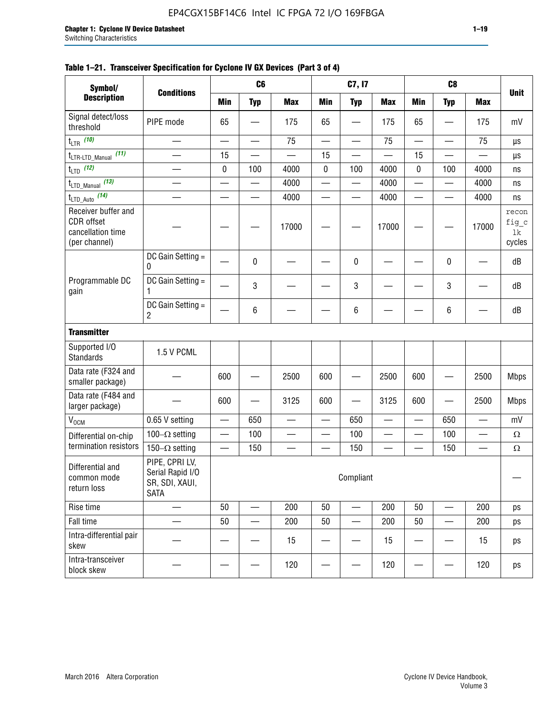| Symbol/                                                                 | <b>Conditions</b>                                                   |                                | C <sub>6</sub>           |            |                          | C7, I7                   |            |                          | C <sub>8</sub>           |            | <b>Unit</b>                    |
|-------------------------------------------------------------------------|---------------------------------------------------------------------|--------------------------------|--------------------------|------------|--------------------------|--------------------------|------------|--------------------------|--------------------------|------------|--------------------------------|
| <b>Description</b>                                                      |                                                                     | <b>Min</b>                     | <b>Typ</b>               | <b>Max</b> | Min                      | <b>Typ</b>               | <b>Max</b> | <b>Min</b>               | <b>Typ</b>               | <b>Max</b> |                                |
| Signal detect/loss<br>threshold                                         | PIPE mode                                                           | 65                             |                          | 175        | 65                       |                          | 175        | 65                       |                          | 175        | mV                             |
| $t_{LTR}$ (10)                                                          |                                                                     |                                |                          | 75         | $\overline{\phantom{0}}$ |                          | 75         |                          |                          | 75         | $\mu s$                        |
| (11)<br>t <sub>LTR-LTD_Manual</sub>                                     | $\overline{\phantom{0}}$                                            | 15                             | $\overline{\phantom{a}}$ |            | 15                       |                          |            | 15                       |                          |            | μs                             |
| $t_{\text{LTD}}$ (12)                                                   |                                                                     | 0                              | 100                      | 4000       | 0                        | 100                      | 4000       | 0                        | 100                      | 4000       | ns                             |
| $t_{\text{LTD\_Manual}}$ (13)                                           |                                                                     |                                | $\overline{\phantom{0}}$ | 4000       |                          |                          | 4000       | $\overline{\phantom{0}}$ | $\overline{\phantom{0}}$ | 4000       | ns                             |
| t <sub>LTD_Auto</sub> (14)                                              |                                                                     |                                | $\overline{\phantom{a}}$ | 4000       |                          | $\overline{\phantom{a}}$ | 4000       | $\overline{\phantom{0}}$ |                          | 4000       | ns                             |
| Receiver buffer and<br>CDR offset<br>cancellation time<br>(per channel) |                                                                     |                                |                          | 17000      |                          |                          | 17000      |                          |                          | 17000      | recon<br>fig_c<br>lk<br>cycles |
|                                                                         | DC Gain Setting =<br>0                                              |                                | 0                        |            |                          | 0                        |            |                          | 0                        |            | dB                             |
| Programmable DC<br>gain                                                 | DC Gain Setting =<br>1                                              |                                | 3                        |            |                          | 3                        |            |                          | 3                        |            | dB                             |
|                                                                         | DC Gain Setting =<br>$\overline{c}$                                 |                                | 6                        |            |                          | 6                        |            |                          | 6                        |            | dB                             |
| <b>Transmitter</b>                                                      |                                                                     |                                |                          |            |                          |                          |            |                          |                          |            |                                |
| Supported I/O<br><b>Standards</b>                                       | 1.5 V PCML                                                          |                                |                          |            |                          |                          |            |                          |                          |            |                                |
| Data rate (F324 and<br>smaller package)                                 |                                                                     | 600                            |                          | 2500       | 600                      |                          | 2500       | 600                      |                          | 2500       | <b>Mbps</b>                    |
| Data rate (F484 and<br>larger package)                                  |                                                                     | 600                            |                          | 3125       | 600                      |                          | 3125       | 600                      |                          | 2500       | <b>Mbps</b>                    |
| V <sub>OCM</sub>                                                        | 0.65 V setting                                                      |                                | 650                      |            |                          | 650                      |            |                          | 650                      |            | mV                             |
| Differential on-chip                                                    | 100 $-\Omega$ setting                                               |                                | 100                      | —          |                          | 100                      |            | $\overline{\phantom{0}}$ | 100                      | —          | $\Omega$                       |
| termination resistors                                                   | 150 $-\Omega$ setting                                               | $\qquad \qquad \longleftarrow$ | 150                      |            |                          | 150                      |            |                          | 150                      | —<br>—     | $\Omega$                       |
| Differential and<br>common mode<br>return loss                          | PIPE, CPRI LV,<br>Serial Rapid I/O<br>SR, SDI, XAUI,<br><b>SATA</b> |                                |                          |            |                          | Compliant                |            |                          |                          |            |                                |
| Rise time                                                               |                                                                     | 50                             | $\overline{\phantom{a}}$ | 200        | 50                       | —                        | 200        | 50                       |                          | 200        | ps                             |
| Fall time                                                               |                                                                     | 50                             |                          | 200        | 50                       |                          | 200        | 50                       |                          | 200        | ps                             |
| Intra-differential pair<br>skew                                         |                                                                     |                                |                          | 15         |                          |                          | 15         |                          |                          | 15         | ps                             |
| Intra-transceiver<br>block skew                                         |                                                                     |                                |                          | 120        |                          |                          | 120        |                          |                          | 120        | ps                             |

### **Table 1–21. Transceiver Specification for Cyclone IV GX Devices (Part 3 of 4)**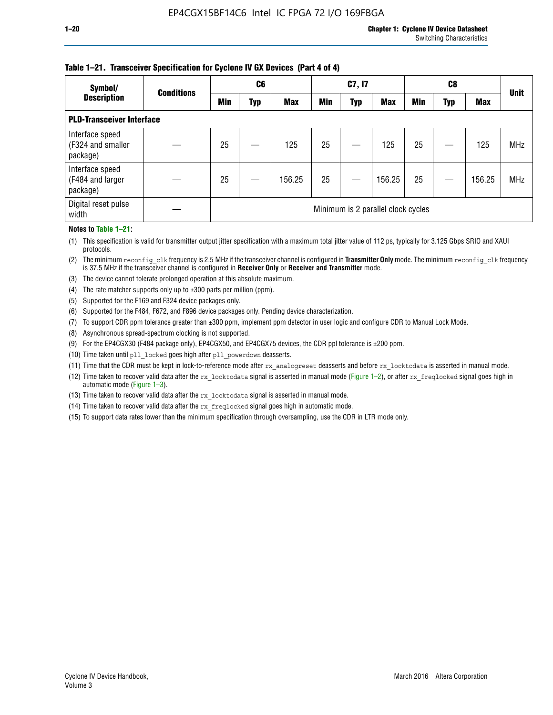### **Table 1–21. Transceiver Specification for Cyclone IV GX Devices (Part 4 of 4)**

| Symbol/                                          | <b>Conditions</b> | C <sub>6</sub>                     |     |            | C7, I7     |     |            |            |            |            |             |
|--------------------------------------------------|-------------------|------------------------------------|-----|------------|------------|-----|------------|------------|------------|------------|-------------|
| <b>Description</b>                               |                   | <b>Min</b>                         | Typ | <b>Max</b> | <b>Min</b> | Typ | <b>Max</b> | <b>Min</b> | <b>Typ</b> | <b>Max</b> | <b>Unit</b> |
| <b>PLD-Transceiver Interface</b>                 |                   |                                    |     |            |            |     |            |            |            |            |             |
| Interface speed<br>(F324 and smaller<br>package) |                   | 25                                 |     | 125        | 25         |     | 125        | 25         |            | 125        | <b>MHz</b>  |
| Interface speed<br>(F484 and larger<br>package)  |                   | 25                                 |     | 156.25     | 25         |     | 156.25     | 25         |            | 156.25     | <b>MHz</b>  |
| Digital reset pulse<br>width                     |                   | Minimum is 2 parallel clock cycles |     |            |            |     |            |            |            |            |             |

#### **Notes to Table 1–21:**

(1) This specification is valid for transmitter output jitter specification with a maximum total jitter value of 112 ps, typically for 3.125 Gbps SRIO and XAUI protocols.

(2) The minimum reconfig\_clk frequency is 2.5 MHz if the transceiver channel is configured in **Transmitter Only** mode. The minimum reconfig\_clk frequency is 37.5 MHz if the transceiver channel is configured in **Receiver Only** or **Receiver and Transmitter** mode.

(3) The device cannot tolerate prolonged operation at this absolute maximum.

- (4) The rate matcher supports only up to  $\pm 300$  parts per million (ppm).
- (5) Supported for the F169 and F324 device packages only.
- (6) Supported for the F484, F672, and F896 device packages only. Pending device characterization.
- (7) To support CDR ppm tolerance greater than ±300 ppm, implement ppm detector in user logic and configure CDR to Manual Lock Mode.
- (8) Asynchronous spread-spectrum clocking is not supported.
- (9) For the EP4CGX30 (F484 package only), EP4CGX50, and EP4CGX75 devices, the CDR ppl tolerance is ±200 ppm.
- (10) Time taken until pll\_locked goes high after pll\_powerdown deasserts.
- (11) Time that the CDR must be kept in lock-to-reference mode after rx analogreset deasserts and before rx locktodata is asserted in manual mode.

(12) Time taken to recover valid data after the rx locktodata signal is asserted in manual mode (Figure 1–2), or after rx freqlocked signal goes high in automatic mode (Figure 1–3).

(13) Time taken to recover valid data after the rx locktodata signal is asserted in manual mode.

- (14) Time taken to recover valid data after the rx\_freqlocked signal goes high in automatic mode.
- (15) To support data rates lower than the minimum specification through oversampling, use the CDR in LTR mode only.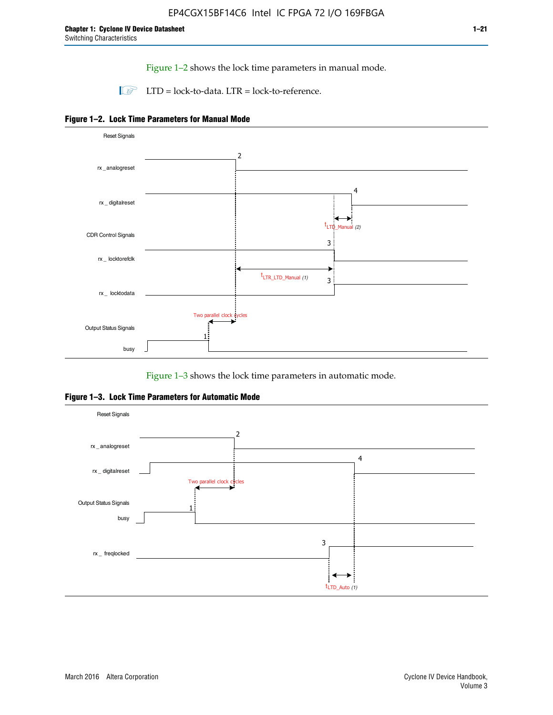Figure 1–2 shows the lock time parameters in manual mode.

 $\Box$  LTD = lock-to-data. LTR = lock-to-reference.





Figure 1–3 shows the lock time parameters in automatic mode.

**Figure 1–3. Lock Time Parameters for Automatic Mode**

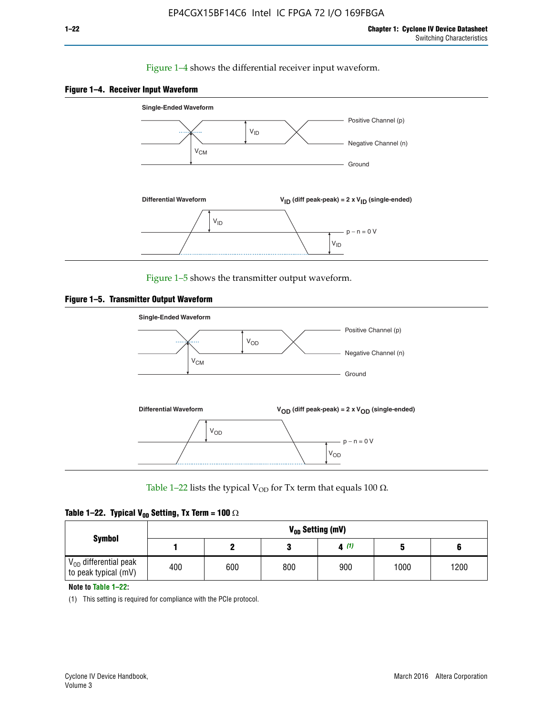### Figure 1–4 shows the differential receiver input waveform.





Figure 1–5 shows the transmitter output waveform.





Table 1–22 lists the typical V<sub>OD</sub> for Tx term that equals 100  $\Omega$ .

| Table 1–22. Typical V <sub>0D</sub> Setting, Tx Term = 100 $\Omega$ |  |  |  |  |  |  |  |
|---------------------------------------------------------------------|--|--|--|--|--|--|--|
|---------------------------------------------------------------------|--|--|--|--|--|--|--|

|                                                        |     | V <sub>on</sub> Setting (mV) |     |      |      |      |  |  |  |  |  |  |  |
|--------------------------------------------------------|-----|------------------------------|-----|------|------|------|--|--|--|--|--|--|--|
| <b>Symbol</b>                                          |     |                              |     | 4(1) |      |      |  |  |  |  |  |  |  |
| $\rm V_{OD}$ differential peak<br>to peak typical (mV) | 400 | 600                          | 800 | 900  | 1000 | 1200 |  |  |  |  |  |  |  |

**Note to Table 1–22:**

(1) This setting is required for compliance with the PCIe protocol.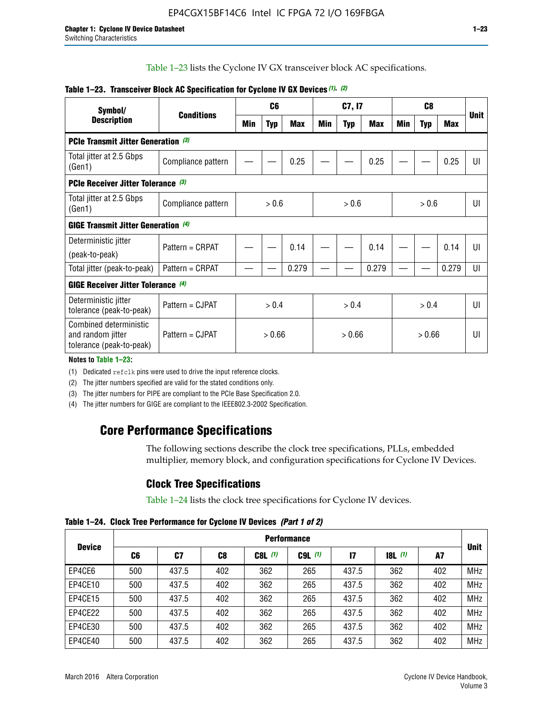Table 1–23 lists the Cyclone IV GX transceiver block AC specifications.

| Symbol/<br><b>Description</b>                                           |                    |     | C <sub>6</sub> |            |       | C7, I7 |            | C <sub>8</sub> |            |            | <b>Unit</b>    |
|-------------------------------------------------------------------------|--------------------|-----|----------------|------------|-------|--------|------------|----------------|------------|------------|----------------|
|                                                                         | <b>Conditions</b>  | Min | Typ            | <b>Max</b> | Min   | Typ    | <b>Max</b> | Min            | <b>Typ</b> | <b>Max</b> |                |
| <b>PCIe Transmit Jitter Generation</b> (3)                              |                    |     |                |            |       |        |            |                |            |            |                |
| Total jitter at 2.5 Gbps<br>(Gen1)                                      | Compliance pattern |     |                | 0.25       |       |        | 0.25       |                |            | 0.25       | $  \cdot  $    |
| PCIe Receiver Jitter Tolerance (3)                                      |                    |     |                |            |       |        |            |                |            |            |                |
| Total jitter at 2.5 Gbps<br>(Gen1)                                      | Compliance pattern |     | > 0.6          |            |       | > 0.6  |            |                | > 0.6      |            | Ш              |
| <b>GIGE Transmit Jitter Generation</b> (4)                              |                    |     |                |            |       |        |            |                |            |            |                |
| Deterministic jitter<br>(peak-to-peak)                                  | Pattern = CRPAT    |     |                | 0.14       |       |        | 0.14       |                |            | 0.14       | UI             |
| Total jitter (peak-to-peak)                                             | Pattern = CRPAT    |     |                | 0.279      |       |        | 0.279      |                |            | 0.279      | UI             |
| <b>GIGE Receiver Jitter Tolerance (4)</b>                               |                    |     |                |            |       |        |            |                |            |            |                |
| Deterministic jitter<br>tolerance (peak-to-peak)                        | Pattern = CJPAT    |     | > 0.4          |            | > 0.4 |        |            | > 0.4          |            |            | $\mathsf{III}$ |
| Combined deterministic<br>and random jitter<br>tolerance (peak-to-peak) | Pattern = CJPAT    |     | > 0.66         |            |       | > 0.66 |            |                | > 0.66     |            | UI             |

### **Table 1–23. Transceiver Block AC Specification for Cyclone IV GX Devices** *(1)***,** *(2)*

**Notes to Table 1–23:**

(1) Dedicated refclk pins were used to drive the input reference clocks.

(2) The jitter numbers specified are valid for the stated conditions only.

(3) The jitter numbers for PIPE are compliant to the PCIe Base Specification 2.0.

(4) The jitter numbers for GIGE are compliant to the IEEE802.3-2002 Specification.

# **Core Performance Specifications**

The following sections describe the clock tree specifications, PLLs, embedded multiplier, memory block, and configuration specifications for Cyclone IV Devices.

# **Clock Tree Specifications**

Table 1–24 lists the clock tree specifications for Cyclone IV devices.

**Table 1–24. Clock Tree Performance for Cyclone IV Devices** *(Part 1 of 2)*

| <b>Device</b> | <b>Performance</b> |       |     |           |             |              |                  |     |             |  |  |  |
|---------------|--------------------|-------|-----|-----------|-------------|--------------|------------------|-----|-------------|--|--|--|
|               | C6                 | C7    | C8  | $C8L$ (1) | $C9L$ $(1)$ | $\mathbf{I}$ | <b>18L</b> $(1)$ | A7  | <b>Unit</b> |  |  |  |
| EP4CE6        | 500                | 437.5 | 402 | 362       | 265         | 437.5        | 362              | 402 | <b>MHz</b>  |  |  |  |
| EP4CE10       | 500                | 437.5 | 402 | 362       | 265         | 437.5        | 362              | 402 | <b>MHz</b>  |  |  |  |
| EP4CE15       | 500                | 437.5 | 402 | 362       | 265         | 437.5        | 362              | 402 | <b>MHz</b>  |  |  |  |
| EP4CE22       | 500                | 437.5 | 402 | 362       | 265         | 437.5        | 362              | 402 | <b>MHz</b>  |  |  |  |
| EP4CE30       | 500                | 437.5 | 402 | 362       | 265         | 437.5        | 362              | 402 | <b>MHz</b>  |  |  |  |
| EP4CE40       | 500                | 437.5 | 402 | 362       | 265         | 437.5        | 362              | 402 | <b>MHz</b>  |  |  |  |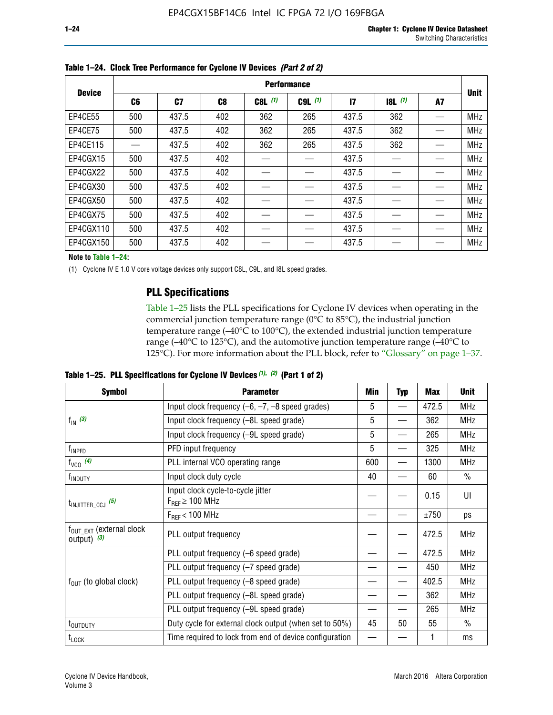|               |                | <b>Performance</b> |                |           |             |                 |       |    |             |  |  |  |  |  |  |
|---------------|----------------|--------------------|----------------|-----------|-------------|-----------------|-------|----|-------------|--|--|--|--|--|--|
| <b>Device</b> | C <sub>6</sub> | C7                 | C <sub>8</sub> | $C8L$ (1) | $C9L$ $(1)$ | $\overline{17}$ | 8L(1) | A7 | <b>Unit</b> |  |  |  |  |  |  |
| EP4CE55       | 500            | 437.5              | 402            | 362       | 265         | 437.5           | 362   |    | <b>MHz</b>  |  |  |  |  |  |  |
| EP4CE75       | 500            | 437.5              | 402            | 362       | 265         | 437.5           | 362   |    | <b>MHz</b>  |  |  |  |  |  |  |
| EP4CE115      |                | 437.5              | 402            | 362       | 265         | 437.5           | 362   |    | <b>MHz</b>  |  |  |  |  |  |  |
| EP4CGX15      | 500            | 437.5              | 402            |           |             | 437.5           |       |    | <b>MHz</b>  |  |  |  |  |  |  |
| EP4CGX22      | 500            | 437.5              | 402            |           |             | 437.5           |       |    | <b>MHz</b>  |  |  |  |  |  |  |
| EP4CGX30      | 500            | 437.5              | 402            |           |             | 437.5           |       |    | <b>MHz</b>  |  |  |  |  |  |  |
| EP4CGX50      | 500            | 437.5              | 402            |           |             | 437.5           |       |    | <b>MHz</b>  |  |  |  |  |  |  |
| EP4CGX75      | 500            | 437.5              | 402            |           |             | 437.5           |       |    | <b>MHz</b>  |  |  |  |  |  |  |
| EP4CGX110     | 500            | 437.5              | 402            |           |             | 437.5           |       |    | <b>MHz</b>  |  |  |  |  |  |  |
| EP4CGX150     | 500            | 437.5              | 402            |           |             | 437.5           |       |    | <b>MHz</b>  |  |  |  |  |  |  |

**Table 1–24. Clock Tree Performance for Cyclone IV Devices** *(Part 2 of 2)*

**Note to Table 1–24:**

(1) Cyclone IV E 1.0 V core voltage devices only support C8L, C9L, and I8L speed grades.

# **PLL Specifications**

Table 1–25 lists the PLL specifications for Cyclone IV devices when operating in the commercial junction temperature range (0°C to 85°C), the industrial junction temperature range (–40°C to 100°C), the extended industrial junction temperature range (–40°C to 125°C), and the automotive junction temperature range (–40°C to 125°C). For more information about the PLL block, refer to "Glossary" on page 1–37.

**Table 1–25. PLL Specifications for Cyclone IV Devices** *(1), (2)* **(Part 1 of 2)**

| <b>Symbol</b>                                          | <b>Parameter</b>                                            | Min | <b>Typ</b> | <b>Max</b> | <b>Unit</b>   |
|--------------------------------------------------------|-------------------------------------------------------------|-----|------------|------------|---------------|
|                                                        | Input clock frequency $(-6, -7, -8)$ speed grades)          | 5   |            | 472.5      | <b>MHz</b>    |
| $f_{\text{IN}}$ (3)                                    | Input clock frequency (-8L speed grade)                     | 5   |            | 362        | <b>MHz</b>    |
|                                                        | Input clock frequency (-9L speed grade)                     | 5   |            | 265        | <b>MHz</b>    |
| f <sub>INPFD</sub>                                     | PFD input frequency                                         | 5   |            | 325        | <b>MHz</b>    |
| $f_{VCO}$ (4)                                          | PLL internal VCO operating range                            | 600 |            | 1300       | <b>MHz</b>    |
| f <sub>INDUTY</sub>                                    | Input clock duty cycle                                      | 40  |            | 60         | $\frac{0}{0}$ |
| $t_{\text{INJITTER\_CCJ}}$ (5)                         | Input clock cycle-to-cycle jitter<br>$F_{REF} \geq 100$ MHz |     |            | 0.15       | UI            |
|                                                        | $F_{RFF}$ < 100 MHz                                         |     |            | ±750       | ps            |
| $f_{\text{OUT\_EXT}}$ (external clock<br>output) $(3)$ | PLL output frequency                                        |     |            | 472.5      | <b>MHz</b>    |
|                                                        | PLL output frequency (-6 speed grade)                       |     |            | 472.5      | <b>MHz</b>    |
|                                                        | PLL output frequency (-7 speed grade)                       |     |            | 450        | <b>MHz</b>    |
| $f_{OUT}$ (to global clock)                            | PLL output frequency (-8 speed grade)                       |     |            | 402.5      | <b>MHz</b>    |
|                                                        | PLL output frequency (-8L speed grade)                      |     |            | 362        | <b>MHz</b>    |
|                                                        | PLL output frequency (-9L speed grade)                      |     |            | 265        | <b>MHz</b>    |
| t <sub>outputy</sub>                                   | Duty cycle for external clock output (when set to 50%)      | 45  | 50         | 55         | $\frac{0}{0}$ |
| $t_{\textrm{LOCK}}$                                    | Time required to lock from end of device configuration      |     |            |            | ms            |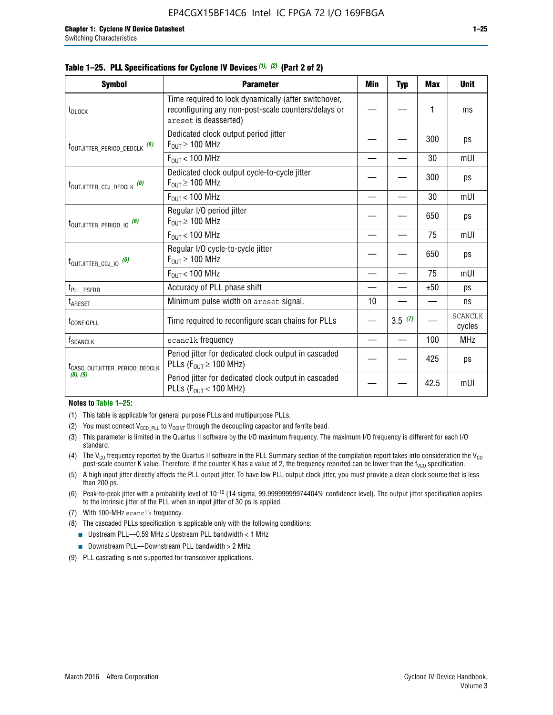|  |  | Table 1–25. PLL Specifications for Cyclone IV Devices (1), (2) (Part 2 of 2) |  |
|--|--|------------------------------------------------------------------------------|--|
|--|--|------------------------------------------------------------------------------|--|

| <b>Symbol</b>                             | <b>Parameter</b>                                                                                                                     | Min | <b>Typ</b> | <b>Max</b> | <b>Unit</b>              |
|-------------------------------------------|--------------------------------------------------------------------------------------------------------------------------------------|-----|------------|------------|--------------------------|
| t <sub>DLOCK</sub>                        | Time required to lock dynamically (after switchover,<br>reconfiguring any non-post-scale counters/delays or<br>areset is deasserted) |     |            | 1          | ms                       |
| t <sub>outjitter_period_dedclk</sub> (6)  | Dedicated clock output period jitter<br>$F_{OIII} \geq 100$ MHz                                                                      |     |            | 300        | ps                       |
|                                           | $F_{\text{OUT}}$ < 100 MHz                                                                                                           |     |            | 30         | mUI                      |
| t <sub>outjitter_ccj_dedclk</sub> (6)     | Dedicated clock output cycle-to-cycle jitter<br>$F_{\text{OUT}} \geq 100 \text{ MHz}$                                                |     |            | 300        | ps                       |
|                                           | $F_{\text{OUT}}$ < 100 MHz                                                                                                           |     |            | 30         | mUI                      |
| t <sub>outjitter_period_io</sub> (6)      | Regular I/O period jitter<br>$F_{OIII} \geq 100$ MHz                                                                                 |     |            | 650        | ps                       |
|                                           | $F_{OUT}$ < 100 MHz                                                                                                                  |     |            | 75         | mUI                      |
| t <sub>outjitter_ccj_io</sub> (6)         | Regular I/O cycle-to-cycle jitter<br>$F_{OUT} \geq 100$ MHz                                                                          |     |            | 650        | ps                       |
|                                           | $F_{\text{OUT}}$ < 100 MHz                                                                                                           |     |            | 75         | mUI                      |
| t <sub>PLL_PSERR</sub>                    | Accuracy of PLL phase shift                                                                                                          |     |            | ±50        | ps                       |
| t <sub>ARESET</sub>                       | Minimum pulse width on areset signal.                                                                                                | 10  |            |            | ns                       |
| t <sub>configpll</sub>                    | Time required to reconfigure scan chains for PLLs                                                                                    |     | 3.5(7)     |            | <b>SCANCLK</b><br>cycles |
| f <sub>SCANCLK</sub>                      | scanclk frequency                                                                                                                    |     |            | 100        | <b>MHz</b>               |
| t <sub>CASC_OUTJITTER_PERIOD_DEDCLK</sub> | Period jitter for dedicated clock output in cascaded<br>PLLs ( $F_{OUT} \ge 100$ MHz)                                                |     |            | 425        | ps                       |
| (8), (9)                                  | Period jitter for dedicated clock output in cascaded<br>PLLs ( $F_{OUT}$ < 100 MHz)                                                  |     |            | 42.5       | mUI                      |

#### **Notes to Table 1–25:**

- (1) This table is applicable for general purpose PLLs and multipurpose PLLs.
- (2) You must connect  $V_{CCD-PLL}$  to  $V_{CCINT}$  through the decoupling capacitor and ferrite bead.
- (3) This parameter is limited in the Quartus II software by the I/O maximum frequency. The maximum I/O frequency is different for each I/O standard.
- (4) The  $V_{CO}$  frequency reported by the Quartus II software in the PLL Summary section of the compilation report takes into consideration the  $V_{CO}$ post-scale counter K value. Therefore, if the counter K has a value of 2, the frequency reported can be lower than the f<sub>VCO</sub> specification.
- (5) A high input jitter directly affects the PLL output jitter. To have low PLL output clock jitter, you must provide a clean clock source that is less than 200 ps.
- (6) Peak-to-peak jitter with a probability level of 10–12 (14 sigma, 99.99999999974404% confidence level). The output jitter specification applies to the intrinsic jitter of the PLL when an input jitter of 30 ps is applied.
- (7) With 100-MHz scanclk frequency.
- (8) The cascaded PLLs specification is applicable only with the following conditions:
	- **■** Upstream PLL—0.59 MHz  $\leq$  Upstream PLL bandwidth  $<$  1 MHz
	- Downstream PLL—Downstream PLL bandwidth > 2 MHz
- (9) PLL cascading is not supported for transceiver applications.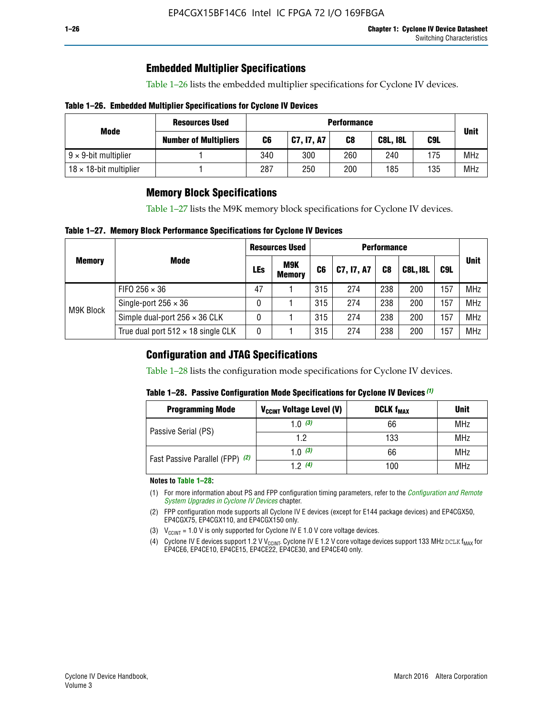# **Embedded Multiplier Specifications**

Table 1–26 lists the embedded multiplier specifications for Cyclone IV devices.

### **Table 1–26. Embedded Multiplier Specifications for Cyclone IV Devices**

|                                | <b>Resources Used</b>        |     | <b>Performance</b> |     |                 |     |             |  |  |  |  |  |
|--------------------------------|------------------------------|-----|--------------------|-----|-----------------|-----|-------------|--|--|--|--|--|
| Mode                           | <b>Number of Multipliers</b> | C6  | C7, I7, A7         | C8  | <b>C8L, I8L</b> | C9L | <b>Unit</b> |  |  |  |  |  |
| $9 \times 9$ -bit multiplier   |                              | 340 | 300                | 260 | 240             | 175 | <b>MHz</b>  |  |  |  |  |  |
| $18 \times 18$ -bit multiplier |                              | 287 | 250                | 200 | 185             | 135 | <b>MHz</b>  |  |  |  |  |  |

# **Memory Block Specifications**

Table 1–27 lists the M9K memory block specifications for Cyclone IV devices.

### **Table 1–27. Memory Block Performance Specifications for Cyclone IV Devices**

|               |                                           |     | <b>Resources Used</b>       |                |            |                |                 |     |             |
|---------------|-------------------------------------------|-----|-----------------------------|----------------|------------|----------------|-----------------|-----|-------------|
| <b>Memory</b> | <b>Mode</b>                               | LEs | <b>M9K</b><br><b>Memory</b> | C <sub>6</sub> | C7, I7, A7 | C <sub>8</sub> | <b>C8L, I8L</b> | C9L | <b>Unit</b> |
| M9K Block     | FIFO 256 $\times$ 36                      | 47  |                             | 315            | 274        | 238            | 200             | 157 | <b>MHz</b>  |
|               | Single-port $256 \times 36$               | 0   |                             | 315            | 274        | 238            | 200             | 157 | <b>MHz</b>  |
|               | Simple dual-port $256 \times 36$ CLK      | 0   |                             | 315            | 274        | 238            | 200             | 157 | <b>MHz</b>  |
|               | True dual port $512 \times 18$ single CLK | 0   |                             | 315            | 274        | 238            | 200             | 157 | <b>MHz</b>  |

# **Configuration and JTAG Specifications**

Table 1–28 lists the configuration mode specifications for Cyclone IV devices.

### **Table 1–28. Passive Configuration Mode Specifications for Cyclone IV Devices** *(1)*

| <b>Programming Mode</b>         | V <sub>CCINT</sub> Voltage Level (V) | <b>DCLK f<sub>MAX</sub></b> | <b>Unit</b> |
|---------------------------------|--------------------------------------|-----------------------------|-------------|
| Passive Serial (PS)             | 1.0 $(3)$                            | 66                          | MHz         |
|                                 | 1.2                                  | 133                         | MHz         |
| Fast Passive Parallel (FPP) (2) | 1.0 $(3)$                            | 66                          | <b>MHz</b>  |
|                                 | 12(4)                                | 100                         | <b>MHz</b>  |

#### **Notes to Table 1–28:**

- (1) For more information about PS and FPP configuration timing parameters, refer to the *[Configuration and Remote](http://www.altera.com/literature/hb/cyclone-iv/cyiv-51008.pdf)  [System Upgrades in Cyclone IV Devices](http://www.altera.com/literature/hb/cyclone-iv/cyiv-51008.pdf)* chapter.
- (2) FPP configuration mode supports all Cyclone IV E devices (except for E144 package devices) and EP4CGX50, EP4CGX75, EP4CGX110, and EP4CGX150 only.
- (3)  $V_{CCMT}$  = 1.0 V is only supported for Cyclone IV E 1.0 V core voltage devices.
- (4) Cyclone IV E devices support 1.2 V V<sub>CCINT</sub>. Cyclone IV E 1.2 V core voltage devices support 133 MHz DCLK f<sub>MAX</sub> for EP4CE6, EP4CE10, EP4CE15, EP4CE22, EP4CE30, and EP4CE40 only.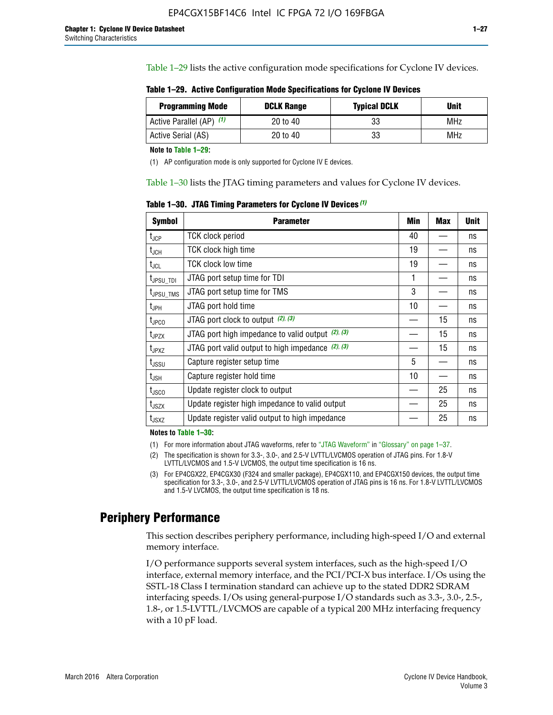Table 1–29 lists the active configuration mode specifications for Cyclone IV devices.

**Table 1–29. Active Configuration Mode Specifications for Cyclone IV Devices**

| <b>Programming Mode</b>  | <b>DCLK Range</b> | <b>Typical DCLK</b> | Unit |
|--------------------------|-------------------|---------------------|------|
| Active Parallel (AP) (1) | 20 to 40          | 33                  | MHz  |
| Active Serial (AS)       | 20 to 40          | 33                  | MHz  |

**Note to Table 1–29:**

(1) AP configuration mode is only supported for Cyclone IV E devices.

Table 1–30 lists the JTAG timing parameters and values for Cyclone IV devices.

**Table 1–30. JTAG Timing Parameters for Cyclone IV Devices** *(1)*

| <b>Symbol</b>                | <b>Parameter</b>                                       | Min | <b>Max</b> | <b>Unit</b> |
|------------------------------|--------------------------------------------------------|-----|------------|-------------|
| $t_{JCP}$                    | <b>TCK clock period</b>                                | 40  |            | ns          |
| $t_{\sf JCH}$                | TCK clock high time                                    | 19  |            | ns          |
| $t_{\sf JCL}$                | <b>TCK clock low time</b>                              | 19  |            | ns          |
| $t_{JPSU\_TDI}$              | JTAG port setup time for TDI                           | 1   |            | ns          |
| t <sub>JPSU_TMS</sub>        | JTAG port setup time for TMS                           | 3   |            | ns          |
| $t_{\sf JPH}$                | JTAG port hold time                                    | 10  |            | ns          |
| t <sub>JPCO</sub>            | JTAG port clock to output (2), (3)                     |     | 15         | ns          |
| $t_{JPZX}$                   | JTAG port high impedance to valid output $(2)$ , $(3)$ |     | 15         | ns          |
| t <sub>JPXZ</sub>            | JTAG port valid output to high impedance $(2)$ , $(3)$ |     | 15         | ns          |
| $t_{\rm JSSU}$               | Capture register setup time                            | 5   |            | ns          |
| $t_{\mathsf{JSH}}$           | Capture register hold time                             | 10  |            | ns          |
| t <sub>JSCO</sub>            | Update register clock to output                        |     | 25         | ns          |
| $t_{\footnotesize \rm JSZX}$ | Update register high impedance to valid output         |     | 25         | ns          |
| t <sub>JSXZ</sub>            | Update register valid output to high impedance         |     | 25         | ns          |

**Notes to Table 1–30:**

(1) For more information about JTAG waveforms, refer to "JTAG Waveform" in "Glossary" on page 1–37.

(2) The specification is shown for 3.3-, 3.0-, and 2.5-V LVTTL/LVCMOS operation of JTAG pins. For 1.8-V LVTTL/LVCMOS and 1.5-V LVCMOS, the output time specification is 16 ns.

(3) For EP4CGX22, EP4CGX30 (F324 and smaller package), EP4CGX110, and EP4CGX150 devices, the output time specification for 3.3-, 3.0-, and 2.5-V LVTTL/LVCMOS operation of JTAG pins is 16 ns. For 1.8-V LVTTL/LVCMOS and 1.5-V LVCMOS, the output time specification is 18 ns.

# **Periphery Performance**

This section describes periphery performance, including high-speed I/O and external memory interface.

I/O performance supports several system interfaces, such as the high-speed I/O interface, external memory interface, and the PCI/PCI-X bus interface. I/Os using the SSTL-18 Class I termination standard can achieve up to the stated DDR2 SDRAM interfacing speeds. I/Os using general-purpose I/O standards such as 3.3-, 3.0-, 2.5-, 1.8-, or 1.5-LVTTL/LVCMOS are capable of a typical 200 MHz interfacing frequency with a 10 pF load.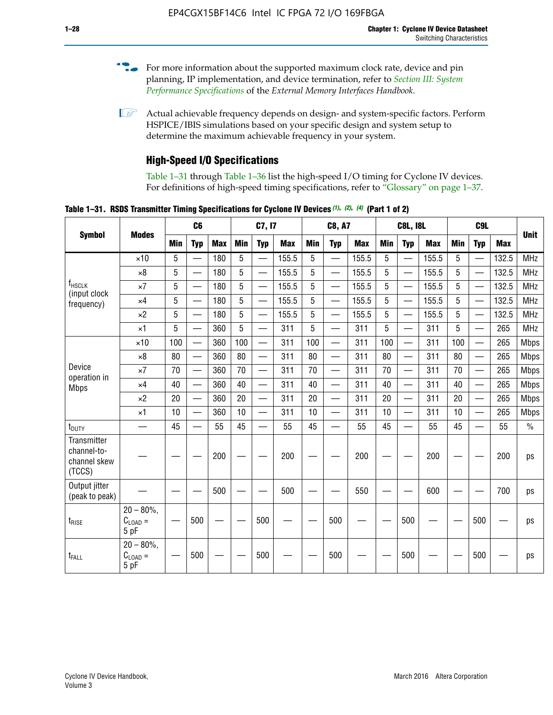- For more information about the supported maximum clock rate, device and pin planning, IP implementation, and device termination, refer to *[Section III: System](http://www.altera.com/literature/hb/external-memory/emi_intro_specs.pdf)  [Performance Specifications](http://www.altera.com/literature/hb/external-memory/emi_intro_specs.pdf)* of the *External Memory Interfaces Handbook*.
- **1 Actual achievable frequency depends on design- and system-specific factors. Perform** HSPICE/IBIS simulations based on your specific design and system setup to determine the maximum achievable frequency in your system.

# **High-Speed I/O Specifications**

Table 1–31 through Table 1–36 list the high-speed I/O timing for Cyclone IV devices. For definitions of high-speed timing specifications, refer to "Glossary" on page 1–37.

**Table 1–31. RSDS Transmitter Timing Specifications for Cyclone IV Devices** *(1)***,** *(2)***,** *(4)* **(Part 1 of 2)**

| <b>Symbol</b>                                        |                                                     |                 | C6         |            |            | C7, I7                   |            |            | <b>C8, A7</b>            |            | <b>C8L, I8L</b> |                          |            |            | <b>Unit</b>              |            |               |
|------------------------------------------------------|-----------------------------------------------------|-----------------|------------|------------|------------|--------------------------|------------|------------|--------------------------|------------|-----------------|--------------------------|------------|------------|--------------------------|------------|---------------|
|                                                      | <b>Modes</b>                                        | Min             | <b>Typ</b> | <b>Max</b> | <b>Min</b> | <b>Typ</b>               | <b>Max</b> | <b>Min</b> | <b>Typ</b>               | <b>Max</b> | <b>Min</b>      | <b>Typ</b>               | <b>Max</b> | <b>Min</b> | <b>Typ</b>               | <b>Max</b> |               |
|                                                      | $\times$ 10                                         | 5               | —          | 180        | 5          | ÷,                       | 155.5      | 5          | $\overline{\phantom{0}}$ | 155.5      | 5               |                          | 155.5      | 5          |                          | 132.5      | <b>MHz</b>    |
|                                                      | $\times 8$                                          | 5               |            | 180        | 5          |                          | 155.5      | 5          | $\overline{\phantom{0}}$ | 155.5      | 5               |                          | 155.5      | 5          |                          | 132.5      | <b>MHz</b>    |
| f <sub>HSCLK</sub><br>(input clock                   | $\times 7$                                          | 5               |            | 180        | 5          |                          | 155.5      | 5          | $\overline{\phantom{0}}$ | 155.5      | 5               |                          | 155.5      | 5          |                          | 132.5      | <b>MHz</b>    |
| frequency)                                           | $\times$ 4                                          | 5               |            | 180        | 5          | $\overline{\phantom{0}}$ | 155.5      | 5          | $\qquad \qquad$          | 155.5      | 5               |                          | 155.5      | 5          | $\overline{\phantom{0}}$ | 132.5      | <b>MHz</b>    |
|                                                      | $\times 2$                                          | 5               |            | 180        | 5          |                          | 155.5      | 5          | $\equiv$                 | 155.5      | 5               | $\overline{\phantom{0}}$ | 155.5      | 5          | $\overline{\phantom{0}}$ | 132.5      | <b>MHz</b>    |
|                                                      | $\times$ 1                                          | 5               |            | 360        | 5          |                          | 311        | 5          | $\overline{\phantom{0}}$ | 311        | 5               | $\equiv$                 | 311        | 5          | $\equiv$                 | 265        | <b>MHz</b>    |
|                                                      | $\times$ 10                                         | 100             |            | 360        | 100        |                          | 311        | 100        | $\equiv$                 | 311        | 100             |                          | 311        | 100        | $\equiv$                 | 265        | <b>Mbps</b>   |
|                                                      | $\times 8$                                          | 80              |            | 360        | 80         |                          | 311        | 80         | $\overline{\phantom{0}}$ | 311        | 80              |                          | 311        | 80         | $\overline{\phantom{0}}$ | 265        | <b>Mbps</b>   |
| Device<br>operation in                               | $\times 7$                                          | 70              |            | 360        | 70         | $\overline{\phantom{0}}$ | 311        | 70         | $\overline{\phantom{0}}$ | 311        | 70              |                          | 311        | 70         | $\equiv$                 | 265        | <b>Mbps</b>   |
| <b>Mbps</b>                                          | $\times$ 4                                          | 40              |            | 360        | 40         |                          | 311        | 40         | $\overline{\phantom{0}}$ | 311        | 40              |                          | 311        | 40         | $\overline{\phantom{0}}$ | 265        | <b>Mbps</b>   |
|                                                      | $\times 2$                                          | 20              |            | 360        | 20         | $\overline{\phantom{0}}$ | 311        | 20         | $\overline{\phantom{0}}$ | 311        | 20              | $\qquad \qquad$          | 311        | 20         |                          | 265        | <b>Mbps</b>   |
|                                                      | $\times$ 1                                          | 10              |            | 360        | 10         |                          | 311        | 10         | $\overline{\phantom{0}}$ | 311        | 10              | $\overline{\phantom{0}}$ | 311        | 10         | $\overline{\phantom{0}}$ | 265        | <b>Mbps</b>   |
| t <sub>DUTY</sub>                                    | —                                                   | 45              |            | 55         | 45         |                          | 55         | 45         | $\overline{\phantom{0}}$ | 55         | 45              |                          | 55         | 45         |                          | 55         | $\frac{0}{0}$ |
| Transmitter<br>channel-to-<br>channel skew<br>(TCCS) |                                                     |                 |            | 200        |            |                          | 200        |            |                          | 200        |                 |                          | 200        |            |                          | 200        | ps            |
| Output jitter<br>(peak to peak)                      |                                                     |                 |            | 500        |            |                          | 500        |            |                          | 550        |                 |                          | 600        |            |                          | 700        | ps            |
| t <sub>rise</sub>                                    | $20 - 80\%$<br>$\mathrm{C}_{\text{LOAD}}$ =<br>5 pF | $\qquad \qquad$ | 500        |            |            | 500                      |            |            | 500                      |            |                 | 500                      |            |            | 500                      |            | ps            |
| t <sub>FALL</sub>                                    | $20 - 80\%$<br>$C_{LOAD} =$<br>5 pF                 |                 | 500        |            |            | 500                      |            |            | 500                      |            |                 | 500                      |            |            | 500                      |            | ps            |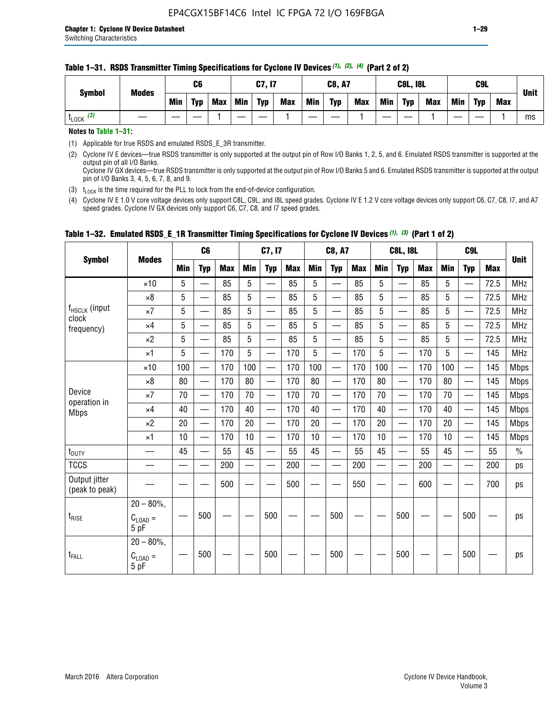#### **Table 1–31. RSDS Transmitter Timing Specifications for Cyclone IV Devices** *(1)***,** *(2)***,** *(4)* **(Part 2 of 2)**

**Notes to Table 1–31:**

(1) Applicable for true RSDS and emulated RSDS\_E\_3R transmitter.

(2) Cyclone IV E devices—true RSDS transmitter is only supported at the output pin of Row I/O Banks 1, 2, 5, and 6. Emulated RSDS transmitter is supported at the output pin of all I/O Banks. Cyclone IV GX devices—true RSDS transmitter is only supported at the output pin of Row I/O Banks 5 and 6. Emulated RSDS transmitter is supported at the output

pin of I/O Banks 3, 4, 5, 6, 7, 8, and 9.

(3)  $t_{\text{LOCK}}$  is the time required for the PLL to lock from the end-of-device configuration.

(4) Cyclone IV E 1.0 V core voltage devices only support C8L, C9L, and I8L speed grades. Cyclone IV E 1.2 V core voltage devices only support C6, C7, C8, I7, and A7 speed grades. Cyclone IV GX devices only support C6, C7, C8, and I7 speed grades.

|                                       |                                              |     | C <sub>6</sub>           |     |            | C7, I7                   |            |                                                                                                                                                                                                                                | <b>C8, A7</b>                  |            | <b>C8L, I8L</b> |                          |            | C <sub>9</sub> L |                          |            | <b>Unit</b>   |
|---------------------------------------|----------------------------------------------|-----|--------------------------|-----|------------|--------------------------|------------|--------------------------------------------------------------------------------------------------------------------------------------------------------------------------------------------------------------------------------|--------------------------------|------------|-----------------|--------------------------|------------|------------------|--------------------------|------------|---------------|
| <b>Symbol</b>                         | <b>Modes</b>                                 | Min | <b>Typ</b>               | Max | <b>Min</b> | <b>Typ</b>               | <b>Max</b> | <b>Min</b>                                                                                                                                                                                                                     | <b>Typ</b>                     | <b>Max</b> | <b>Min</b>      | <b>Typ</b>               | <b>Max</b> | <b>Min</b>       | <b>Typ</b>               | <b>Max</b> |               |
|                                       | $\times$ 10                                  | 5   | $\equiv$                 | 85  | 5          |                          | 85         | 5                                                                                                                                                                                                                              | $\overline{\phantom{0}}$       | 85         | 5               | $\overline{\phantom{0}}$ | 85         | 5                |                          | 72.5       | <b>MHz</b>    |
|                                       | $\times 8$                                   | 5   | $\equiv$                 | 85  | 5          | $\sim$                   | 85         | 5                                                                                                                                                                                                                              | —                              | 85         | 5               | $\overline{\phantom{0}}$ | 85         | 5                |                          | 72.5       | <b>MHz</b>    |
| f <sub>HSCLK</sub> (input             | $\times 7$                                   | 5   | $\overline{\phantom{0}}$ | 85  | 5          |                          | 85         | 5                                                                                                                                                                                                                              | —                              | 85         | 5               | —                        | 85         | 5                |                          | 72.5       | <b>MHz</b>    |
| clock<br>frequency)                   | $\times$ 4                                   | 5   | —                        | 85  | 5          | $\overline{\phantom{a}}$ | 85         | 5                                                                                                                                                                                                                              | $\overline{\phantom{0}}$       | 85         | 5               | $\overline{\phantom{0}}$ | 85         | 5                |                          | 72.5       | <b>MHz</b>    |
|                                       | $\times 2$                                   | 5   | $\overline{\phantom{0}}$ | 85  | 5          | $\sim$                   | 85         | 5                                                                                                                                                                                                                              | $\overline{\phantom{0}}$       | 85         | 5               | $\overline{\phantom{0}}$ | 85         | 5                |                          | 72.5       | <b>MHz</b>    |
|                                       | $\times$ 1                                   | 5   | —                        | 170 | 5          |                          | 170        | 5                                                                                                                                                                                                                              | $\overline{\phantom{0}}$       | 170        | 5               | $\overline{\phantom{0}}$ | 170        | 5                |                          | 145        | <b>MHz</b>    |
|                                       | $\times$ 10                                  | 100 | $\overline{\phantom{0}}$ | 170 | 100        |                          | 170        | 100                                                                                                                                                                                                                            | $\overline{\phantom{0}}$       | 170        | 100             | $\overline{\phantom{0}}$ | 170        | 100              |                          | 145        | <b>Mbps</b>   |
| Device<br>operation in<br><b>Mbps</b> | $\times 8$                                   | 80  | $\overline{\phantom{0}}$ | 170 | 80         | $\overline{\phantom{0}}$ | 170        | 80                                                                                                                                                                                                                             | $\overline{\phantom{0}}$       | 170        | 80              | $\overline{\phantom{0}}$ | 170        | 80               |                          | 145        | <b>Mbps</b>   |
|                                       | $\times 7$                                   | 70  | $\qquad \qquad$          | 170 | 70         | —                        | 170        | 70                                                                                                                                                                                                                             | $\qquad \qquad \longleftarrow$ | 170        | 70              | $\overline{\phantom{0}}$ | 170        | 70               | $\hspace{0.05cm}$        | 145        | Mbps          |
|                                       | $\times$ 4                                   | 40  | $\qquad \qquad$          | 170 | 40         | —                        | 170        | 40                                                                                                                                                                                                                             | $\overline{\phantom{0}}$       | 170        | 40              | $\overline{\phantom{0}}$ | 170        | 40               |                          | 145        | <b>Mbps</b>   |
|                                       | $\times 2$                                   | 20  | $\overline{\phantom{0}}$ | 170 | 20         | —<br>—                   | 170        | 20                                                                                                                                                                                                                             | $\overline{\phantom{0}}$       | 170        | 20              | $\overline{\phantom{0}}$ | 170        | 20               | $\overline{\phantom{0}}$ | 145        | <b>Mbps</b>   |
|                                       | $\times$ 1                                   | 10  | $\overline{\phantom{0}}$ | 170 | 10         | $\overline{\phantom{0}}$ | 170        | 10                                                                                                                                                                                                                             | $\overline{\phantom{0}}$       | 170        | 10              | $\overline{\phantom{0}}$ | 170        | 10               | $\overline{\phantom{0}}$ | 145        | <b>Mbps</b>   |
| $t_{\text{DUTY}}$                     |                                              | 45  |                          | 55  | 45         |                          | 55         | 45                                                                                                                                                                                                                             |                                | 55         | 45              | $\overline{\phantom{0}}$ | 55         | 45               |                          | 55         | $\frac{0}{0}$ |
| <b>TCCS</b>                           |                                              |     |                          | 200 |            |                          | 200        | e de la provincia de la provincia de la provincia de la provincia de la provincia de la provincia de la provincia de la provincia de la provincia de la provincia de la provincia de la provincia de la provincia de la provin |                                | 200        |                 | $\overline{\phantom{0}}$ | 200        |                  |                          | 200        | ps            |
| Output jitter<br>(peak to peak)       |                                              |     |                          | 500 |            |                          | 500        |                                                                                                                                                                                                                                |                                | 550        |                 |                          | 600        |                  |                          | 700        | ps            |
| $t_{\text{RISE}}$                     | $20 - 80\%$ ,<br>$C_{\text{LOAD}} =$<br>5 pF |     | 500                      |     |            | 500                      |            |                                                                                                                                                                                                                                | 500                            |            |                 | 500                      |            |                  | 500                      |            | ps            |
| $t_{FALL}$                            | $20 - 80\%$ ,<br>$C_{LOAD} =$<br>5 pF        |     | 500                      |     |            | 500                      |            |                                                                                                                                                                                                                                | 500                            |            |                 | 500                      |            |                  | 500                      |            | ps            |

# **Table 1–32. Emulated RSDS\_E\_1R Transmitter Timing Specifications for Cyclone IV Devices** *(1), (3)* **(Part 1 of 2)**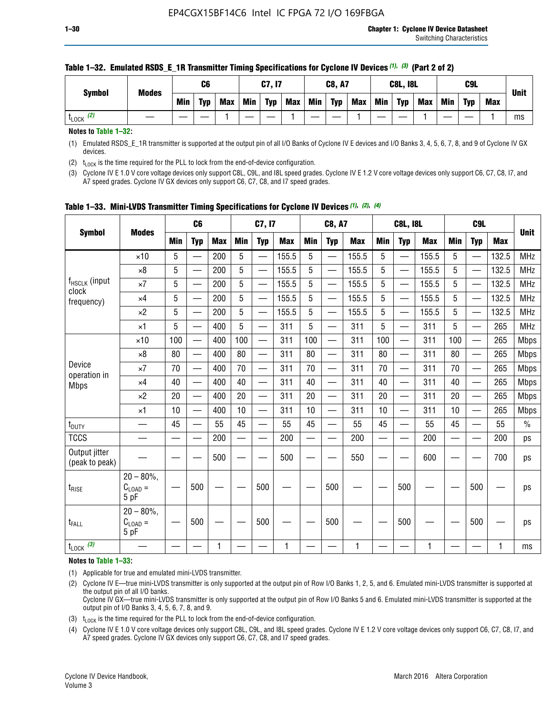| <b>Symbol</b>        | <b>Modes</b> | C6         |            |            |            | C7, I7     |            |     | <b>C8, A7</b> |            |            |            | <b>C8L, I8L</b> |     | C9L        |            |             |  |
|----------------------|--------------|------------|------------|------------|------------|------------|------------|-----|---------------|------------|------------|------------|-----------------|-----|------------|------------|-------------|--|
|                      |              | <b>Min</b> | <b>Typ</b> | <b>Max</b> | <b>Min</b> | <b>Typ</b> | <b>Max</b> | Min | <b>Typ</b>    | <b>Max</b> | <b>Min</b> | <b>Typ</b> | <b>Max</b>      | Min | <b>Typ</b> | <b>Max</b> | <b>Unit</b> |  |
| (2)<br><b>L</b> LOCK |              |            |            |            |            |            |            |     |               |            |            |            |                 |     |            |            | ms          |  |

#### **Table 1–32. Emulated RSDS\_E\_1R Transmitter Timing Specifications for Cyclone IV Devices** *(1), (3)* **(Part 2 of 2)**

**Notes to Table 1–32:**

(1) Emulated RSDS\_E\_1R transmitter is supported at the output pin of all I/O Banks of Cyclone IV E devices and I/O Banks 3, 4, 5, 6, 7, 8, and 9 of Cyclone IV GX devices.

(2)  $t_{\text{LOCK}}$  is the time required for the PLL to lock from the end-of-device configuration.

(3) Cyclone IV E 1.0 V core voltage devices only support C8L, C9L, and I8L speed grades. Cyclone IV E 1.2 V core voltage devices only support C6, C7, C8, I7, and A7 speed grades. Cyclone IV GX devices only support C6, C7, C8, and I7 speed grades.

|                                    |                                              | C <sub>6</sub> |                          | C7, I7     |            | <b>C8, A7</b>            |            | <b>C8L, I8L</b> |                          |            | C <sub>9</sub> L |                          |            |            |                          |            |               |
|------------------------------------|----------------------------------------------|----------------|--------------------------|------------|------------|--------------------------|------------|-----------------|--------------------------|------------|------------------|--------------------------|------------|------------|--------------------------|------------|---------------|
| <b>Symbol</b>                      | <b>Modes</b>                                 | <b>Min</b>     | <b>Typ</b>               | <b>Max</b> | <b>Min</b> | <b>Typ</b>               | <b>Max</b> | <b>Min</b>      | <b>Typ</b>               | <b>Max</b> | <b>Min</b>       | <b>Typ</b>               | <b>Max</b> | <b>Min</b> | <b>Typ</b>               | <b>Max</b> | <b>Unit</b>   |
|                                    | $\times$ 10                                  | 5              |                          | 200        | 5          |                          | 155.5      | 5               | ÷,                       | 155.5      | 5                |                          | 155.5      | 5          |                          | 132.5      | <b>MHz</b>    |
|                                    | $\times 8$                                   | 5              |                          | 200        | 5          | —                        | 155.5      | 5               | —<br>——                  | 155.5      | 5                | —                        | 155.5      | 5          | —                        | 132.5      | <b>MHz</b>    |
| f <sub>HSCLK</sub> (input<br>clock | $\times 7$                                   | 5              | $\overline{\phantom{0}}$ | 200        | 5          | —                        | 155.5      | 5               | —<br>——                  | 155.5      | 5                |                          | 155.5      | 5          |                          | 132.5      | <b>MHz</b>    |
| frequency)                         | $\times$ 4                                   | 5              | $\overline{\phantom{0}}$ | 200        | 5          | —                        | 155.5      | 5               | $\overline{\phantom{0}}$ | 155.5      | 5                | $\overline{\phantom{0}}$ | 155.5      | 5          | $\qquad \qquad$          | 132.5      | MHz           |
|                                    | $\times 2$                                   | 5              | $\overline{\phantom{0}}$ | 200        | 5          | <u>—</u>                 | 155.5      | 5               | $\overline{\phantom{0}}$ | 155.5      | 5                |                          | 155.5      | 5          |                          | 132.5      | <b>MHz</b>    |
|                                    | $\times$ 1                                   | 5              | $\overline{\phantom{0}}$ | 400        | 5          | —                        | 311        | 5               | —                        | 311        | 5                | $\overline{\phantom{0}}$ | 311        | 5          | —                        | 265        | MHz           |
|                                    | $\times$ 10                                  | 100            |                          | 400        | 100        | $\overline{\phantom{0}}$ | 311        | 100             | $\overline{\phantom{0}}$ | 311        | 100              | $\overline{\phantom{0}}$ | 311        | 100        |                          | 265        | <b>Mbps</b>   |
|                                    | $\times 8$                                   | 80             | $\overline{\phantom{0}}$ | 400        | 80         | $\equiv$                 | 311        | 80              |                          | 311        | 80               | $\overline{\phantom{0}}$ | 311        | 80         |                          | 265        | <b>Mbps</b>   |
| Device                             | $\times 7$                                   | 70             | $\overline{\phantom{0}}$ | 400        | 70         | $\overline{\phantom{0}}$ | 311        | 70              | $\qquad \qquad$          | 311        | 70               |                          | 311        | 70         |                          | 265        | <b>Mbps</b>   |
| operation in<br><b>Mbps</b>        | $\times 4$                                   | 40             | $\overline{\phantom{0}}$ | 400        | 40         |                          | 311        | 40              | $\overline{\phantom{0}}$ | 311        | 40               | $\overline{\phantom{0}}$ | 311        | 40         |                          | 265        | <b>Mbps</b>   |
|                                    | $\times 2$                                   | 20             | $\overline{\phantom{0}}$ | 400        | 20         | —                        | 311        | 20              | $\overline{\phantom{0}}$ | 311        | 20               | $\overline{\phantom{0}}$ | 311        | 20         |                          | 265        | <b>Mbps</b>   |
|                                    | ×1                                           | 10             | $\qquad \qquad$          | 400        | 10         | —                        | 311        | 10              | $\overline{\phantom{0}}$ | 311        | 10               |                          | 311        | 10         |                          | 265        | <b>Mbps</b>   |
| t <sub>DUTY</sub>                  |                                              | 45             | $\overline{\phantom{0}}$ | 55         | 45         | —                        | 55         | 45              | $\overline{\phantom{0}}$ | 55         | 45               | $\overline{\phantom{0}}$ | 55         | 45         | $\overline{\phantom{0}}$ | 55         | $\frac{0}{0}$ |
| <b>TCCS</b>                        |                                              |                |                          | 200        |            |                          | 200        |                 | $\overline{\phantom{0}}$ | 200        | —                |                          | 200        |            |                          | 200        | ps            |
| Output jitter<br>(peak to peak)    |                                              |                |                          | 500        |            |                          | 500        |                 |                          | 550        |                  |                          | 600        |            |                          | 700        | ps            |
| $t_{\text{RISE}}$                  | $20 - 80\%$ ,<br>$C_{\text{LOAD}} =$<br>5 pF |                | 500                      |            |            | 500                      |            |                 | 500                      |            |                  | 500                      |            |            | 500                      |            | ps            |
| t <sub>FALL</sub>                  | $20 - 80\%$ ,<br>$C_{LOAD} =$<br>5 pF        |                | 500                      |            |            | 500                      |            |                 | 500                      |            |                  | 500                      |            |            | 500                      |            | ps            |
| $t_{\text{LOCK}}$ (3)              |                                              |                |                          | 1          |            |                          | 1          |                 |                          | 1          |                  |                          | 1          |            |                          | 1          | ms            |

|  |  |  |  |  | Table 1-33. Mini-LVDS Transmitter Timing Specifications for Cyclone IV Devices (1), (2), (4) |  |  |  |  |  |  |
|--|--|--|--|--|----------------------------------------------------------------------------------------------|--|--|--|--|--|--|
|--|--|--|--|--|----------------------------------------------------------------------------------------------|--|--|--|--|--|--|

**Notes to Table 1–33:**

(1) Applicable for true and emulated mini-LVDS transmitter.

(2) Cyclone IV E—true mini-LVDS transmitter is only supported at the output pin of Row I/O Banks 1, 2, 5, and 6. Emulated mini-LVDS transmitter is supported at the output pin of all I/O banks.

Cyclone IV GX—true mini-LVDS transmitter is only supported at the output pin of Row I/O Banks 5 and 6. Emulated mini-LVDS transmitter is supported at the output pin of I/O Banks 3, 4, 5, 6, 7, 8, and 9.

(3)  $t_{\text{LOCK}}$  is the time required for the PLL to lock from the end-of-device configuration.

(4) Cyclone IV E 1.0 V core voltage devices only support C8L, C9L, and I8L speed grades. Cyclone IV E 1.2 V core voltage devices only support C6, C7, C8, I7, and A7 speed grades. Cyclone IV GX devices only support C6, C7, C8, and I7 speed grades.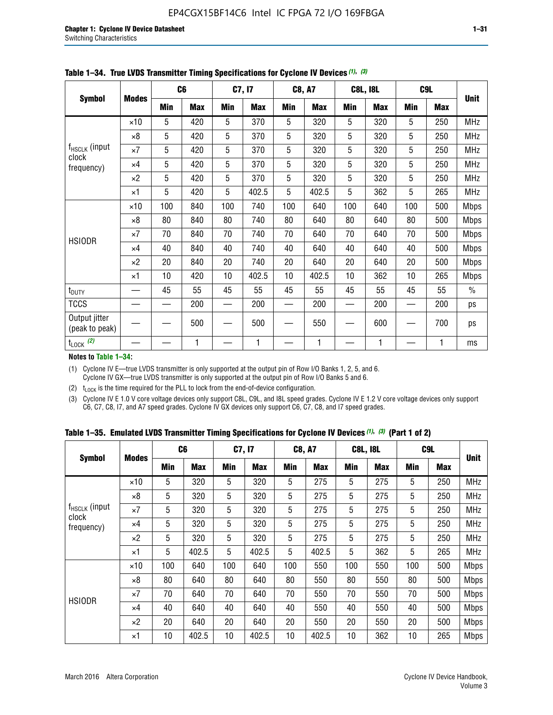|                                 |              |     | C <sub>6</sub> |     | C7, I7     |            | <b>C8, A7</b> |     | <b>C8L, I8L</b> |            | C <sub>9</sub> L |               |
|---------------------------------|--------------|-----|----------------|-----|------------|------------|---------------|-----|-----------------|------------|------------------|---------------|
| <b>Symbol</b>                   | <b>Modes</b> | Min | <b>Max</b>     | Min | <b>Max</b> | <b>Min</b> | <b>Max</b>    | Min | <b>Max</b>      | <b>Min</b> | <b>Max</b>       | <b>Unit</b>   |
|                                 | $\times$ 10  | 5   | 420            | 5   | 370        | 5          | 320           | 5   | 320             | 5          | 250              | <b>MHz</b>    |
|                                 | $\times 8$   | 5   | 420            | 5   | 370        | 5          | 320           | 5   | 320             | 5          | 250              | <b>MHz</b>    |
| f <sub>HSCLK</sub> (input       | $\times 7$   | 5   | 420            | 5   | 370        | 5          | 320           | 5   | 320             | 5          | 250              | MHz           |
| clock<br>frequency)             | $\times$ 4   | 5   | 420            | 5   | 370        | 5          | 320           | 5   | 320             | 5          | 250              | <b>MHz</b>    |
|                                 | $\times 2$   | 5   | 420            | 5   | 370        | 5          | 320           | 5   | 320             | 5          | 250              | <b>MHz</b>    |
|                                 | $\times$ 1   | 5   | 420            | 5   | 402.5      | 5          | 402.5         | 5   | 362             | 5          | 265              | <b>MHz</b>    |
|                                 | $\times$ 10  | 100 | 840            | 100 | 740        | 100        | 640           | 100 | 640             | 100        | 500              | Mbps          |
|                                 | $\times 8$   | 80  | 840            | 80  | 740        | 80         | 640           | 80  | 640             | 80         | 500              | <b>Mbps</b>   |
| <b>HSIODR</b>                   | $\times 7$   | 70  | 840            | 70  | 740        | 70         | 640           | 70  | 640             | 70         | 500              | <b>Mbps</b>   |
|                                 | $\times$ 4   | 40  | 840            | 40  | 740        | 40         | 640           | 40  | 640             | 40         | 500              | <b>Mbps</b>   |
|                                 | $\times 2$   | 20  | 840            | 20  | 740        | 20         | 640           | 20  | 640             | 20         | 500              | <b>Mbps</b>   |
|                                 | $\times$ 1   | 10  | 420            | 10  | 402.5      | 10         | 402.5         | 10  | 362             | 10         | 265              | <b>Mbps</b>   |
| t <sub>DUTY</sub>               |              | 45  | 55             | 45  | 55         | 45         | 55            | 45  | 55              | 45         | 55               | $\frac{0}{0}$ |
| <b>TCCS</b>                     |              |     | 200            |     | 200        |            | 200           |     | 200             |            | 200              | ps            |
| Output jitter<br>(peak to peak) |              |     | 500            |     | 500        |            | 550           |     | 600             |            | 700              | ps            |
| $t_{\text{LOCK}}$ (2)           |              |     | 1              |     | 1          |            | 1             |     | 1               |            | 1                | ms            |

**Table 1–34. True LVDS Transmitter Timing Specifications for Cyclone IV Devices** *(1)***,** *(3)*

**Notes to Table 1–34:**

(1) Cyclone IV E—true LVDS transmitter is only supported at the output pin of Row I/O Banks 1, 2, 5, and 6. Cyclone IV GX—true LVDS transmitter is only supported at the output pin of Row I/O Banks 5 and 6.

(2)  $t_{\text{LOCK}}$  is the time required for the PLL to lock from the end-of-device configuration.

(3) Cyclone IV E 1.0 V core voltage devices only support C8L, C9L, and I8L speed grades. Cyclone IV E 1.2 V core voltage devices only support C6, C7, C8, I7, and A7 speed grades. Cyclone IV GX devices only support C6, C7, C8, and I7 speed grades.

|  |  |  |  | Table 1–35. Emulated LVDS Transmitter Timing Specifications for Cyclone IV Devices <sup>(1),</sup> <sup>(3)</sup> (Part 1 of 2) |  |  |
|--|--|--|--|---------------------------------------------------------------------------------------------------------------------------------|--|--|
|--|--|--|--|---------------------------------------------------------------------------------------------------------------------------------|--|--|

| <b>Symbol</b><br><b>Modes</b> |             | C <sub>6</sub> |            | C7, I7     |            | <b>C8, A7</b> |            | <b>C8L, I8L</b> |            | C <sub>9</sub> L |            |             |
|-------------------------------|-------------|----------------|------------|------------|------------|---------------|------------|-----------------|------------|------------------|------------|-------------|
|                               |             | Min            | <b>Max</b> | <b>Min</b> | <b>Max</b> | <b>Min</b>    | <b>Max</b> | Min             | <b>Max</b> | <b>Min</b>       | <b>Max</b> | Unit        |
|                               | $\times$ 10 | 5              | 320        | 5          | 320        | 5             | 275        | 5               | 275        | 5                | 250        | <b>MHz</b>  |
|                               | $\times 8$  | 5              | 320        | 5          | 320        | 5             | 275        | 5               | 275        | 5                | 250        | <b>MHz</b>  |
| $f_{HSCLK}$ (input<br>clock   | $\times 7$  | 5              | 320        | 5          | 320        | 5             | 275        | 5               | 275        | 5                | 250        | <b>MHz</b>  |
| frequency)                    | $\times$ 4  | 5              | 320        | 5          | 320        | 5             | 275        | 5               | 275        | 5                | 250        | <b>MHz</b>  |
|                               | $\times 2$  | 5              | 320        | 5          | 320        | 5             | 275        | 5               | 275        | 5                | 250        | <b>MHz</b>  |
|                               | $\times$ 1  | 5              | 402.5      | 5          | 402.5      | 5             | 402.5      | 5               | 362        | 5                | 265        | <b>MHz</b>  |
|                               | $\times$ 10 | 100            | 640        | 100        | 640        | 100           | 550        | 100             | 550        | 100              | 500        | <b>Mbps</b> |
|                               | $\times 8$  | 80             | 640        | 80         | 640        | 80            | 550        | 80              | 550        | 80               | 500        | <b>Mbps</b> |
| <b>HSIODR</b>                 | $\times 7$  | 70             | 640        | 70         | 640        | 70            | 550        | 70              | 550        | 70               | 500        | <b>Mbps</b> |
|                               | $\times$ 4  | 40             | 640        | 40         | 640        | 40            | 550        | 40              | 550        | 40               | 500        | <b>Mbps</b> |
|                               | $\times 2$  | 20             | 640        | 20         | 640        | 20            | 550        | 20              | 550        | 20               | 500        | <b>Mbps</b> |
|                               | $\times$ 1  | 10             | 402.5      | 10         | 402.5      | 10            | 402.5      | 10              | 362        | 10               | 265        | <b>Mbps</b> |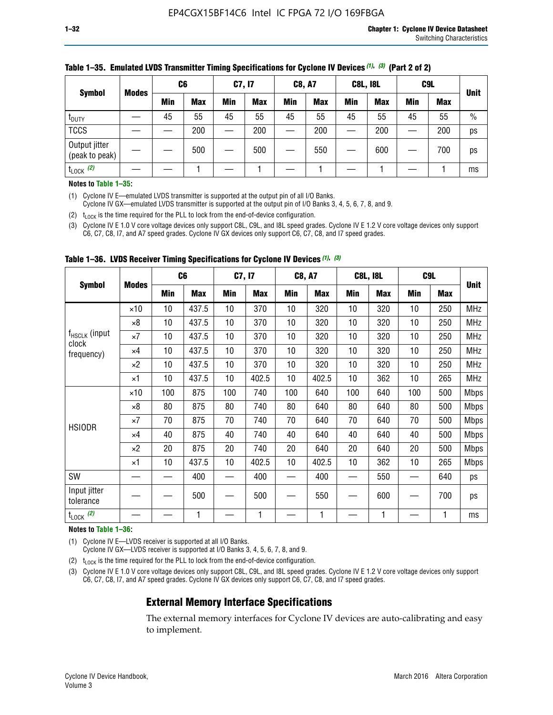| <b>Symbol</b><br><b>Modes</b>   | C <sub>6</sub> |            | C7, I7     |            | <b>C8, A7</b> |            | <b>C8L, I8L</b> |            |         | C <sub>9</sub> L |               |
|---------------------------------|----------------|------------|------------|------------|---------------|------------|-----------------|------------|---------|------------------|---------------|
|                                 | Min            | <b>Max</b> | <b>Min</b> | <b>Max</b> | <b>Min</b>    | <b>Max</b> | Min             | <b>Max</b> | Min     | <b>Max</b>       | <b>Unit</b>   |
| t <sub>DUTY</sub>               | 45             | 55         | 45         | 55         | 45            | 55         | 45              | 55         | 45      | 55               | $\frac{0}{0}$ |
| <b>TCCS</b>                     |                | 200        |            | 200        |               | 200        |                 | 200        | —<br>—— | 200              | ps            |
| Output jitter<br>(peak to peak) |                | 500        |            | 500        |               | 550        |                 | 600        |         | 700              | ps            |
| $t_{\text{LOCK}}$ (2)           |                |            |            |            |               |            |                 |            |         |                  | ms            |

#### **Table 1–35. Emulated LVDS Transmitter Timing Specifications for Cyclone IV Devices** *(1)***,** *(3)* **(Part 2 of 2)**

#### **Notes to Table 1–35:**

(1) Cyclone IV E—emulated LVDS transmitter is supported at the output pin of all I/O Banks.

Cyclone IV GX—emulated LVDS transmitter is supported at the output pin of I/O Banks 3, 4, 5, 6, 7, 8, and 9.

(2)  $t_{\text{LOCK}}$  is the time required for the PLL to lock from the end-of-device configuration.

(3) Cyclone IV E 1.0 V core voltage devices only support C8L, C9L, and I8L speed grades. Cyclone IV E 1.2 V core voltage devices only support C6, C7, C8, I7, and A7 speed grades. Cyclone IV GX devices only support C6, C7, C8, and I7 speed grades.

|                                    |              |     | C <sub>6</sub> | C7, I7 |       | <b>C8, A7</b> |            |     | <b>C8L, I8L</b> | C <sub>9</sub> L |     |             |
|------------------------------------|--------------|-----|----------------|--------|-------|---------------|------------|-----|-----------------|------------------|-----|-------------|
| <b>Symbol</b>                      | <b>Modes</b> | Min | <b>Max</b>     | Min    | Max   | Min           | <b>Max</b> | Min | <b>Max</b>      | Min              | Max | <b>Unit</b> |
|                                    | $\times$ 10  | 10  | 437.5          | 10     | 370   | 10            | 320        | 10  | 320             | 10               | 250 | MHz         |
|                                    | ×8           | 10  | 437.5          | 10     | 370   | 10            | 320        | 10  | 320             | 10               | 250 | <b>MHz</b>  |
| f <sub>HSCLK</sub> (input<br>clock | ×7           | 10  | 437.5          | 10     | 370   | 10            | 320        | 10  | 320             | 10               | 250 | <b>MHz</b>  |
| frequency)                         | $\times 4$   | 10  | 437.5          | 10     | 370   | 10            | 320        | 10  | 320             | 10               | 250 | <b>MHz</b>  |
|                                    | $\times 2$   | 10  | 437.5          | 10     | 370   | 10            | 320        | 10  | 320             | 10               | 250 | <b>MHz</b>  |
|                                    | ×1           | 10  | 437.5          | 10     | 402.5 | 10            | 402.5      | 10  | 362             | 10               | 265 | <b>MHz</b>  |
|                                    | $\times$ 10  | 100 | 875            | 100    | 740   | 100           | 640        | 100 | 640             | 100              | 500 | <b>Mbps</b> |
|                                    | $\times 8$   | 80  | 875            | 80     | 740   | 80            | 640        | 80  | 640             | 80               | 500 | <b>Mbps</b> |
| <b>HSIODR</b>                      | ×7           | 70  | 875            | 70     | 740   | 70            | 640        | 70  | 640             | 70               | 500 | <b>Mbps</b> |
|                                    | $\times 4$   | 40  | 875            | 40     | 740   | 40            | 640        | 40  | 640             | 40               | 500 | <b>Mbps</b> |
|                                    | $\times 2$   | 20  | 875            | 20     | 740   | 20            | 640        | 20  | 640             | 20               | 500 | <b>Mbps</b> |
|                                    | ×1           | 10  | 437.5          | 10     | 402.5 | 10            | 402.5      | 10  | 362             | 10               | 265 | <b>Mbps</b> |
| SW                                 |              |     | 400            |        | 400   |               | 400        |     | 550             |                  | 640 | ps          |
| Input jitter<br>tolerance          |              |     | 500            |        | 500   |               | 550        |     | 600             |                  | 700 | ps          |
| $t_{\text{LOCK}}$ (2)              |              |     | 1              |        | 1     |               | 1          |     | 1               |                  | 1   | ms          |

**Table 1–36. LVDS Receiver Timing Specifications for Cyclone IV Devices** *(1)***,** *(3)*

#### **Notes to Table 1–36:**

(1) Cyclone IV E—LVDS receiver is supported at all I/O Banks.

Cyclone IV GX—LVDS receiver is supported at I/O Banks 3, 4, 5, 6, 7, 8, and 9.

(2)  $t_{\text{LOCK}}$  is the time required for the PLL to lock from the end-of-device configuration.

(3) Cyclone IV E 1.0 V core voltage devices only support C8L, C9L, and I8L speed grades. Cyclone IV E 1.2 V core voltage devices only support C6, C7, C8, I7, and A7 speed grades. Cyclone IV GX devices only support C6, C7, C8, and I7 speed grades.

# **External Memory Interface Specifications**

The external memory interfaces for Cyclone IV devices are auto-calibrating and easy to implement.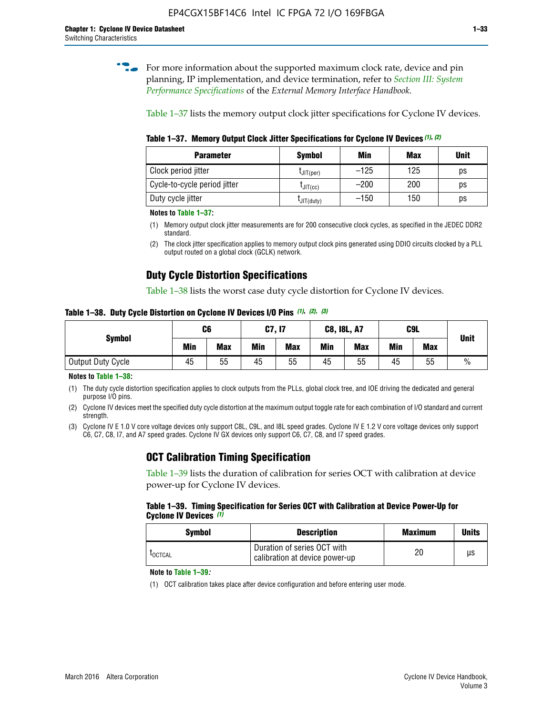**for more information about the supported maximum clock rate, device and pin** planning, IP implementation, and device termination, refer to *[Section III: System](http://www.altera.com/literature/hb/external-memory/emi_intro_specs.pdf)  [Performance Specifications](http://www.altera.com/literature/hb/external-memory/emi_intro_specs.pdf)* of the *External Memory Interface Handbook*.

Table 1–37 lists the memory output clock jitter specifications for Cyclone IV devices.

**Table 1–37. Memory Output Clock Jitter Specifications for Cyclone IV Devices** *(1)***,** *(2)*

| <b>Parameter</b>             | <b>Symbol</b>  | Min    | Max | <b>Unit</b> |
|------------------------------|----------------|--------|-----|-------------|
| Clock period jitter          | $L$ JIT(per)   | $-125$ | 125 | ps          |
| Cycle-to-cycle period jitter | $L$ JIT $(cc)$ | $-200$ | 200 | ps          |
| Duty cycle jitter            | LJIT(duty)     | $-150$ | 150 | рs          |

**Notes to Table 1–37:**

- (1) Memory output clock jitter measurements are for 200 consecutive clock cycles, as specified in the JEDEC DDR2 standard.
- (2) The clock jitter specification applies to memory output clock pins generated using DDIO circuits clocked by a PLL output routed on a global clock (GCLK) network.

# **Duty Cycle Distortion Specifications**

Table 1–38 lists the worst case duty cycle distortion for Cyclone IV devices.

**Table 1–38. Duty Cycle Distortion on Cyclone IV Devices I/O Pins** *(1)***,** *(2), (3)*

| <b>Symbol</b>     | C <sub>6</sub> |            | C7, I7     |            | <b>C8, I8L, A7</b> |            | C9L        |            | <b>Unit</b>   |  |
|-------------------|----------------|------------|------------|------------|--------------------|------------|------------|------------|---------------|--|
|                   | Min            | <b>Max</b> | <b>Min</b> | <b>Max</b> | Min                | <b>Max</b> | <b>Min</b> | <b>Max</b> |               |  |
| Output Duty Cycle | 45             | 55         | 45         | 55         | 45                 | 55         | 45         | 55         | $\frac{0}{0}$ |  |

**Notes to Table 1–38:**

(1) The duty cycle distortion specification applies to clock outputs from the PLLs, global clock tree, and IOE driving the dedicated and general purpose I/O pins.

(2) Cyclone IV devices meet the specified duty cycle distortion at the maximum output toggle rate for each combination of I/O standard and current strength.

(3) Cyclone IV E 1.0 V core voltage devices only support C8L, C9L, and I8L speed grades. Cyclone IV E 1.2 V core voltage devices only support C6, C7, C8, I7, and A7 speed grades. Cyclone IV GX devices only support C6, C7, C8, and I7 speed grades.

# **OCT Calibration Timing Specification**

Table 1–39 lists the duration of calibration for series OCT with calibration at device power-up for Cyclone IV devices.

#### **Table 1–39. Timing Specification for Series OCT with Calibration at Device Power-Up for Cyclone IV Devices** *(1)*

| Symbol  | <b>Description</b>                                            | <b>Maximum</b> | <b>Units</b> |
|---------|---------------------------------------------------------------|----------------|--------------|
| LOCTCAL | Duration of series OCT with<br>calibration at device power-up | 20             | μs           |

#### **Note to Table 1–39***:*

(1) OCT calibration takes place after device configuration and before entering user mode.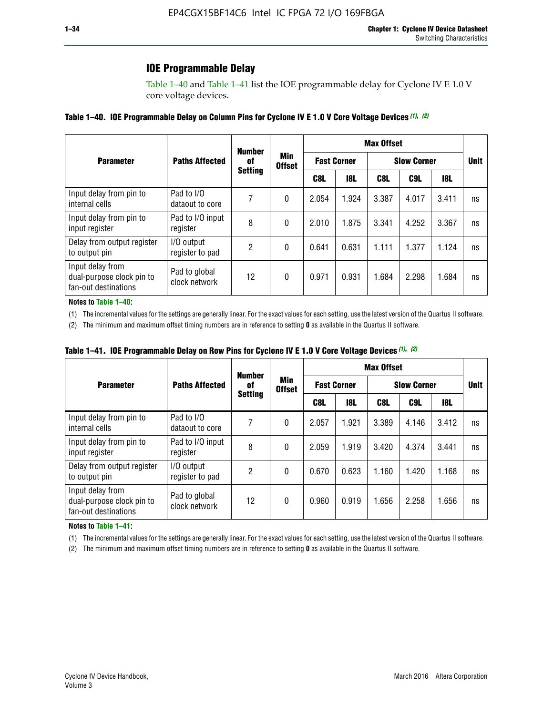# **IOE Programmable Delay**

Table 1–40 and Table 1–41 list the IOE programmable delay for Cyclone IV E 1.0 V core voltage devices.

#### **Table 1–40. IOE Programmable Delay on Column Pins for Cyclone IV E 1.0 V Core Voltage Devices** *(1)***,** *(2)*

|                                                                       |                                | <b>Number</b>  | Min<br><b>Offset</b> | <b>Max Offset</b>  |            |                    |             |       |    |  |
|-----------------------------------------------------------------------|--------------------------------|----------------|----------------------|--------------------|------------|--------------------|-------------|-------|----|--|
| <b>Parameter</b>                                                      | <b>Paths Affected</b>          | 0f             |                      | <b>Fast Corner</b> |            | <b>Slow Corner</b> | <b>Unit</b> |       |    |  |
|                                                                       |                                | <b>Setting</b> |                      | C8L                | <b>18L</b> | C8L                | C9L         | 18L   |    |  |
| Input delay from pin to<br>internal cells                             | Pad to I/O<br>dataout to core  |                | 0                    | 2.054              | 1.924      | 3.387              | 4.017       | 3.411 | ns |  |
| Input delay from pin to<br>input register                             | Pad to I/O input<br>register   | 8              | 0                    | 2.010              | 1.875      | 3.341              | 4.252       | 3.367 | ns |  |
| Delay from output register<br>to output pin                           | I/O output<br>register to pad  | 2              | 0                    | 0.641              | 0.631      | 1.111              | 1.377       | 1.124 | ns |  |
| Input delay from<br>dual-purpose clock pin to<br>fan-out destinations | Pad to global<br>clock network | 12             | 0                    | 0.971              | 0.931      | 1.684              | 2.298       | 1.684 | ns |  |

#### **Notes to Table 1–40:**

(1) The incremental values for the settings are generally linear. For the exact values for each setting, use the latest version of the Quartus II software.

(2) The minimum and maximum offset timing numbers are in reference to setting **0** as available in the Quartus II software.

| Table 1–41. IOE Programmable Delay on Row Pins for Cyclone IV E 1.0 V Core Voltage Devices (1), (2) |  |  |
|-----------------------------------------------------------------------------------------------------|--|--|
|-----------------------------------------------------------------------------------------------------|--|--|

|                                                                       |                                | <b>Number</b> |                                        | <b>Max Offset</b> |                    |                    |             |       |    |  |
|-----------------------------------------------------------------------|--------------------------------|---------------|----------------------------------------|-------------------|--------------------|--------------------|-------------|-------|----|--|
| <b>Parameter</b>                                                      | <b>Paths Affected</b>          | 0f            | Min<br><b>Offset</b><br><b>Setting</b> |                   | <b>Fast Corner</b> | <b>Slow Corner</b> | <b>Unit</b> |       |    |  |
|                                                                       |                                |               |                                        | C8L               | <b>18L</b>         | C8L                | C9L         | 18L   |    |  |
| Input delay from pin to<br>internal cells                             | Pad to I/O<br>dataout to core  |               | 0                                      | 2.057             | 1.921              | 3.389              | 4.146       | 3.412 | ns |  |
| Input delay from pin to<br>input register                             | Pad to I/O input<br>register   | 8             | 0                                      | 2.059             | 1.919              | 3.420              | 4.374       | 3.441 | ns |  |
| Delay from output register<br>to output pin                           | I/O output<br>register to pad  | 2             | 0                                      | 0.670             | 0.623              | 1.160              | 1.420       | 1.168 | ns |  |
| Input delay from<br>dual-purpose clock pin to<br>fan-out destinations | Pad to global<br>clock network | 12            | 0                                      | 0.960             | 0.919              | 1.656              | 2.258       | 1.656 | ns |  |

#### **Notes to Table 1–41:**

(1) The incremental values for the settings are generally linear. For the exact values for each setting, use the latest version of the Quartus II software.

(2) The minimum and maximum offset timing numbers are in reference to setting **0** as available in the Quartus II software.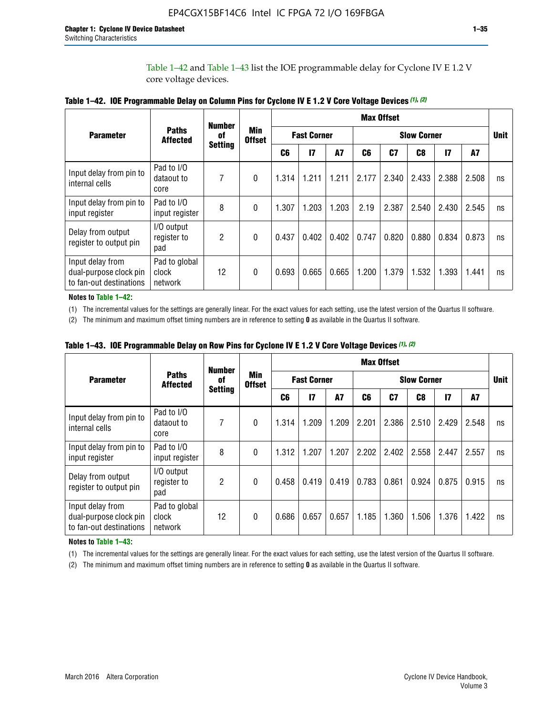Table 1–42 and Table 1–43 list the IOE programmable delay for Cyclone IV E 1.2 V core voltage devices.

|                                                                       |                                   | <b>Number</b>        | Min<br><b>Offset</b> | <b>Max Offset</b> |                    |           |                    |                |                |              |       |             |
|-----------------------------------------------------------------------|-----------------------------------|----------------------|----------------------|-------------------|--------------------|-----------|--------------------|----------------|----------------|--------------|-------|-------------|
| <b>Parameter</b>                                                      | <b>Paths</b><br><b>Affected</b>   | 0f<br><b>Setting</b> |                      |                   | <b>Fast Corner</b> |           | <b>Slow Corner</b> |                |                |              |       | <b>Unit</b> |
|                                                                       |                                   |                      |                      | C <sub>6</sub>    | 17                 | <b>A7</b> | C6                 | C <sub>7</sub> | C <sub>8</sub> | $\mathbf{I}$ | A7    |             |
| Input delay from pin to<br>internal cells                             | Pad to I/O<br>dataout to<br>core  | 7                    | 0                    | 1.314             | 1.211              | 1.211     | 2.177              | 2.340          | 2.433          | 2.388        | 2.508 | ns          |
| Input delay from pin to<br>input register                             | Pad to I/O<br>input register      | 8                    | $\theta$             | 1.307             | 1.203              | 1.203     | 2.19               | 2.387          | 2.540          | 2.430        | 2.545 | ns          |
| Delay from output<br>register to output pin                           | I/O output<br>register to<br>pad  | $\overline{2}$       | 0                    | 0.437             | 0.402              | 0.402     | 0.747              | 0.820          | 0.880          | 0.834        | 0.873 | ns          |
| Input delay from<br>dual-purpose clock pin<br>to fan-out destinations | Pad to global<br>clock<br>network | 12                   | 0                    | 0.693             | 0.665              | 0.665     | 1.200              | 1.379          | 1.532          | 1.393        | 1.441 | ns          |

**Table 1–42. IOE Programmable Delay on Column Pins for Cyclone IV E 1.2 V Core Voltage Devices** *(1)***,** *(2)*

**Notes to Table 1–42:**

(1) The incremental values for the settings are generally linear. For the exact values for each setting, use the latest version of the Quartus II software.

(2) The minimum and maximum offset timing numbers are in reference to setting **0** as available in the Quartus II software.

|                                                                       |                                   | <b>Number</b>  | Min<br><b>Offset</b> | <b>Max Offset</b> |                    |       |                    |                |       |              |       |             |
|-----------------------------------------------------------------------|-----------------------------------|----------------|----------------------|-------------------|--------------------|-------|--------------------|----------------|-------|--------------|-------|-------------|
| <b>Parameter</b>                                                      | <b>Paths</b><br><b>Affected</b>   | 0f             |                      |                   | <b>Fast Corner</b> |       | <b>Slow Corner</b> |                |       |              |       | <b>Unit</b> |
|                                                                       |                                   | <b>Setting</b> |                      | C6                | 17                 | A7    | C6                 | C <sub>7</sub> | C8    | $\mathbf{I}$ | A7    |             |
| Input delay from pin to<br>internal cells                             | Pad to I/O<br>dataout to<br>core  | 7              | 0                    | 1.314             | 1.209              | 1.209 | 2.201              | 2.386          | 2.510 | 2.429        | 2.548 | ns          |
| Input delay from pin to<br>input register                             | Pad to I/O<br>input register      | 8              | $\theta$             | 1.312             | 1.207              | 1.207 | 2.202              | 2.402          | 2.558 | 2.447        | 2.557 | ns          |
| Delay from output<br>register to output pin                           | I/O output<br>register to<br>pad  | 2              | $\Omega$             | 0.458             | 0.419              | 0.419 | 0.783              | 0.861          | 0.924 | 0.875        | 0.915 | ns          |
| Input delay from<br>dual-purpose clock pin<br>to fan-out destinations | Pad to global<br>clock<br>network | 12             | 0                    | 0.686             | 0.657              | 0.657 | 1.185              | 1.360          | 1.506 | 1.376        | 1.422 | ns          |

**Table 1–43. IOE Programmable Delay on Row Pins for Cyclone IV E 1.2 V Core Voltage Devices** *(1)***,** *(2)*

#### **Notes to Table 1–43:**

(1) The incremental values for the settings are generally linear. For the exact values for each setting, use the latest version of the Quartus II software.

(2) The minimum and maximum offset timing numbers are in reference to setting **0** as available in the Quartus II software.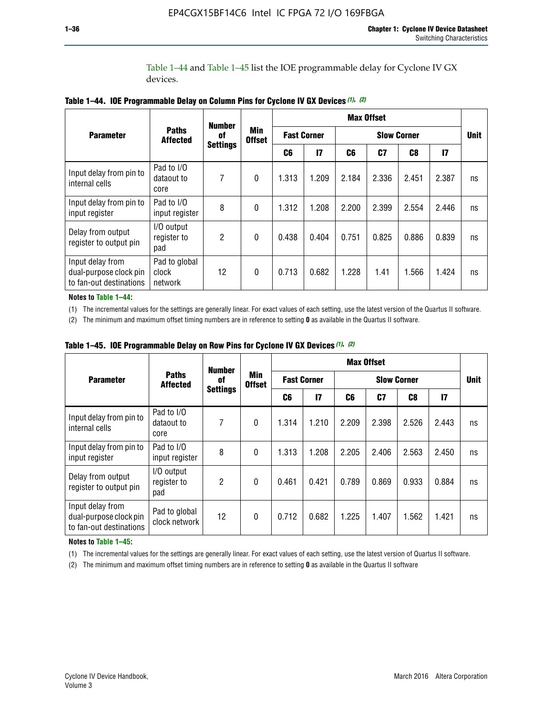Table 1–44 and Table 1–45 list the IOE programmable delay for Cyclone IV GX devices.

|                                                                       |                                   | <b>Number</b>         |                  |                    |       |                    | <b>Max Offset</b> |       |       |             |
|-----------------------------------------------------------------------|-----------------------------------|-----------------------|------------------|--------------------|-------|--------------------|-------------------|-------|-------|-------------|
| <b>Parameter</b>                                                      | <b>Paths</b>                      | 0f<br><b>Affected</b> |                  | <b>Fast Corner</b> |       | <b>Slow Corner</b> |                   |       |       | <b>Unit</b> |
|                                                                       | <b>Settings</b>                   |                       | C6               | $\mathsf{I}7$      | C6    | C7                 | C8                | 17    |       |             |
| Input delay from pin to<br>internal cells                             | Pad to I/O<br>dataout to<br>core  | 7                     | $\boldsymbol{0}$ | 1.313              | 1.209 | 2.184              | 2.336             | 2.451 | 2.387 | ns          |
| Input delay from pin to<br>input register                             | Pad to I/O<br>input register      | 8                     | $\theta$         | 1.312              | 1.208 | 2.200              | 2.399             | 2.554 | 2.446 | ns          |
| Delay from output<br>register to output pin                           | I/O output<br>register to<br>pad  | 2                     | $\mathbf{0}$     | 0.438              | 0.404 | 0.751              | 0.825             | 0.886 | 0.839 | ns          |
| Input delay from<br>dual-purpose clock pin<br>to fan-out destinations | Pad to global<br>clock<br>network | 12                    | $\mathbf{0}$     | 0.713              | 0.682 | 1.228              | 1.41              | 1.566 | 1.424 | ns          |

**Table 1–44. IOE Programmable Delay on Column Pins for Cyclone IV GX Devices** *(1)***,** *(2)*

**Notes to Table 1–44:**

(1) The incremental values for the settings are generally linear. For exact values of each setting, use the latest version of the Quartus II software.

(2) The minimum and maximum offset timing numbers are in reference to setting **0** as available in the Quartus II software.

|                                                                       |                                  | <b>Number</b>   | Min<br><b>Offset</b> | <b>Max Offset</b>  |       |                    |       |       |               |             |  |
|-----------------------------------------------------------------------|----------------------------------|-----------------|----------------------|--------------------|-------|--------------------|-------|-------|---------------|-------------|--|
| <b>Parameter</b>                                                      | <b>Paths</b><br><b>Affected</b>  | 0f              |                      | <b>Fast Corner</b> |       | <b>Slow Corner</b> |       |       |               | <b>Unit</b> |  |
|                                                                       |                                  | <b>Settings</b> |                      | C6                 | 17    | C6                 | C7    | C8    | $\mathsf{I}7$ |             |  |
| Input delay from pin to<br>internal cells                             | Pad to I/O<br>dataout to<br>core | 7               | $\mathbf{0}$         | 1.314              | 1.210 | 2.209              | 2.398 | 2.526 | 2.443         | ns          |  |
| Input delay from pin to<br>input register                             | Pad to I/O<br>input register     | 8               | $\mathbf{0}$         | 1.313              | 1.208 | 2.205              | 2.406 | 2.563 | 2.450         | ns          |  |
| Delay from output<br>register to output pin                           | I/O output<br>register to<br>pad | $\overline{2}$  | $\mathbf{0}$         | 0.461              | 0.421 | 0.789              | 0.869 | 0.933 | 0.884         | ns          |  |
| Input delay from<br>dual-purpose clock pin<br>to fan-out destinations | Pad to global<br>clock network   | 12              | $\mathbf{0}$         | 0.712              | 0.682 | 1.225              | 1.407 | 1.562 | 1.421         | ns          |  |

**Table 1–45. IOE Programmable Delay on Row Pins for Cyclone IV GX Devices** *(1)***,** *(2)*

#### **Notes to Table 1–45:**

(1) The incremental values for the settings are generally linear. For exact values of each setting, use the latest version of Quartus II software.

(2) The minimum and maximum offset timing numbers are in reference to setting **0** as available in the Quartus II software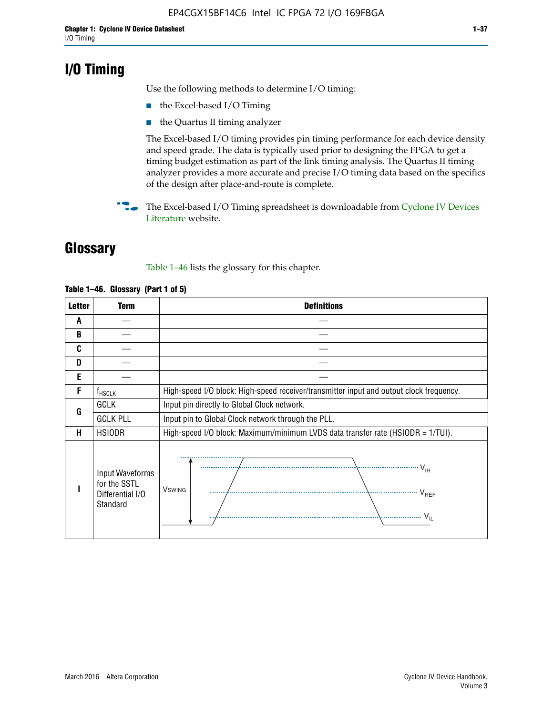# **I/O Timing**

Use the following methods to determine I/O timing:

- the Excel-based I/O Timing
- the Quartus II timing analyzer

The Excel-based I/O timing provides pin timing performance for each device density and speed grade. The data is typically used prior to designing the FPGA to get a timing budget estimation as part of the link timing analysis. The Quartus II timing analyzer provides a more accurate and precise I/O timing data based on the specifics of the design after place-and-route is complete.

**For The Excel-based I/O Timing spreadsheet is downloadable from Cyclone IV Devices** [Literature](http://www.altera.com/literature/lit-cyclone-iv.jsp) website.

# **Glossary**

Table 1–46 lists the glossary for this chapter.

| <b>Letter</b> | Term                                                            | <b>Definitions</b>                                                                                                                                                                                                                                                                                                                                                                                                                                                |  |  |  |  |  |  |
|---------------|-----------------------------------------------------------------|-------------------------------------------------------------------------------------------------------------------------------------------------------------------------------------------------------------------------------------------------------------------------------------------------------------------------------------------------------------------------------------------------------------------------------------------------------------------|--|--|--|--|--|--|
| A             |                                                                 |                                                                                                                                                                                                                                                                                                                                                                                                                                                                   |  |  |  |  |  |  |
| B             |                                                                 |                                                                                                                                                                                                                                                                                                                                                                                                                                                                   |  |  |  |  |  |  |
| C             |                                                                 |                                                                                                                                                                                                                                                                                                                                                                                                                                                                   |  |  |  |  |  |  |
| D             |                                                                 |                                                                                                                                                                                                                                                                                                                                                                                                                                                                   |  |  |  |  |  |  |
| E             |                                                                 |                                                                                                                                                                                                                                                                                                                                                                                                                                                                   |  |  |  |  |  |  |
| F             | $f_{\sf HSCLK}$                                                 | High-speed I/O block: High-speed receiver/transmitter input and output clock frequency.                                                                                                                                                                                                                                                                                                                                                                           |  |  |  |  |  |  |
| G             | <b>GCLK</b>                                                     | Input pin directly to Global Clock network.                                                                                                                                                                                                                                                                                                                                                                                                                       |  |  |  |  |  |  |
|               | <b>GCLK PLL</b>                                                 | Input pin to Global Clock network through the PLL.                                                                                                                                                                                                                                                                                                                                                                                                                |  |  |  |  |  |  |
| н             | <b>HSIODR</b>                                                   | High-speed I/O block: Maximum/minimum LVDS data transfer rate (HSIODR = 1/TUI).                                                                                                                                                                                                                                                                                                                                                                                   |  |  |  |  |  |  |
|               | Input Waveforms<br>for the SSTL<br>Differential I/O<br>Standard | $\frac{1}{1 + \frac{1}{1 + \frac{1}{1 + \frac{1}{1 + \frac{1}{1 + \frac{1}{1 + \frac{1}{1 + \frac{1}{1 + \frac{1}{1 + \frac{1}{1 + \frac{1}{1 + \frac{1}{1 + \frac{1}{1 + \frac{1}{1 + \frac{1}{1 + \frac{1}{1 + \frac{1}{1 + \frac{1}{1 + \frac{1}{1 + \frac{1}{1 + \frac{1}{1 + \frac{1}{1 + \frac{1}{1 + \frac{1}{1 + \frac{1}{1 + \frac{1}{1 + \frac{1}{1 + \frac{1}{1 + \frac{1}{1 + \frac{1}{1 + \frac{1}{1 + \frac{$<br><b>V</b> swing<br>V <sub>REF</sub> |  |  |  |  |  |  |

#### **Table 1–46. Glossary (Part 1 of 5)**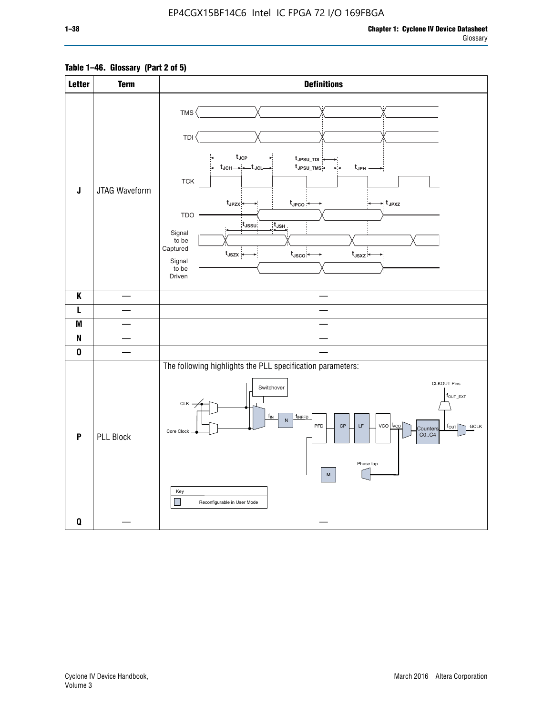# **Table 1–46. Glossary (Part 2 of 5)**

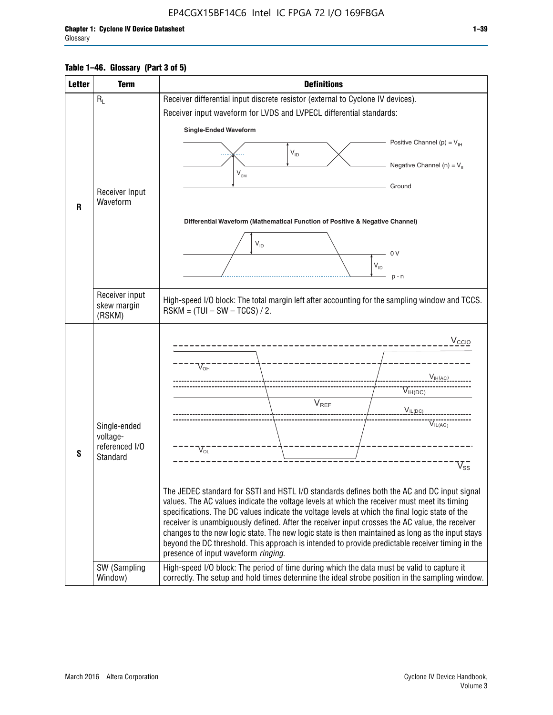# **Table 1–46. Glossary (Part 3 of 5)**

| <b>Letter</b> | <b>Term</b>              | <b>Definitions</b>                                                                                                                                                                              |  |  |  |  |  |
|---------------|--------------------------|-------------------------------------------------------------------------------------------------------------------------------------------------------------------------------------------------|--|--|--|--|--|
|               | $R_L$                    | Receiver differential input discrete resistor (external to Cyclone IV devices).                                                                                                                 |  |  |  |  |  |
|               |                          | Receiver input waveform for LVDS and LVPECL differential standards:                                                                                                                             |  |  |  |  |  |
|               |                          | <b>Single-Ended Waveform</b>                                                                                                                                                                    |  |  |  |  |  |
|               |                          | Positive Channel (p) = $V_{\text{H}}$                                                                                                                                                           |  |  |  |  |  |
|               |                          | $V_{ID}$                                                                                                                                                                                        |  |  |  |  |  |
|               |                          | Negative Channel (n) = $V_{\parallel}$<br>$V_{CM}$                                                                                                                                              |  |  |  |  |  |
|               | Receiver Input           | Ground                                                                                                                                                                                          |  |  |  |  |  |
| R             | Waveform                 |                                                                                                                                                                                                 |  |  |  |  |  |
|               |                          | Differential Waveform (Mathematical Function of Positive & Negative Channel)                                                                                                                    |  |  |  |  |  |
|               |                          |                                                                                                                                                                                                 |  |  |  |  |  |
|               |                          | $V_{ID}$                                                                                                                                                                                        |  |  |  |  |  |
|               |                          | 0V<br>$\mathsf{V}_{\mathsf{ID}}$                                                                                                                                                                |  |  |  |  |  |
|               |                          | $p - n$                                                                                                                                                                                         |  |  |  |  |  |
|               | Receiver input           |                                                                                                                                                                                                 |  |  |  |  |  |
|               | skew margin              | High-speed I/O block: The total margin left after accounting for the sampling window and TCCS.<br>$RSKM = (TUI - SW - TCCS) / 2.$                                                               |  |  |  |  |  |
|               | (RSKM)                   |                                                                                                                                                                                                 |  |  |  |  |  |
|               |                          | $V_{CCIO}$                                                                                                                                                                                      |  |  |  |  |  |
|               |                          |                                                                                                                                                                                                 |  |  |  |  |  |
|               |                          | $V_{\text{OH}}$                                                                                                                                                                                 |  |  |  |  |  |
|               |                          | V <sub>IH(AC)</sub>                                                                                                                                                                             |  |  |  |  |  |
|               |                          | $V_{IH(DC)}$<br>$V_{REF}$                                                                                                                                                                       |  |  |  |  |  |
|               |                          | $V_{IL(DC)}$                                                                                                                                                                                    |  |  |  |  |  |
|               | Single-ended<br>voltage- | VIL(AC)                                                                                                                                                                                         |  |  |  |  |  |
|               | referenced I/O           | $V_{OL}$                                                                                                                                                                                        |  |  |  |  |  |
| S             | Standard                 | $\overline{\mathsf{V}}_\mathsf{SS}^-$                                                                                                                                                           |  |  |  |  |  |
|               |                          |                                                                                                                                                                                                 |  |  |  |  |  |
|               |                          | The JEDEC standard for SSTI and HSTL I/O standards defines both the AC and DC input signal                                                                                                      |  |  |  |  |  |
|               |                          | values. The AC values indicate the voltage levels at which the receiver must meet its timing<br>specifications. The DC values indicate the voltage levels at which the final logic state of the |  |  |  |  |  |
|               |                          | receiver is unambiguously defined. After the receiver input crosses the AC value, the receiver                                                                                                  |  |  |  |  |  |
|               |                          | changes to the new logic state. The new logic state is then maintained as long as the input stays                                                                                               |  |  |  |  |  |
|               |                          | beyond the DC threshold. This approach is intended to provide predictable receiver timing in the<br>presence of input waveform ringing.                                                         |  |  |  |  |  |
|               | SW (Sampling             | High-speed I/O block: The period of time during which the data must be valid to capture it                                                                                                      |  |  |  |  |  |
|               | Window)                  | correctly. The setup and hold times determine the ideal strobe position in the sampling window.                                                                                                 |  |  |  |  |  |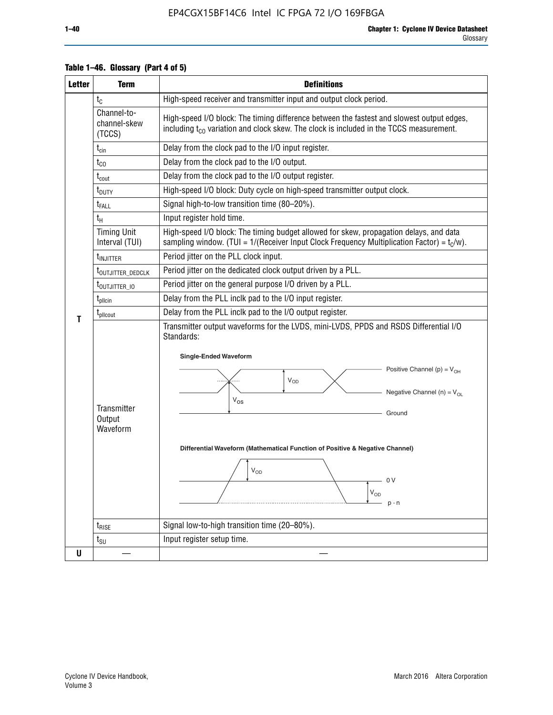| <b>Letter</b> | <b>Term</b>                              | <b>Definitions</b>                                                                                                                                                                                                                                                                                                                                                  |  |  |  |  |  |  |  |
|---------------|------------------------------------------|---------------------------------------------------------------------------------------------------------------------------------------------------------------------------------------------------------------------------------------------------------------------------------------------------------------------------------------------------------------------|--|--|--|--|--|--|--|
|               | $t_{\rm C}$                              | High-speed receiver and transmitter input and output clock period.                                                                                                                                                                                                                                                                                                  |  |  |  |  |  |  |  |
|               | Channel-to-<br>channel-skew<br>(TCCS)    | High-speed I/O block: The timing difference between the fastest and slowest output edges,<br>including t <sub>co</sub> variation and clock skew. The clock is included in the TCCS measurement.                                                                                                                                                                     |  |  |  |  |  |  |  |
|               | $t_{\text{cin}}$                         | Delay from the clock pad to the I/O input register.                                                                                                                                                                                                                                                                                                                 |  |  |  |  |  |  |  |
|               | $t_{CO}$                                 | Delay from the clock pad to the I/O output.                                                                                                                                                                                                                                                                                                                         |  |  |  |  |  |  |  |
|               | $\rm t_{\rm\,}$                          | Delay from the clock pad to the I/O output register.                                                                                                                                                                                                                                                                                                                |  |  |  |  |  |  |  |
|               | $t_{\text{DUTY}}$                        | High-speed I/O block: Duty cycle on high-speed transmitter output clock.                                                                                                                                                                                                                                                                                            |  |  |  |  |  |  |  |
|               | $t_{FALL}$                               | Signal high-to-low transition time (80-20%).                                                                                                                                                                                                                                                                                                                        |  |  |  |  |  |  |  |
|               | $t_H$                                    | Input register hold time.                                                                                                                                                                                                                                                                                                                                           |  |  |  |  |  |  |  |
|               | <b>Timing Unit</b><br>Interval (TUI)     | High-speed I/O block: The timing budget allowed for skew, propagation delays, and data<br>sampling window. (TUI = $1/($ Receiver Input Clock Frequency Multiplication Factor) = $t_c/w$ ).                                                                                                                                                                          |  |  |  |  |  |  |  |
|               | t <sub>injitter</sub>                    | Period jitter on the PLL clock input.                                                                                                                                                                                                                                                                                                                               |  |  |  |  |  |  |  |
|               | t <sub>outjitter_dedclk</sub>            | Period jitter on the dedicated clock output driven by a PLL.                                                                                                                                                                                                                                                                                                        |  |  |  |  |  |  |  |
|               | t <sub>outjitter_io</sub>                | Period jitter on the general purpose I/O driven by a PLL.                                                                                                                                                                                                                                                                                                           |  |  |  |  |  |  |  |
|               | $t_{\rm plicin}$                         | Delay from the PLL inclk pad to the I/O input register.                                                                                                                                                                                                                                                                                                             |  |  |  |  |  |  |  |
| т             | t <sub>plicout</sub>                     | Delay from the PLL inclk pad to the I/O output register.                                                                                                                                                                                                                                                                                                            |  |  |  |  |  |  |  |
|               | <b>Transmitter</b><br>Output<br>Waveform | Transmitter output waveforms for the LVDS, mini-LVDS, PPDS and RSDS Differential I/O<br>Standards:<br><b>Single-Ended Waveform</b><br>Positive Channel (p) = $V_{OH}$<br>VOD<br>Negative Channel (n) = $V_{OL}$<br>$V_{OS}$<br>Ground<br>Differential Waveform (Mathematical Function of Positive & Negative Channel)<br>$\rm V_{OD}$<br>0 V<br>$V_{OD}$<br>$p - n$ |  |  |  |  |  |  |  |
|               | $t_{\text{RISE}}$                        | Signal low-to-high transition time (20-80%).                                                                                                                                                                                                                                                                                                                        |  |  |  |  |  |  |  |
|               | $t_{\text{SU}}$                          | Input register setup time.                                                                                                                                                                                                                                                                                                                                          |  |  |  |  |  |  |  |
| U             |                                          |                                                                                                                                                                                                                                                                                                                                                                     |  |  |  |  |  |  |  |

# **Table 1–46. Glossary (Part 4 of 5)**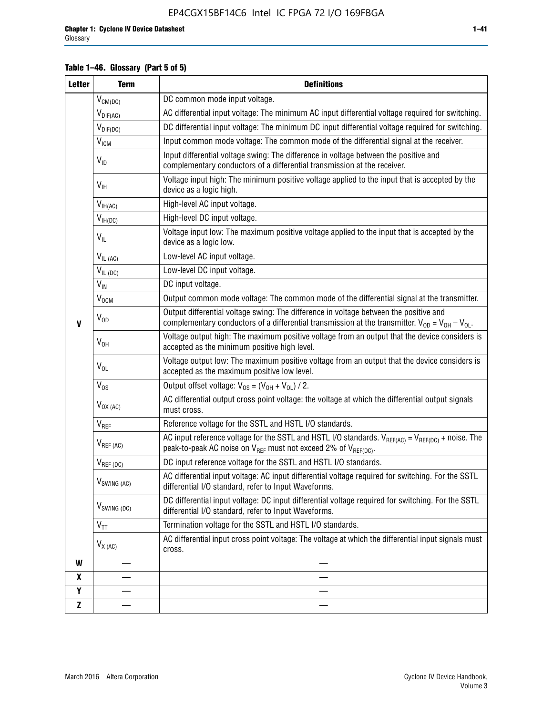# **Table 1–46. Glossary (Part 5 of 5)**

| <b>Letter</b> | <b>Term</b>               | <b>Definitions</b>                                                                                                                                                                                |
|---------------|---------------------------|---------------------------------------------------------------------------------------------------------------------------------------------------------------------------------------------------|
|               | $V_{CM(DC)}$              | DC common mode input voltage.                                                                                                                                                                     |
|               | $V_{DIF(AC)}$             | AC differential input voltage: The minimum AC input differential voltage required for switching.                                                                                                  |
|               | $V_{DIF(DC)}$             | DC differential input voltage: The minimum DC input differential voltage required for switching.                                                                                                  |
|               | V <sub>ICM</sub>          | Input common mode voltage: The common mode of the differential signal at the receiver.                                                                                                            |
|               | $V_{ID}$                  | Input differential voltage swing: The difference in voltage between the positive and<br>complementary conductors of a differential transmission at the receiver.                                  |
|               | $V_{\text{IH}}$           | Voltage input high: The minimum positive voltage applied to the input that is accepted by the<br>device as a logic high.                                                                          |
|               | $V_{IH(AC)}$              | High-level AC input voltage.                                                                                                                                                                      |
|               | $V_{IH(DC)}$              | High-level DC input voltage.                                                                                                                                                                      |
|               | $V_{IL}$                  | Voltage input low: The maximum positive voltage applied to the input that is accepted by the<br>device as a logic low.                                                                            |
|               | $V_{IL(AC)}$              | Low-level AC input voltage.                                                                                                                                                                       |
|               | $V_{IL(DC)}$              | Low-level DC input voltage.                                                                                                                                                                       |
|               | $V_{\text{IN}}$           | DC input voltage.                                                                                                                                                                                 |
|               | $V_{OCM}$                 | Output common mode voltage: The common mode of the differential signal at the transmitter.                                                                                                        |
| $\mathbf{V}$  | $V_{OD}$                  | Output differential voltage swing: The difference in voltage between the positive and<br>complementary conductors of a differential transmission at the transmitter. $V_{OD} = V_{OH} - V_{OL}$ . |
|               | $V_{OH}$                  | Voltage output high: The maximum positive voltage from an output that the device considers is<br>accepted as the minimum positive high level.                                                     |
|               | $V_{OL}$                  | Voltage output low: The maximum positive voltage from an output that the device considers is<br>accepted as the maximum positive low level.                                                       |
|               | $V_{OS}$                  | Output offset voltage: $V_{OS} = (V_{OH} + V_{OL}) / 2$ .                                                                                                                                         |
|               | $V_{OX (AC)}$             | AC differential output cross point voltage: the voltage at which the differential output signals<br>must cross.                                                                                   |
|               | V <sub>REF</sub>          | Reference voltage for the SSTL and HSTL I/O standards.                                                                                                                                            |
|               | $V_{REF\,(AC)}$           | AC input reference voltage for the SSTL and HSTL I/O standards. $V_{REF(AC)} = V_{REF(DC)} +$ noise. The<br>peak-to-peak AC noise on $V_{REF}$ must not exceed 2% of $V_{REF(DC)}$ .              |
|               | $V_{REF(DC)}$             | DC input reference voltage for the SSTL and HSTL I/O standards.                                                                                                                                   |
|               | $V_{\textrm{SWING (AC)}}$ | AC differential input voltage: AC input differential voltage required for switching. For the SSTL<br>differential I/O standard, refer to Input Waveforms.                                         |
|               | $V_{SWING (DC)}$          | DC differential input voltage: DC input differential voltage required for switching. For the SSTL<br>differential I/O standard, refer to Input Waveforms.                                         |
|               | $V_{TT}$                  | Termination voltage for the SSTL and HSTL I/O standards.                                                                                                                                          |
|               | $V_{X(AC)}$               | AC differential input cross point voltage: The voltage at which the differential input signals must<br>cross.                                                                                     |
| W             |                           |                                                                                                                                                                                                   |
| X             |                           |                                                                                                                                                                                                   |
| Υ             |                           |                                                                                                                                                                                                   |
| Z             |                           |                                                                                                                                                                                                   |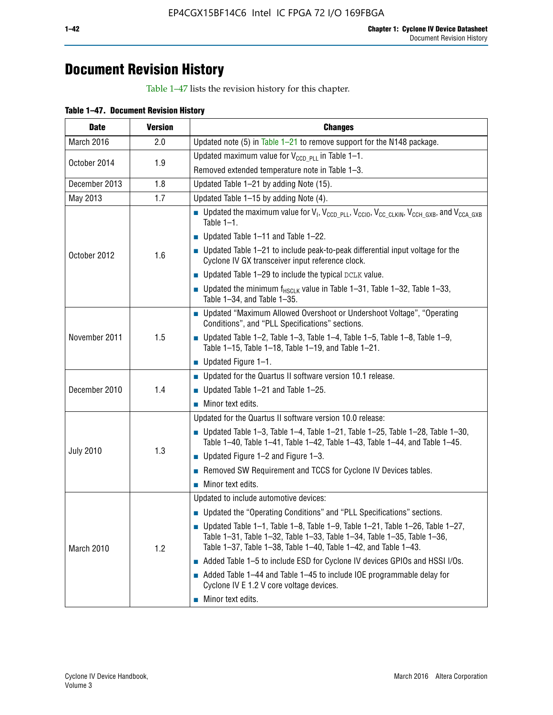# **Document Revision History**

Table 1–47 lists the revision history for this chapter.

| <b>Date</b>      | <b>Version</b> | <b>Changes</b>                                                                                                                                                                                                                            |  |  |  |  |
|------------------|----------------|-------------------------------------------------------------------------------------------------------------------------------------------------------------------------------------------------------------------------------------------|--|--|--|--|
| March 2016       | 2.0            | Updated note (5) in Table $1-21$ to remove support for the N148 package.                                                                                                                                                                  |  |  |  |  |
|                  |                | Updated maximum value for $V_{CCD, PL}$ in Table 1-1.                                                                                                                                                                                     |  |  |  |  |
| October 2014     | 1.9            | Removed extended temperature note in Table 1-3.                                                                                                                                                                                           |  |  |  |  |
| December 2013    | 1.8            | Updated Table 1-21 by adding Note (15).                                                                                                                                                                                                   |  |  |  |  |
| May 2013         | 1.7            | Updated Table 1-15 by adding Note (4).                                                                                                                                                                                                    |  |  |  |  |
|                  |                | Dpdated the maximum value for $V_1$ , $V_{CCD\_PLL}$ , $V_{CC10}$ , $V_{CC\_CLKIN}$ , $V_{CCH\_GXB}$ , and $V_{CCA\_GXB}$<br>Table $1-1$ .                                                                                                |  |  |  |  |
|                  |                | $\blacksquare$ Updated Table 1-11 and Table 1-22.                                                                                                                                                                                         |  |  |  |  |
| October 2012     | 1.6            | $\blacksquare$ Updated Table 1-21 to include peak-to-peak differential input voltage for the<br>Cyclone IV GX transceiver input reference clock.                                                                                          |  |  |  |  |
|                  |                | $\blacksquare$ Updated Table 1-29 to include the typical DCLK value.                                                                                                                                                                      |  |  |  |  |
|                  |                | <b>Updated the minimum f<sub>HSCLK</sub></b> value in Table 1-31, Table 1-32, Table 1-33,<br>Table 1-34, and Table 1-35.                                                                                                                  |  |  |  |  |
|                  |                | • Updated "Maximum Allowed Overshoot or Undershoot Voltage", "Operating<br>Conditions", and "PLL Specifications" sections.                                                                                                                |  |  |  |  |
| November 2011    | 1.5            | Updated Table 1-2, Table 1-3, Table 1-4, Table 1-5, Table 1-8, Table 1-9,<br>Table 1-15, Table 1-18, Table 1-19, and Table 1-21.                                                                                                          |  |  |  |  |
|                  |                | ■ Updated Figure $1-1$ .                                                                                                                                                                                                                  |  |  |  |  |
|                  |                | • Updated for the Quartus II software version 10.1 release.                                                                                                                                                                               |  |  |  |  |
| December 2010    | 1.4            | $\blacksquare$ Updated Table 1-21 and Table 1-25.                                                                                                                                                                                         |  |  |  |  |
|                  |                | $\blacksquare$ Minor text edits.                                                                                                                                                                                                          |  |  |  |  |
|                  |                | Updated for the Quartus II software version 10.0 release:                                                                                                                                                                                 |  |  |  |  |
|                  |                | Updated Table 1-3, Table 1-4, Table 1-21, Table 1-25, Table 1-28, Table 1-30,<br>Table 1-40, Table 1-41, Table 1-42, Table 1-43, Table 1-44, and Table 1-45.                                                                              |  |  |  |  |
| <b>July 2010</b> | 1.3            | ■ Updated Figure $1-2$ and Figure $1-3$ .                                                                                                                                                                                                 |  |  |  |  |
|                  |                | Removed SW Requirement and TCCS for Cyclone IV Devices tables.                                                                                                                                                                            |  |  |  |  |
|                  |                | $\blacksquare$ Minor text edits.                                                                                                                                                                                                          |  |  |  |  |
|                  |                | Updated to include automotive devices:                                                                                                                                                                                                    |  |  |  |  |
|                  |                | • Updated the "Operating Conditions" and "PLL Specifications" sections.                                                                                                                                                                   |  |  |  |  |
| March 2010       | 1.2            | $\blacksquare$ Updated Table 1-1, Table 1-8, Table 1-9, Table 1-21, Table 1-26, Table 1-27,<br>Table 1-31, Table 1-32, Table 1-33, Table 1-34, Table 1-35, Table 1-36,<br>Table 1-37, Table 1-38, Table 1-40, Table 1-42, and Table 1-43. |  |  |  |  |
|                  |                | Added Table 1-5 to include ESD for Cyclone IV devices GPIOs and HSSI I/Os.                                                                                                                                                                |  |  |  |  |
|                  |                | Added Table 1-44 and Table 1-45 to include IOE programmable delay for<br>Cyclone IV E 1.2 V core voltage devices.                                                                                                                         |  |  |  |  |
|                  |                | Minor text edits.                                                                                                                                                                                                                         |  |  |  |  |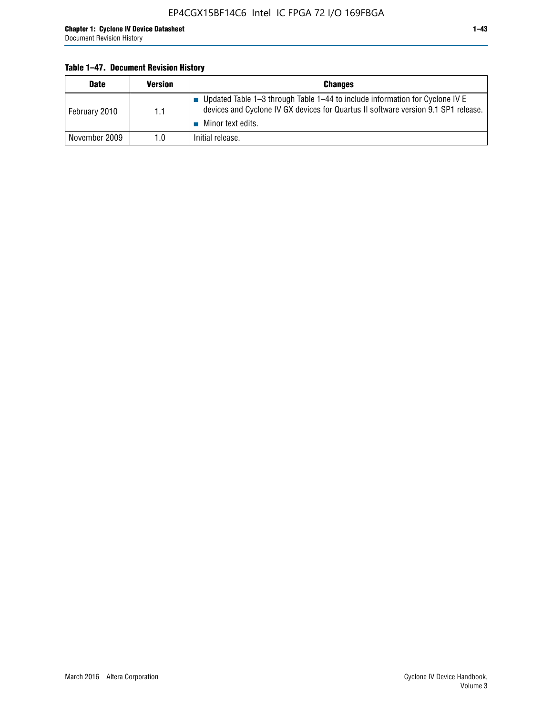# **Table 1–47. Document Revision History**

| <b>Date</b>   | <b>Version</b> | <b>Changes</b>                                                                                                                                                                          |
|---------------|----------------|-----------------------------------------------------------------------------------------------------------------------------------------------------------------------------------------|
| February 2010 | 1.1            | Updated Table 1-3 through Table 1-44 to include information for Cyclone IV E<br>devices and Cyclone IV GX devices for Quartus II software version 9.1 SP1 release.<br>Minor text edits. |
| November 2009 | 1.0            | Initial release.                                                                                                                                                                        |